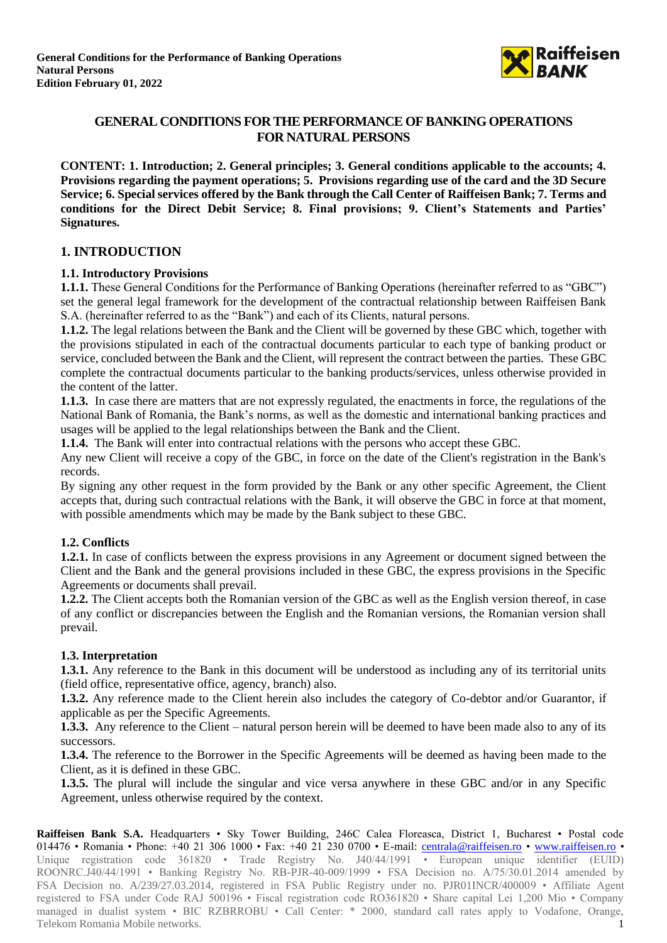

# **GENERAL CONDITIONS FOR THE PERFORMANCE OF BANKING OPERATIONS FOR NATURAL PERSONS**

**CONTENT: 1. Introduction; 2. General principles; 3. General conditions applicable to the accounts; 4. Provisions regarding the payment operations; 5. Provisions regarding use of the card and the 3D Secure Service; 6. Special services offered by the Bank through the Call Center of Raiffeisen Bank; 7. Terms and conditions for the Direct Debit Service; 8. Final provisions; 9. Client's Statements and Parties' Signatures.**

## **1. INTRODUCTION**

### **1.1. Introductory Provisions**

**1.1.1.** These General Conditions for the Performance of Banking Operations (hereinafter referred to as "GBC") set the general legal framework for the development of the contractual relationship between Raiffeisen Bank S.A. (hereinafter referred to as the "Bank") and each of its Clients, natural persons.

**1.1.2.** The legal relations between the Bank and the Client will be governed by these GBC which, together with the provisions stipulated in each of the contractual documents particular to each type of banking product or service, concluded between the Bank and the Client, will represent the contract between the parties. These GBC complete the contractual documents particular to the banking products/services, unless otherwise provided in the content of the latter.

**1.1.3.** In case there are matters that are not expressly regulated, the enactments in force, the regulations of the National Bank of Romania, the Bank's norms, as well as the domestic and international banking practices and usages will be applied to the legal relationships between the Bank and the Client.

**1.1.4.** The Bank will enter into contractual relations with the persons who accept these GBC.

Any new Client will receive a copy of the GBC, in force on the date of the Client's registration in the Bank's records.

By signing any other request in the form provided by the Bank or any other specific Agreement, the Client accepts that, during such contractual relations with the Bank, it will observe the GBC in force at that moment, with possible amendments which may be made by the Bank subject to these GBC.

## **1.2. Conflicts**

**1.2.1.** In case of conflicts between the express provisions in any Agreement or document signed between the Client and the Bank and the general provisions included in these GBC, the express provisions in the Specific Agreements or documents shall prevail.

**1.2.2.** The Client accepts both the Romanian version of the GBC as well as the English version thereof, in case of any conflict or discrepancies between the English and the Romanian versions, the Romanian version shall prevail.

## **1.3. Interpretation**

**1.3.1.** Any reference to the Bank in this document will be understood as including any of its territorial units (field office, representative office, agency, branch) also.

**1.3.2.** Any reference made to the Client herein also includes the category of Co-debtor and/or Guarantor, if applicable as per the Specific Agreements.

**1.3.3.** Any reference to the Client – natural person herein will be deemed to have been made also to any of its successors.

**1.3.4.** The reference to the Borrower in the Specific Agreements will be deemed as having been made to the Client, as it is defined in these GBC.

**1.3.5.** The plural will include the singular and vice versa anywhere in these GBC and/or in any Specific Agreement, unless otherwise required by the context.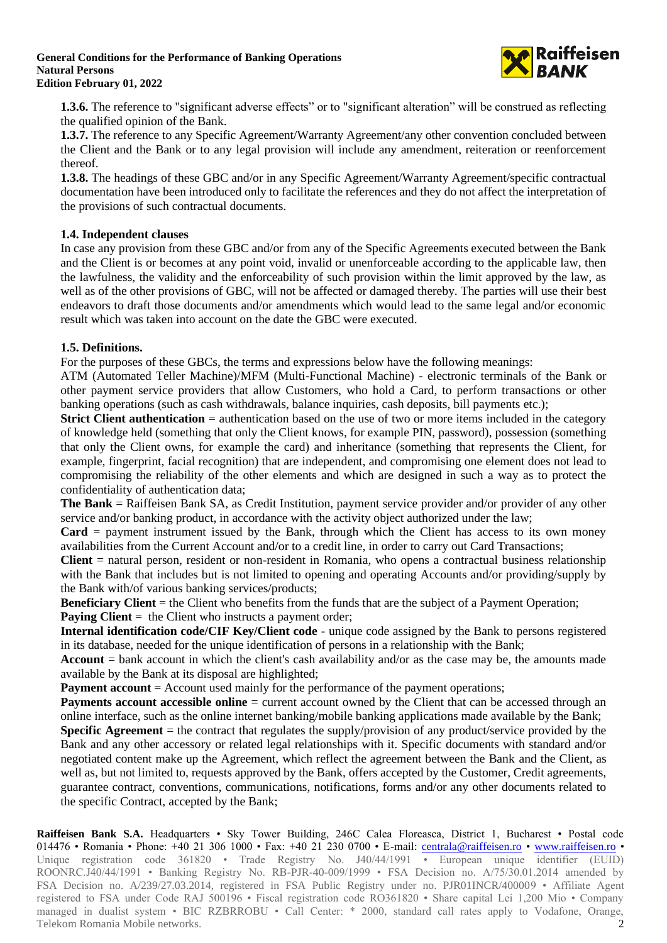

**1.3.6.** The reference to "significant adverse effects" or to "significant alteration" will be construed as reflecting the qualified opinion of the Bank.

**1.3.7.** The reference to any Specific Agreement/Warranty Agreement/any other convention concluded between the Client and the Bank or to any legal provision will include any amendment, reiteration or reenforcement thereof.

**1.3.8.** The headings of these GBC and/or in any Specific Agreement/Warranty Agreement/specific contractual documentation have been introduced only to facilitate the references and they do not affect the interpretation of the provisions of such contractual documents.

## **1.4. Independent clauses**

In case any provision from these GBC and/or from any of the Specific Agreements executed between the Bank and the Client is or becomes at any point void, invalid or unenforceable according to the applicable law, then the lawfulness, the validity and the enforceability of such provision within the limit approved by the law, as well as of the other provisions of GBC, will not be affected or damaged thereby. The parties will use their best endeavors to draft those documents and/or amendments which would lead to the same legal and/or economic result which was taken into account on the date the GBC were executed.

### **1.5. Definitions.**

For the purposes of these GBCs, the terms and expressions below have the following meanings:

ATM (Automated Teller Machine)/MFM (Multi-Functional Machine) - electronic terminals of the Bank or other payment service providers that allow Customers, who hold a Card, to perform transactions or other banking operations (such as cash withdrawals, balance inquiries, cash deposits, bill payments etc.);

**Strict Client authentication** = authentication based on the use of two or more items included in the category of knowledge held (something that only the Client knows, for example PIN, password), possession (something that only the Client owns, for example the card) and inheritance (something that represents the Client, for example, fingerprint, facial recognition) that are independent, and compromising one element does not lead to compromising the reliability of the other elements and which are designed in such a way as to protect the confidentiality of authentication data;

**The Bank** = Raiffeisen Bank SA, as Credit Institution, payment service provider and/or provider of any other service and/or banking product, in accordance with the activity object authorized under the law;

**Card** = payment instrument issued by the Bank, through which the Client has access to its own money availabilities from the Current Account and/or to a credit line, in order to carry out Card Transactions;

**Client** = natural person, resident or non-resident in Romania, who opens a contractual business relationship with the Bank that includes but is not limited to opening and operating Accounts and/or providing/supply by the Bank with/of various banking services/products;

**Beneficiary Client** = the Client who benefits from the funds that are the subject of a Payment Operation; **Paying Client** = the Client who instructs a payment order;

**Internal identification code/CIF Key/Client code** - unique code assigned by the Bank to persons registered in its database, needed for the unique identification of persons in a relationship with the Bank;

**Account**  $=$  bank account in which the client's cash availability and/or as the case may be, the amounts made available by the Bank at its disposal are highlighted;

**Payment account** = Account used mainly for the performance of the payment operations;

**Payments account accessible online** = current account owned by the Client that can be accessed through an online interface, such as the online internet banking/mobile banking applications made available by the Bank; **Specific Agreement** = the contract that regulates the supply/provision of any product/service provided by the Bank and any other accessory or related legal relationships with it. Specific documents with standard and/or negotiated content make up the Agreement, which reflect the agreement between the Bank and the Client, as well as, but not limited to, requests approved by the Bank, offers accepted by the Customer, Credit agreements, guarantee contract, conventions, communications, notifications, forms and/or any other documents related to the specific Contract, accepted by the Bank;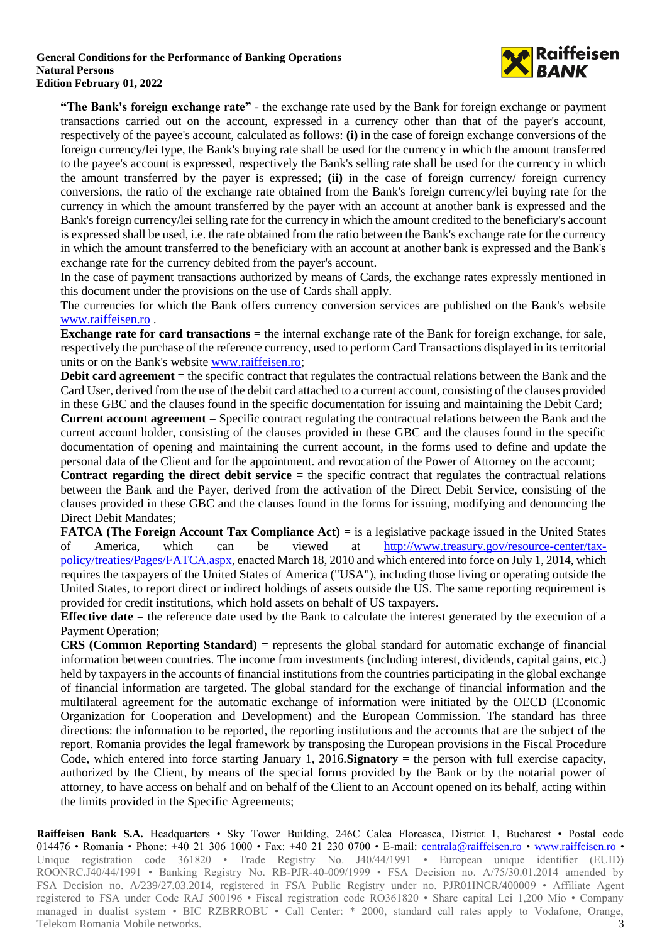

**"The Bank's foreign exchange rate"** - the exchange rate used by the Bank for foreign exchange or payment transactions carried out on the account, expressed in a currency other than that of the payer's account, respectively of the payee's account, calculated as follows: **(i)** in the case of foreign exchange conversions of the foreign currency/lei type, the Bank's buying rate shall be used for the currency in which the amount transferred to the payee's account is expressed, respectively the Bank's selling rate shall be used for the currency in which the amount transferred by the payer is expressed; **(ii)** in the case of foreign currency/ foreign currency conversions, the ratio of the exchange rate obtained from the Bank's foreign currency/lei buying rate for the currency in which the amount transferred by the payer with an account at another bank is expressed and the Bank's foreign currency/lei selling rate for the currency in which the amount credited to the beneficiary's account is expressed shall be used, i.e. the rate obtained from the ratio between the Bank's exchange rate for the currency in which the amount transferred to the beneficiary with an account at another bank is expressed and the Bank's exchange rate for the currency debited from the payer's account.

In the case of payment transactions authorized by means of Cards, the exchange rates expressly mentioned in this document under the provisions on the use of Cards shall apply.

The currencies for which the Bank offers currency conversion services are published on the Bank's website [www.raiffeisen.ro](http://www.raiffeisen.ro/) .

**Exchange rate for card transactions** = the internal exchange rate of the Bank for foreign exchange, for sale, respectively the purchase of the reference currency, used to perform Card Transactions displayed in its territorial units or on the Bank's website [www.raiffeisen.ro;](http://www.raiffeisen.ro/)

**Debit card agreement** = the specific contract that regulates the contractual relations between the Bank and the Card User, derived from the use of the debit card attached to a current account, consisting of the clauses provided in these GBC and the clauses found in the specific documentation for issuing and maintaining the Debit Card;

**Current account agreement** = Specific contract regulating the contractual relations between the Bank and the current account holder, consisting of the clauses provided in these GBC and the clauses found in the specific documentation of opening and maintaining the current account, in the forms used to define and update the personal data of the Client and for the appointment. and revocation of the Power of Attorney on the account;

**Contract regarding the direct debit service** = the specific contract that regulates the contractual relations between the Bank and the Payer, derived from the activation of the Direct Debit Service, consisting of the clauses provided in these GBC and the clauses found in the forms for issuing, modifying and denouncing the Direct Debit Mandates;

**FATCA (The Foreign Account Tax Compliance Act)** = is a legislative package issued in the United States of America, which can be viewed at [http://www.treasury.gov/resource-center/tax](http://www.treasury.gov/resource-center/tax-policy/treaties/Pages/FATCA.aspx)[policy/treaties/Pages/FATCA.aspx,](http://www.treasury.gov/resource-center/tax-policy/treaties/Pages/FATCA.aspx) enacted March 18, 2010 and which entered into force on July 1, 2014, which requires the taxpayers of the United States of America ("USA"), including those living or operating outside the United States, to report direct or indirect holdings of assets outside the US. The same reporting requirement is provided for credit institutions, which hold assets on behalf of US taxpayers.

**Effective date** = the reference date used by the Bank to calculate the interest generated by the execution of a Payment Operation;

**CRS (Common Reporting Standard)** = represents the global standard for automatic exchange of financial information between countries. The income from investments (including interest, dividends, capital gains, etc.) held by taxpayers in the accounts of financial institutions from the countries participating in the global exchange of financial information are targeted. The global standard for the exchange of financial information and the multilateral agreement for the automatic exchange of information were initiated by the OECD (Economic Organization for Cooperation and Development) and the European Commission. The standard has three directions: the information to be reported, the reporting institutions and the accounts that are the subject of the report. Romania provides the legal framework by transposing the European provisions in the Fiscal Procedure Code, which entered into force starting January 1, 2016.**Signatory** = the person with full exercise capacity, authorized by the Client, by means of the special forms provided by the Bank or by the notarial power of attorney, to have access on behalf and on behalf of the Client to an Account opened on its behalf, acting within the limits provided in the Specific Agreements;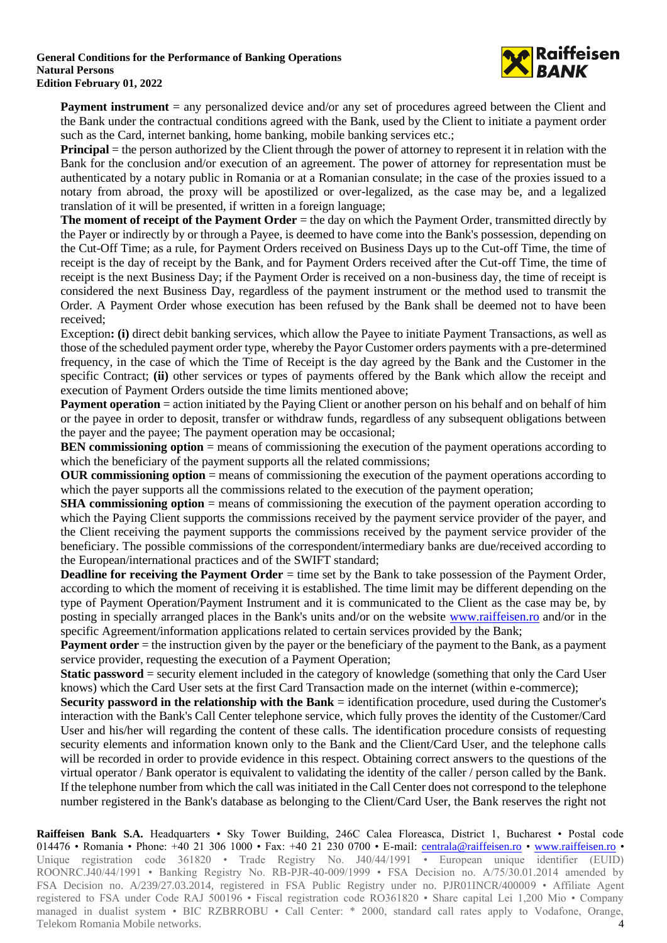

**Payment instrument** = any personalized device and/or any set of procedures agreed between the Client and the Bank under the contractual conditions agreed with the Bank, used by the Client to initiate a payment order such as the Card, internet banking, home banking, mobile banking services etc.;

**Principal** = the person authorized by the Client through the power of attorney to represent it in relation with the Bank for the conclusion and/or execution of an agreement. The power of attorney for representation must be authenticated by a notary public in Romania or at a Romanian consulate; in the case of the proxies issued to a notary from abroad, the proxy will be apostilized or over-legalized, as the case may be, and a legalized translation of it will be presented, if written in a foreign language;

**The moment of receipt of the Payment Order** = the day on which the Payment Order, transmitted directly by the Payer or indirectly by or through a Payee, is deemed to have come into the Bank's possession, depending on the Cut-Off Time; as a rule, for Payment Orders received on Business Days up to the Cut-off Time, the time of receipt is the day of receipt by the Bank, and for Payment Orders received after the Cut-off Time, the time of receipt is the next Business Day; if the Payment Order is received on a non-business day, the time of receipt is considered the next Business Day, regardless of the payment instrument or the method used to transmit the Order. A Payment Order whose execution has been refused by the Bank shall be deemed not to have been received;

Exception**: (i)** direct debit banking services, which allow the Payee to initiate Payment Transactions, as well as those of the scheduled payment order type, whereby the Payor Customer orders payments with a pre-determined frequency, in the case of which the Time of Receipt is the day agreed by the Bank and the Customer in the specific Contract; **(ii)** other services or types of payments offered by the Bank which allow the receipt and execution of Payment Orders outside the time limits mentioned above;

**Payment operation** = action initiated by the Paying Client or another person on his behalf and on behalf of him or the payee in order to deposit, transfer or withdraw funds, regardless of any subsequent obligations between the payer and the payee; The payment operation may be occasional;

**BEN commissioning option** = means of commissioning the execution of the payment operations according to which the beneficiary of the payment supports all the related commissions;

**OUR commissioning option** = means of commissioning the execution of the payment operations according to which the payer supports all the commissions related to the execution of the payment operation;

**SHA commissioning option** = means of commissioning the execution of the payment operation according to which the Paying Client supports the commissions received by the payment service provider of the payer, and the Client receiving the payment supports the commissions received by the payment service provider of the beneficiary. The possible commissions of the correspondent/intermediary banks are due/received according to the European/international practices and of the SWIFT standard;

**Deadline for receiving the Payment Order** = time set by the Bank to take possession of the Payment Order, according to which the moment of receiving it is established. The time limit may be different depending on the type of Payment Operation/Payment Instrument and it is communicated to the Client as the case may be, by posting in specially arranged places in the Bank's units and/or on the website [www.raiffeisen.ro](http://www.raiffeisen.ro/) and/or in the specific Agreement/information applications related to certain services provided by the Bank;

**Payment order** = the instruction given by the payer or the beneficiary of the payment to the Bank, as a payment service provider, requesting the execution of a Payment Operation;

**Static password** = security element included in the category of knowledge (something that only the Card User knows) which the Card User sets at the first Card Transaction made on the internet (within e-commerce);

**Security password in the relationship with the Bank** = identification procedure, used during the Customer's interaction with the Bank's Call Center telephone service, which fully proves the identity of the Customer/Card User and his/her will regarding the content of these calls. The identification procedure consists of requesting security elements and information known only to the Bank and the Client/Card User, and the telephone calls will be recorded in order to provide evidence in this respect. Obtaining correct answers to the questions of the virtual operator / Bank operator is equivalent to validating the identity of the caller / person called by the Bank. If the telephone number from which the call was initiated in the Call Center does not correspond to the telephone number registered in the Bank's database as belonging to the Client/Card User, the Bank reserves the right not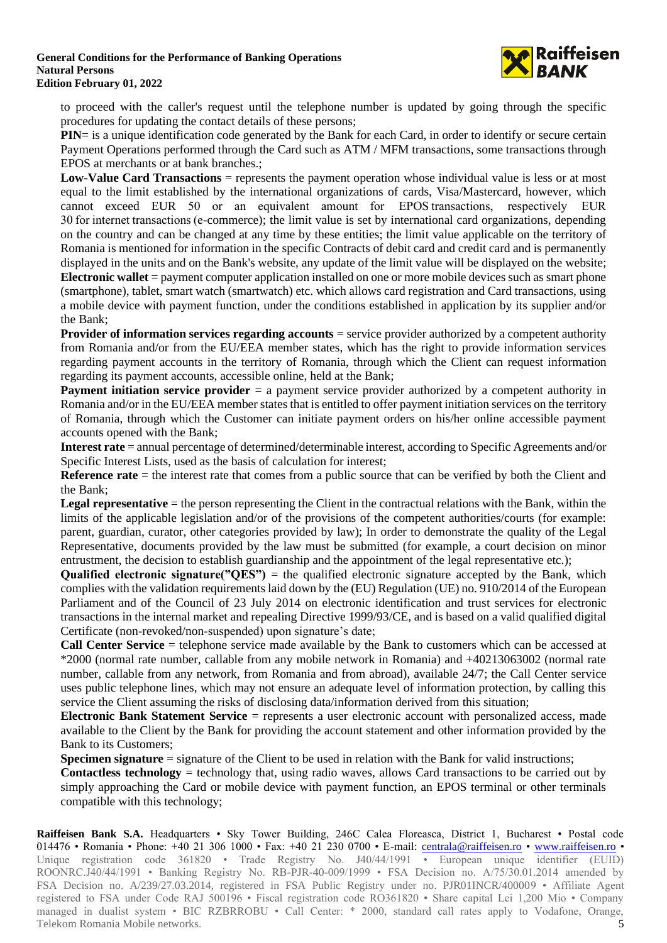

to proceed with the caller's request until the telephone number is updated by going through the specific procedures for updating the contact details of these persons;

**PIN**= is a unique identification code generated by the Bank for each Card, in order to identify or secure certain Payment Operations performed through the Card such as ATM / MFM transactions, some transactions through EPOS at merchants or at bank branches.;

**Low-Value Card Transactions** = represents the payment operation whose individual value is less or at most equal to the limit established by the international organizations of cards, Visa/Mastercard, however, which cannot exceed EUR 50 or an equivalent amount for  EPOS transactions,  respectively  EUR 30 for internet transactions (e-commerce); the limit value is set by international card organizations, depending on the country and can be changed at any time by these entities; the limit value applicable on the territory of Romania is mentioned for information in the specific Contracts of debit card and credit card and is permanently displayed in the units and on the Bank's website, any update of the limit value will be displayed on the website; **Electronic wallet** = payment computer application installed on one or more mobile devices such as smart phone (smartphone), tablet, smart watch (smartwatch) etc. which allows card registration and Card transactions, using a mobile device with payment function, under the conditions established in application by its supplier and/or the Bank;

**Provider of information services regarding accounts** = service provider authorized by a competent authority from Romania and/or from the EU/EEA member states, which has the right to provide information services regarding payment accounts in the territory of Romania, through which the Client can request information regarding its payment accounts, accessible online, held at the Bank;

**Payment initiation service provider** = a payment service provider authorized by a competent authority in Romania and/or in the EU/EEA member states that is entitled to offer payment initiation services on the territory of Romania, through which the Customer can initiate payment orders on his/her online accessible payment accounts opened with the Bank;

**Interest rate** = annual percentage of determined/determinable interest, according to Specific Agreements and/or Specific Interest Lists, used as the basis of calculation for interest;

**Reference rate** = the interest rate that comes from a public source that can be verified by both the Client and the Bank;

**Legal representative** = the person representing the Client in the contractual relations with the Bank, within the limits of the applicable legislation and/or of the provisions of the competent authorities/courts (for example: parent, guardian, curator, other categories provided by law); In order to demonstrate the quality of the Legal Representative, documents provided by the law must be submitted (for example, a court decision on minor entrustment, the decision to establish guardianship and the appointment of the legal representative etc.);

**Qualified electronic signature("QES")** = the qualified electronic signature accepted by the Bank, which complies with the validation requirements laid down by the (EU) Regulation (UE) no. 910/2014 of the European Parliament and of the Council of 23 July 2014 on electronic identification and trust services for electronic transactions in the internal market and repealing Directive 1999/93/CE, and is based on a valid qualified digital Certificate (non-revoked/non-suspended) upon signature's date;

**Call Center Service** = telephone service made available by the Bank to customers which can be accessed at \*2000 (normal rate number, callable from any mobile network in Romania) and +40213063002 (normal rate number, callable from any network, from Romania and from abroad), available 24/7; the Call Center service uses public telephone lines, which may not ensure an adequate level of information protection, by calling this service the Client assuming the risks of disclosing data/information derived from this situation;

**Electronic Bank Statement Service** = represents a user electronic account with personalized access, made available to the Client by the Bank for providing the account statement and other information provided by the Bank to its Customers;

**Specimen signature** = signature of the Client to be used in relation with the Bank for valid instructions;

**Contactless technology** = technology that, using radio waves, allows Card transactions to be carried out by simply approaching the Card or mobile device with payment function, an EPOS terminal or other terminals compatible with this technology;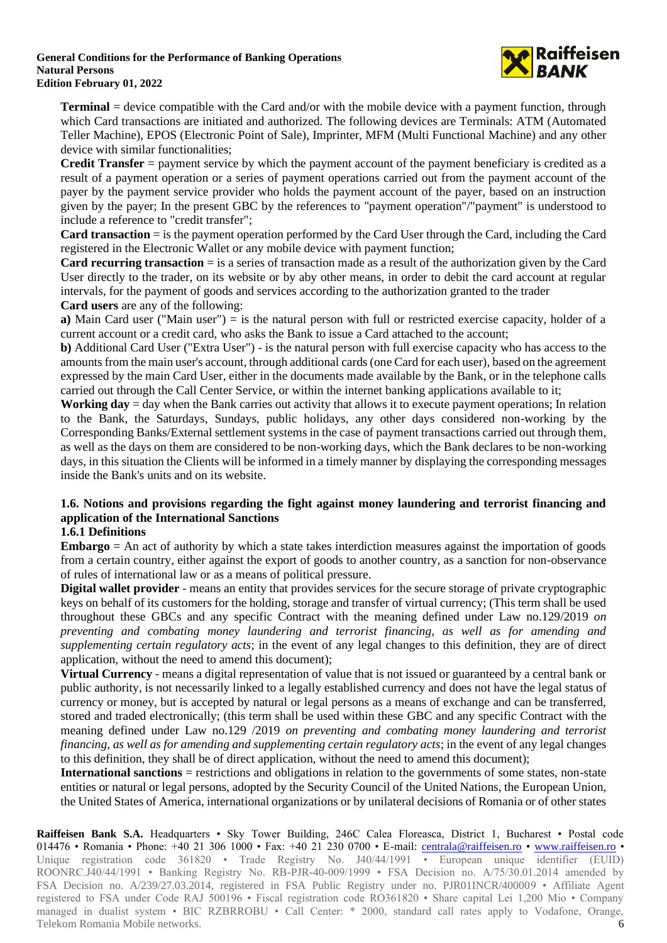

**Terminal** = device compatible with the Card and/or with the mobile device with a payment function, through which Card transactions are initiated and authorized. The following devices are Terminals: ATM (Automated Teller Machine), EPOS (Electronic Point of Sale), Imprinter, MFM (Multi Functional Machine) and any other device with similar functionalities;

**Credit Transfer** = payment service by which the payment account of the payment beneficiary is credited as a result of a payment operation or a series of payment operations carried out from the payment account of the payer by the payment service provider who holds the payment account of the payer, based on an instruction given by the payer; In the present GBC by the references to "payment operation"/"payment" is understood to include a reference to "credit transfer";

**Card transaction** = is the payment operation performed by the Card User through the Card, including the Card registered in the Electronic Wallet or any mobile device with payment function;

**Card recurring transaction** = is a series of transaction made as a result of the authorization given by the Card User directly to the trader, on its website or by aby other means, in order to debit the card account at regular intervals, for the payment of goods and services according to the authorization granted to the trader **Card users** are any of the following:

**a)** Main Card user ("Main user") = is the natural person with full or restricted exercise capacity, holder of a current account or a credit card, who asks the Bank to issue a Card attached to the account;

**b)** Additional Card User ("Extra User") - is the natural person with full exercise capacity who has access to the amounts from the main user's account, through additional cards (one Card for each user), based on the agreement expressed by the main Card User, either in the documents made available by the Bank, or in the telephone calls carried out through the Call Center Service, or within the internet banking applications available to it;

**Working day** = day when the Bank carries out activity that allows it to execute payment operations; In relation to the Bank, the Saturdays, Sundays, public holidays, any other days considered non-working by the Corresponding Banks/External settlement systems in the case of payment transactions carried out through them, as well as the days on them are considered to be non-working days, which the Bank declares to be non-working days, in this situation the Clients will be informed in a timely manner by displaying the corresponding messages inside the Bank's units and on its website.

# **1.6. Notions and provisions regarding the fight against money laundering and terrorist financing and application of the International Sanctions**

## **1.6.1 Definitions**

**Embargo** = An act of authority by which a state takes interdiction measures against the importation of goods from a certain country, either against the export of goods to another country, as a sanction for non-observance of rules of international law or as a means of political pressure.

**Digital wallet provider** - means an entity that provides services for the secure storage of private cryptographic keys on behalf of its customers for the holding, storage and transfer of virtual currency; (This term shall be used throughout these GBCs and any specific Contract with the meaning defined under Law no.129/2019 *on preventing and combating money laundering and terrorist financing, as well as for amending and supplementing certain regulatory acts*; in the event of any legal changes to this definition, they are of direct application, without the need to amend this document);

**Virtual Currency** - means a digital representation of value that is not issued or guaranteed by a central bank or public authority, is not necessarily linked to a legally established currency and does not have the legal status of currency or money, but is accepted by natural or legal persons as a means of exchange and can be transferred, stored and traded electronically; (this term shall be used within these GBC and any specific Contract with the meaning defined under Law no.129 /2019 *on preventing and combating money laundering and terrorist financing, as well as for amending and supplementing certain regulatory acts*; in the event of any legal changes to this definition, they shall be of direct application, without the need to amend this document);

**International sanctions** = restrictions and obligations in relation to the governments of some states, non-state entities or natural or legal persons, adopted by the Security Council of the United Nations, the European Union, the United States of America, international organizations or by unilateral decisions of Romania or of other states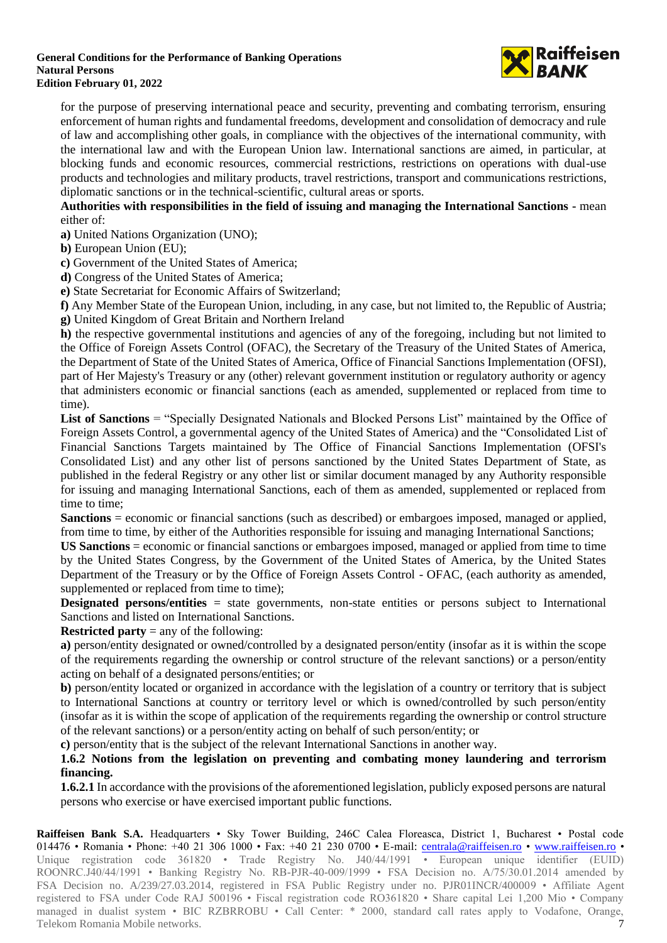

for the purpose of preserving international peace and security, preventing and combating terrorism, ensuring enforcement of human rights and fundamental freedoms, development and consolidation of democracy and rule of law and accomplishing other goals, in compliance with the objectives of the international community, with the international law and with the European Union law. International sanctions are aimed, in particular, at blocking funds and economic resources, commercial restrictions, restrictions on operations with dual-use products and technologies and military products, travel restrictions, transport and communications restrictions, diplomatic sanctions or in the technical-scientific, cultural areas or sports.

**Authorities with responsibilities in the field of issuing and managing the International Sanctions -** mean either of:

**a)** United Nations Organization (UNO);

**b)** European Union (EU);

**c)** Government of the United States of America;

**d)** Congress of the United States of America;

**e)** State Secretariat for Economic Affairs of Switzerland;

**f)** Any Member State of the European Union, including, in any case, but not limited to, the Republic of Austria; **g)** United Kingdom of Great Britain and Northern Ireland

**h)** the respective governmental institutions and agencies of any of the foregoing, including but not limited to the Office of Foreign Assets Control (OFAC), the Secretary of the Treasury of the United States of America, the Department of State of the United States of America, Office of Financial Sanctions Implementation (OFSI), part of Her Majesty's Treasury or any (other) relevant government institution or regulatory authority or agency that administers economic or financial sanctions (each as amended, supplemented or replaced from time to time).

**List of Sanctions** = "Specially Designated Nationals and Blocked Persons List" maintained by the Office of Foreign Assets Control, a governmental agency of the United States of America) and the "Consolidated List of Financial Sanctions Targets maintained by The Office of Financial Sanctions Implementation (OFSI's Consolidated List) and any other list of persons sanctioned by the United States Department of State, as published in the federal Registry or any other list or similar document managed by any Authority responsible for issuing and managing International Sanctions, each of them as amended, supplemented or replaced from time to time;

**Sanctions** = economic or financial sanctions (such as described) or embargoes imposed, managed or applied, from time to time, by either of the Authorities responsible for issuing and managing International Sanctions;

**US Sanctions** = economic or financial sanctions or embargoes imposed, managed or applied from time to time by the United States Congress, by the Government of the United States of America, by the United States Department of the Treasury or by the Office of Foreign Assets Control - OFAC, (each authority as amended, supplemented or replaced from time to time);

**Designated persons/entities** = state governments, non-state entities or persons subject to International Sanctions and listed on International Sanctions.

**Restricted party** = any of the following:

**a)** person/entity designated or owned/controlled by a designated person/entity (insofar as it is within the scope of the requirements regarding the ownership or control structure of the relevant sanctions) or a person/entity acting on behalf of a designated persons/entities; or

**b)** person/entity located or organized in accordance with the legislation of a country or territory that is subject to International Sanctions at country or territory level or which is owned/controlled by such person/entity (insofar as it is within the scope of application of the requirements regarding the ownership or control structure of the relevant sanctions) or a person/entity acting on behalf of such person/entity; or

**c)** person/entity that is the subject of the relevant International Sanctions in another way.

### **1.6.2 Notions from the legislation on preventing and combating money laundering and terrorism financing.**

**1.6.2.1** In accordance with the provisions of the aforementioned legislation, publicly exposed persons are natural persons who exercise or have exercised important public functions.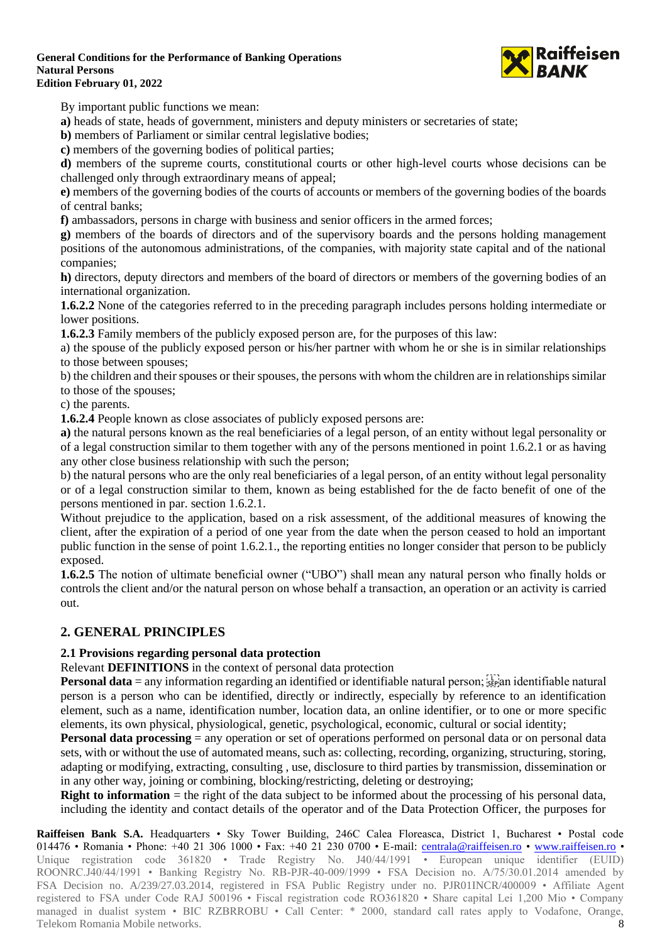

By important public functions we mean:

**a)** heads of state, heads of government, ministers and deputy ministers or secretaries of state;

**b)** members of Parliament or similar central legislative bodies;

**c)** members of the governing bodies of political parties;

**d)** members of the supreme courts, constitutional courts or other high-level courts whose decisions can be challenged only through extraordinary means of appeal;

**e)** members of the governing bodies of the courts of accounts or members of the governing bodies of the boards of central banks;

**f)** ambassadors, persons in charge with business and senior officers in the armed forces;

**g)** members of the boards of directors and of the supervisory boards and the persons holding management positions of the autonomous administrations, of the companies, with majority state capital and of the national companies;

**h)** directors, deputy directors and members of the board of directors or members of the governing bodies of an international organization.

**1.6.2.2** None of the categories referred to in the preceding paragraph includes persons holding intermediate or lower positions.

**1.6.2.3** Family members of the publicly exposed person are, for the purposes of this law:

a) the spouse of the publicly exposed person or his/her partner with whom he or she is in similar relationships to those between spouses;

b) the children and their spouses or their spouses, the persons with whom the children are in relationships similar to those of the spouses;

c) the parents.

**1.6.2.4** People known as close associates of publicly exposed persons are:

**a)** the natural persons known as the real beneficiaries of a legal person, of an entity without legal personality or of a legal construction similar to them together with any of the persons mentioned in point 1.6.2.1 or as having any other close business relationship with such the person;

b) the natural persons who are the only real beneficiaries of a legal person, of an entity without legal personality or of a legal construction similar to them, known as being established for the de facto benefit of one of the persons mentioned in par. section 1.6.2.1.

Without prejudice to the application, based on a risk assessment, of the additional measures of knowing the client, after the expiration of a period of one year from the date when the person ceased to hold an important public function in the sense of point 1.6.2.1., the reporting entities no longer consider that person to be publicly exposed.

**1.6.2.5** The notion of ultimate beneficial owner ("UBO") shall mean any natural person who finally holds or controls the client and/or the natural person on whose behalf a transaction, an operation or an activity is carried out.

## **2. GENERAL PRINCIPLES**

## **2.1 Provisions regarding personal data protection**

Relevant **DEFINITIONS** in the context of personal data protection

**Personal data** = any information regarding an identified or identifiable natural person;  $\frac{1}{3}$  an identifiable natural person is a person who can be identified, directly or indirectly, especially by reference to an identification element, such as a name, identification number, location data, an online identifier, or to one or more specific elements, its own physical, physiological, genetic, psychological, economic, cultural or social identity;

**Personal data processing** = any operation or set of operations performed on personal data or on personal data sets, with or without the use of automated means, such as: collecting, recording, organizing, structuring, storing, adapting or modifying, extracting, consulting , use, disclosure to third parties by transmission, dissemination or in any other way, joining or combining, blocking/restricting, deleting or destroying;

**Right to information** = the right of the data subject to be informed about the processing of his personal data, including the identity and contact details of the operator and of the Data Protection Officer, the purposes for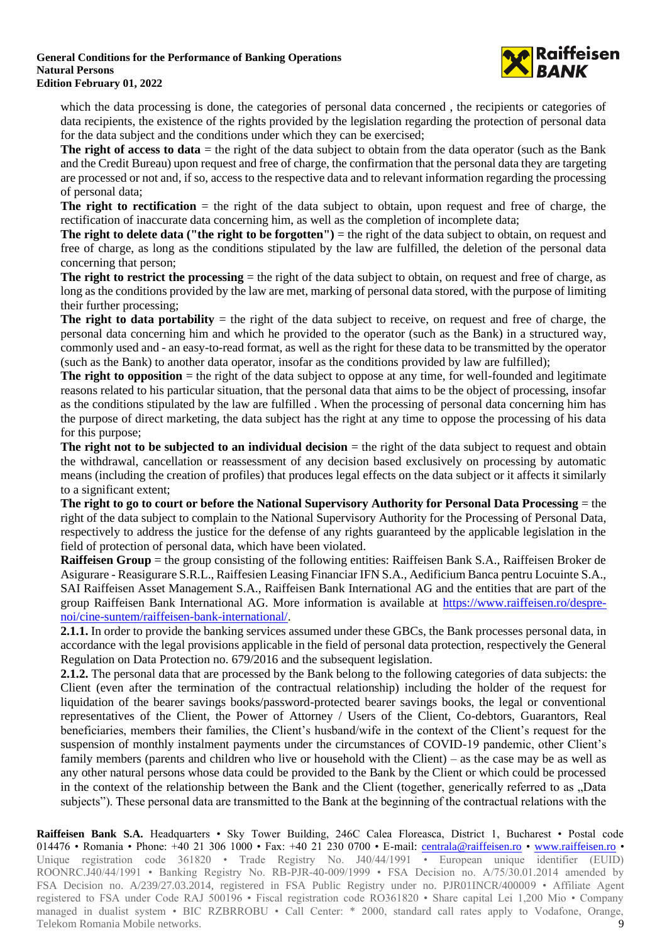

which the data processing is done, the categories of personal data concerned, the recipients or categories of data recipients, the existence of the rights provided by the legislation regarding the protection of personal data for the data subject and the conditions under which they can be exercised;

**The right of access to data** = the right of the data subject to obtain from the data operator (such as the Bank and the Credit Bureau) upon request and free of charge, the confirmation that the personal data they are targeting are processed or not and, if so, access to the respective data and to relevant information regarding the processing of personal data;

**The right to rectification**  $=$  the right of the data subject to obtain, upon request and free of charge, the rectification of inaccurate data concerning him, as well as the completion of incomplete data;

**The right to delete data ("the right to be forgotten")** = the right of the data subject to obtain, on request and free of charge, as long as the conditions stipulated by the law are fulfilled, the deletion of the personal data concerning that person;

**The right to restrict the processing** = the right of the data subject to obtain, on request and free of charge, as long as the conditions provided by the law are met, marking of personal data stored, with the purpose of limiting their further processing;

**The right to data portability** = the right of the data subject to receive, on request and free of charge, the personal data concerning him and which he provided to the operator (such as the Bank) in a structured way, commonly used and - an easy-to-read format, as well as the right for these data to be transmitted by the operator (such as the Bank) to another data operator, insofar as the conditions provided by law are fulfilled);

**The right to opposition** = the right of the data subject to oppose at any time, for well-founded and legitimate reasons related to his particular situation, that the personal data that aims to be the object of processing, insofar as the conditions stipulated by the law are fulfilled . When the processing of personal data concerning him has the purpose of direct marketing, the data subject has the right at any time to oppose the processing of his data for this purpose;

**The right not to be subjected to an <b>individual decision** = the right of the data subject to request and obtain the withdrawal, cancellation or reassessment of any decision based exclusively on processing by automatic means (including the creation of profiles) that produces legal effects on the data subject or it affects it similarly to a significant extent;

**The right to go to court or before the National Supervisory Authority for Personal Data Processing** = the right of the data subject to complain to the National Supervisory Authority for the Processing of Personal Data, respectively to address the justice for the defense of any rights guaranteed by the applicable legislation in the field of protection of personal data, which have been violated.

**Raiffeisen Group** = the group consisting of the following entities: Raiffeisen Bank S.A., Raiffeisen Broker de Asigurare - Reasigurare S.R.L., Raiffesien Leasing Financiar IFN S.A., Aedificium Banca pentru Locuinte S.A., SAI Raiffeisen Asset Management S.A., Raiffeisen Bank International AG and the entities that are part of the group Raiffeisen Bank International AG. More information is available at [https://www.raiffeisen.ro/despre](https://www.raiffeisen.ro/despre-noi/cine-suntem/raiffeisen-bank-international/)[noi/cine-suntem/raiffeisen-bank-international/.](https://www.raiffeisen.ro/despre-noi/cine-suntem/raiffeisen-bank-international/)

**2.1.1.** In order to provide the banking services assumed under these GBCs, the Bank processes personal data, in accordance with the legal provisions applicable in the field of personal data protection, respectively the General Regulation on Data Protection no. 679/2016 and the subsequent legislation.

**2.1.2.** The personal data that are processed by the Bank belong to the following categories of data subjects: the Client (even after the termination of the contractual relationship) including the holder of the request for liquidation of the bearer savings books/password-protected bearer savings books, the legal or conventional representatives of the Client, the Power of Attorney / Users of the Client, Co-debtors, Guarantors, Real beneficiaries, members their families, the Client's husband/wife in the context of the Client's request for the suspension of monthly instalment payments under the circumstances of COVID-19 pandemic, other Client's family members (parents and children who live or household with the Client) – as the case may be as well as any other natural persons whose data could be provided to the Bank by the Client or which could be processed in the context of the relationship between the Bank and the Client (together, generically referred to as "Data subjects"). These personal data are transmitted to the Bank at the beginning of the contractual relations with the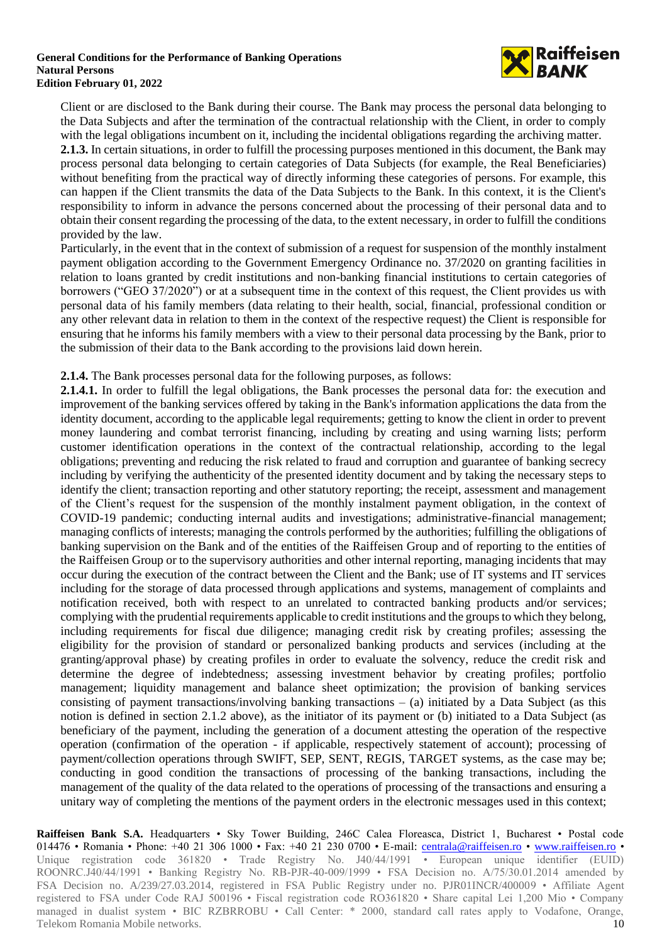

Client or are disclosed to the Bank during their course. The Bank may process the personal data belonging to the Data Subjects and after the termination of the contractual relationship with the Client, in order to comply with the legal obligations incumbent on it, including the incidental obligations regarding the archiving matter. **2.1.3.** In certain situations, in order to fulfill the processing purposes mentioned in this document, the Bank may process personal data belonging to certain categories of Data Subjects (for example, the Real Beneficiaries) without benefiting from the practical way of directly informing these categories of persons. For example, this can happen if the Client transmits the data of the Data Subjects to the Bank. In this context, it is the Client's responsibility to inform in advance the persons concerned about the processing of their personal data and to obtain their consent regarding the processing of the data, to the extent necessary, in order to fulfill the conditions provided by the law.

Particularly, in the event that in the context of submission of a request for suspension of the monthly instalment payment obligation according to the Government Emergency Ordinance no. 37/2020 on granting facilities in relation to loans granted by credit institutions and non-banking financial institutions to certain categories of borrowers ("GEO 37/2020") or at a subsequent time in the context of this request, the Client provides us with personal data of his family members (data relating to their health, social, financial, professional condition or any other relevant data in relation to them in the context of the respective request) the Client is responsible for ensuring that he informs his family members with a view to their personal data processing by the Bank, prior to the submission of their data to the Bank according to the provisions laid down herein.

### **2.1.4.** The Bank processes personal data for the following purposes, as follows:

**2.1.4.1.** In order to fulfill the legal obligations, the Bank processes the personal data for: the execution and improvement of the banking services offered by taking in the Bank's information applications the data from the identity document, according to the applicable legal requirements; getting to know the client in order to prevent money laundering and combat terrorist financing, including by creating and using warning lists; perform customer identification operations in the context of the contractual relationship, according to the legal obligations; preventing and reducing the risk related to fraud and corruption and guarantee of banking secrecy including by verifying the authenticity of the presented identity document and by taking the necessary steps to identify the client; transaction reporting and other statutory reporting; the receipt, assessment and management of the Client's request for the suspension of the monthly instalment payment obligation, in the context of COVID-19 pandemic; conducting internal audits and investigations; administrative-financial management; managing conflicts of interests; managing the controls performed by the authorities; fulfilling the obligations of banking supervision on the Bank and of the entities of the Raiffeisen Group and of reporting to the entities of the Raiffeisen Group or to the supervisory authorities and other internal reporting, managing incidents that may occur during the execution of the contract between the Client and the Bank; use of IT systems and IT services including for the storage of data processed through applications and systems, management of complaints and notification received, both with respect to an unrelated to contracted banking products and/or services; complying with the prudential requirements applicable to credit institutions and the groups to which they belong, including requirements for fiscal due diligence; managing credit risk by creating profiles; assessing the eligibility for the provision of standard or personalized banking products and services (including at the granting/approval phase) by creating profiles in order to evaluate the solvency, reduce the credit risk and determine the degree of indebtedness; assessing investment behavior by creating profiles; portfolio management; liquidity management and balance sheet optimization; the provision of banking services consisting of payment transactions/involving banking transactions  $-$  (a) initiated by a Data Subject (as this notion is defined in section 2.1.2 above), as the initiator of its payment or (b) initiated to a Data Subject (as beneficiary of the payment, including the generation of a document attesting the operation of the respective operation (confirmation of the operation - if applicable, respectively statement of account); processing of payment/collection operations through SWIFT, SEP, SENT, REGIS, TARGET systems, as the case may be; conducting in good condition the transactions of processing of the banking transactions, including the management of the quality of the data related to the operations of processing of the transactions and ensuring a unitary way of completing the mentions of the payment orders in the electronic messages used in this context;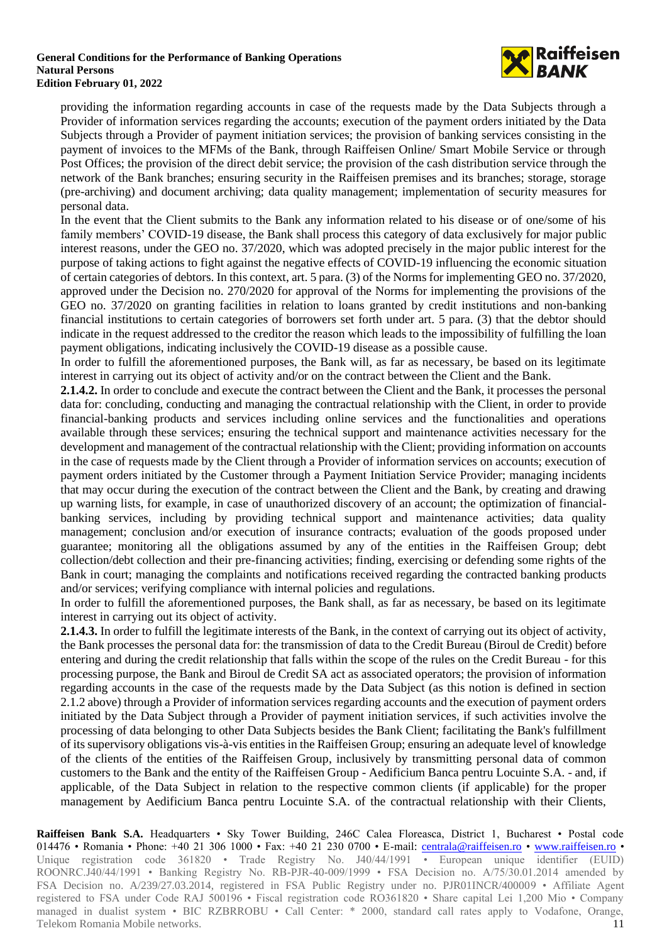

providing the information regarding accounts in case of the requests made by the Data Subjects through a Provider of information services regarding the accounts; execution of the payment orders initiated by the Data Subjects through a Provider of payment initiation services; the provision of banking services consisting in the payment of invoices to the MFMs of the Bank, through Raiffeisen Online/ Smart Mobile Service or through Post Offices; the provision of the direct debit service; the provision of the cash distribution service through the network of the Bank branches; ensuring security in the Raiffeisen premises and its branches; storage, storage (pre-archiving) and document archiving; data quality management; implementation of security measures for personal data.

In the event that the Client submits to the Bank any information related to his disease or of one/some of his family members' COVID-19 disease, the Bank shall process this category of data exclusively for major public interest reasons, under the GEO no. 37/2020, which was adopted precisely in the major public interest for the purpose of taking actions to fight against the negative effects of COVID-19 influencing the economic situation of certain categories of debtors. In this context, art. 5 para. (3) of the Norms for implementing GEO no. 37/2020, approved under the Decision no. 270/2020 for approval of the Norms for implementing the provisions of the GEO no. 37/2020 on granting facilities in relation to loans granted by credit institutions and non-banking financial institutions to certain categories of borrowers set forth under art. 5 para. (3) that the debtor should indicate in the request addressed to the creditor the reason which leads to the impossibility of fulfilling the loan payment obligations, indicating inclusively the COVID-19 disease as a possible cause.

In order to fulfill the aforementioned purposes, the Bank will, as far as necessary, be based on its legitimate interest in carrying out its object of activity and/or on the contract between the Client and the Bank.

**2.1.4.2.** In order to conclude and execute the contract between the Client and the Bank, it processes the personal data for: concluding, conducting and managing the contractual relationship with the Client, in order to provide financial-banking products and services including online services and the functionalities and operations available through these services; ensuring the technical support and maintenance activities necessary for the development and management of the contractual relationship with the Client; providing information on accounts in the case of requests made by the Client through a Provider of information services on accounts; execution of payment orders initiated by the Customer through a Payment Initiation Service Provider; managing incidents that may occur during the execution of the contract between the Client and the Bank, by creating and drawing up warning lists, for example, in case of unauthorized discovery of an account; the optimization of financialbanking services, including by providing technical support and maintenance activities; data quality management; conclusion and/or execution of insurance contracts; evaluation of the goods proposed under guarantee; monitoring all the obligations assumed by any of the entities in the Raiffeisen Group; debt collection/debt collection and their pre-financing activities; finding, exercising or defending some rights of the Bank in court; managing the complaints and notifications received regarding the contracted banking products and/or services; verifying compliance with internal policies and regulations.

In order to fulfill the aforementioned purposes, the Bank shall, as far as necessary, be based on its legitimate interest in carrying out its object of activity.

**2.1.4.3.** In order to fulfill the legitimate interests of the Bank, in the context of carrying out its object of activity, the Bank processes the personal data for: the transmission of data to the Credit Bureau (Biroul de Credit) before entering and during the credit relationship that falls within the scope of the rules on the Credit Bureau - for this processing purpose, the Bank and Biroul de Credit SA act as associated operators; the provision of information regarding accounts in the case of the requests made by the Data Subject (as this notion is defined in section 2.1.2 above) through a Provider of information services regarding accounts and the execution of payment orders initiated by the Data Subject through a Provider of payment initiation services, if such activities involve the processing of data belonging to other Data Subjects besides the Bank Client; facilitating the Bank's fulfillment of its supervisory obligations vis-à-vis entities in the Raiffeisen Group; ensuring an adequate level of knowledge of the clients of the entities of the Raiffeisen Group, inclusively by transmitting personal data of common customers to the Bank and the entity of the Raiffeisen Group - Aedificium Banca pentru Locuinte S.A. - and, if applicable, of the Data Subject in relation to the respective common clients (if applicable) for the proper management by Aedificium Banca pentru Locuinte S.A. of the contractual relationship with their Clients,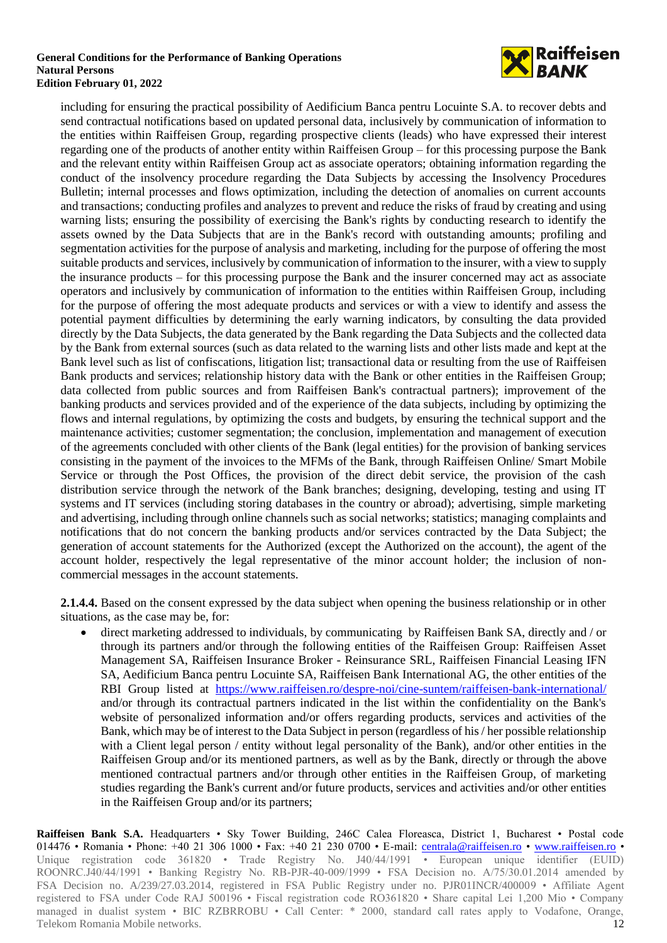

including for ensuring the practical possibility of Aedificium Banca pentru Locuinte S.A. to recover debts and send contractual notifications based on updated personal data, inclusively by communication of information to the entities within Raiffeisen Group, regarding prospective clients (leads) who have expressed their interest regarding one of the products of another entity within Raiffeisen Group – for this processing purpose the Bank and the relevant entity within Raiffeisen Group act as associate operators; obtaining information regarding the conduct of the insolvency procedure regarding the Data Subjects by accessing the Insolvency Procedures Bulletin; internal processes and flows optimization, including the detection of anomalies on current accounts and transactions; conducting profiles and analyzes to prevent and reduce the risks of fraud by creating and using warning lists; ensuring the possibility of exercising the Bank's rights by conducting research to identify the assets owned by the Data Subjects that are in the Bank's record with outstanding amounts; profiling and segmentation activities for the purpose of analysis and marketing, including for the purpose of offering the most suitable products and services, inclusively by communication of information to the insurer, with a view to supply the insurance products – for this processing purpose the Bank and the insurer concerned may act as associate operators and inclusively by communication of information to the entities within Raiffeisen Group, including for the purpose of offering the most adequate products and services or with a view to identify and assess the potential payment difficulties by determining the early warning indicators, by consulting the data provided directly by the Data Subjects, the data generated by the Bank regarding the Data Subjects and the collected data by the Bank from external sources (such as data related to the warning lists and other lists made and kept at the Bank level such as list of confiscations, litigation list; transactional data or resulting from the use of Raiffeisen Bank products and services; relationship history data with the Bank or other entities in the Raiffeisen Group; data collected from public sources and from Raiffeisen Bank's contractual partners); improvement of the banking products and services provided and of the experience of the data subjects, including by optimizing the flows and internal regulations, by optimizing the costs and budgets, by ensuring the technical support and the maintenance activities; customer segmentation; the conclusion, implementation and management of execution of the agreements concluded with other clients of the Bank (legal entities) for the provision of banking services consisting in the payment of the invoices to the MFMs of the Bank, through Raiffeisen Online/ Smart Mobile Service or through the Post Offices, the provision of the direct debit service, the provision of the cash distribution service through the network of the Bank branches; designing, developing, testing and using IT systems and IT services (including storing databases in the country or abroad); advertising, simple marketing and advertising, including through online channels such as social networks; statistics; managing complaints and notifications that do not concern the banking products and/or services contracted by the Data Subject; the generation of account statements for the Authorized (except the Authorized on the account), the agent of the account holder, respectively the legal representative of the minor account holder; the inclusion of noncommercial messages in the account statements.

**2.1.4.4.** Based on the consent expressed by the data subject when opening the business relationship or in other situations, as the case may be, for:

• direct marketing addressed to individuals, by communicating by Raiffeisen Bank SA, directly and / or through its partners and/or through the following entities of the Raiffeisen Group: Raiffeisen Asset Management SA, Raiffeisen Insurance Broker - Reinsurance SRL, Raiffeisen Financial Leasing IFN SA, Aedificium Banca pentru Locuinte SA, Raiffeisen Bank International AG, the other entities of the RBI Group listed at <https://www.raiffeisen.ro/despre-noi/cine-suntem/raiffeisen-bank-international/> and/or through its contractual partners indicated in the list within the confidentiality on the Bank's website of personalized information and/or offers regarding products, services and activities of the Bank, which may be of interest to the Data Subject in person (regardless of his / her possible relationship with a Client legal person / entity without legal personality of the Bank), and/or other entities in the Raiffeisen Group and/or its mentioned partners, as well as by the Bank, directly or through the above mentioned contractual partners and/or through other entities in the Raiffeisen Group, of marketing studies regarding the Bank's current and/or future products, services and activities and/or other entities in the Raiffeisen Group and/or its partners;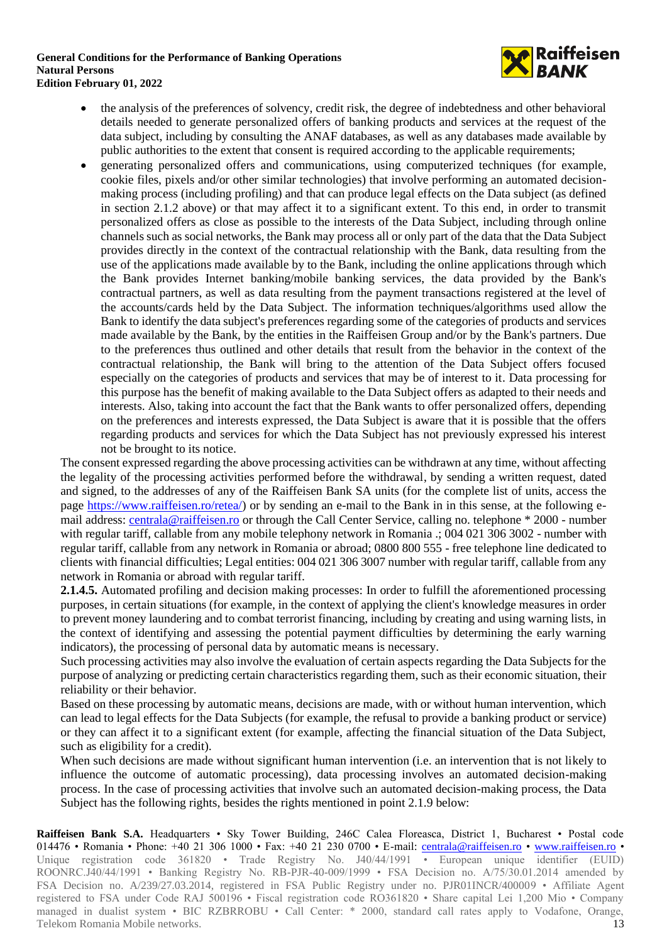

- the analysis of the preferences of solvency, credit risk, the degree of indebtedness and other behavioral details needed to generate personalized offers of banking products and services at the request of the data subject, including by consulting the ANAF databases, as well as any databases made available by public authorities to the extent that consent is required according to the applicable requirements;
- generating personalized offers and communications, using computerized techniques (for example, cookie files, pixels and/or other similar technologies) that involve performing an automated decisionmaking process (including profiling) and that can produce legal effects on the Data subject (as defined in section 2.1.2 above) or that may affect it to a significant extent. To this end, in order to transmit personalized offers as close as possible to the interests of the Data Subject, including through online channels such as social networks, the Bank may process all or only part of the data that the Data Subject provides directly in the context of the contractual relationship with the Bank, data resulting from the use of the applications made available by to the Bank, including the online applications through which the Bank provides Internet banking/mobile banking services, the data provided by the Bank's contractual partners, as well as data resulting from the payment transactions registered at the level of the accounts/cards held by the Data Subject. The information techniques/algorithms used allow the Bank to identify the data subject's preferences regarding some of the categories of products and services made available by the Bank, by the entities in the Raiffeisen Group and/or by the Bank's partners. Due to the preferences thus outlined and other details that result from the behavior in the context of the contractual relationship, the Bank will bring to the attention of the Data Subject offers focused especially on the categories of products and services that may be of interest to it. Data processing for this purpose has the benefit of making available to the Data Subject offers as adapted to their needs and interests. Also, taking into account the fact that the Bank wants to offer personalized offers, depending on the preferences and interests expressed, the Data Subject is aware that it is possible that the offers regarding products and services for which the Data Subject has not previously expressed his interest not be brought to its notice.

The consent expressed regarding the above processing activities can be withdrawn at any time, without affecting the legality of the processing activities performed before the withdrawal, by sending a written request, dated and signed, to the addresses of any of the Raiffeisen Bank SA units (for the complete list of units, access the page [https://www.raiffeisen.ro/retea/\)](https://www.raiffeisen.ro/retea/) or by sending an e-mail to the Bank in in this sense, at the following email address: [centrala@raiffeisen.ro](mailto:centrala@raiffeisen.ro) or through the Call Center Service, calling no. telephone \* 2000 - number with regular tariff, callable from any mobile telephony network in Romania .; 004 021 306 3002 - number with regular tariff, callable from any network in Romania or abroad; 0800 800 555 - free telephone line dedicated to clients with financial difficulties; Legal entities: 004 021 306 3007 number with regular tariff, callable from any network in Romania or abroad with regular tariff.

**2.1.4.5.** Automated profiling and decision making processes: In order to fulfill the aforementioned processing purposes, in certain situations (for example, in the context of applying the client's knowledge measures in order to prevent money laundering and to combat terrorist financing, including by creating and using warning lists, in the context of identifying and assessing the potential payment difficulties by determining the early warning indicators), the processing of personal data by automatic means is necessary.

Such processing activities may also involve the evaluation of certain aspects regarding the Data Subjects for the purpose of analyzing or predicting certain characteristics regarding them, such as their economic situation, their reliability or their behavior.

Based on these processing by automatic means, decisions are made, with or without human intervention, which can lead to legal effects for the Data Subjects (for example, the refusal to provide a banking product or service) or they can affect it to a significant extent (for example, affecting the financial situation of the Data Subject, such as eligibility for a credit).

When such decisions are made without significant human intervention (i.e. an intervention that is not likely to influence the outcome of automatic processing), data processing involves an automated decision-making process. In the case of processing activities that involve such an automated decision-making process, the Data Subject has the following rights, besides the rights mentioned in point 2.1.9 below: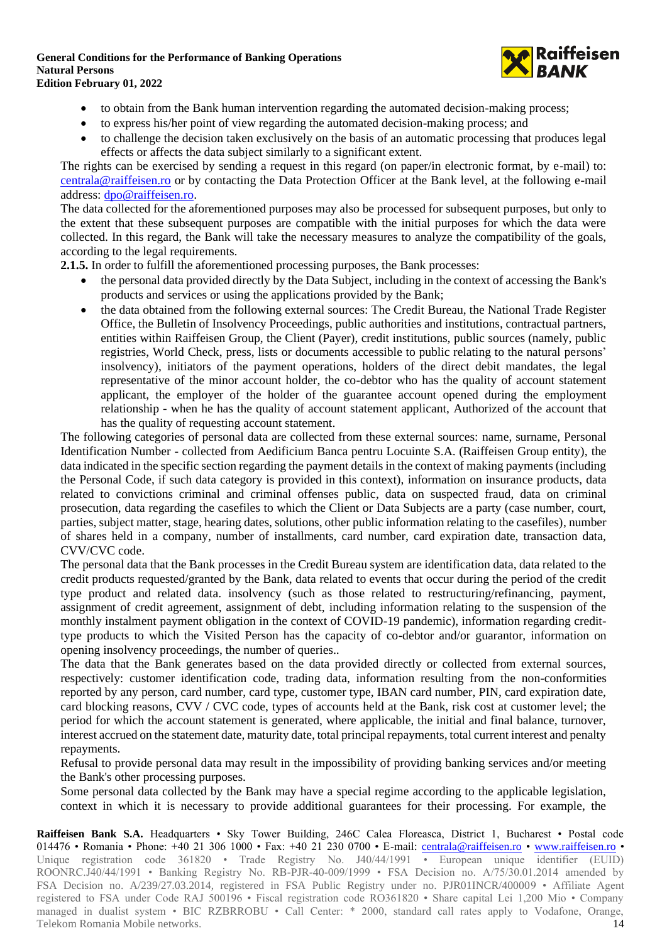

- to obtain from the Bank human intervention regarding the automated decision-making process;
- to express his/her point of view regarding the automated decision-making process; and
- to challenge the decision taken exclusively on the basis of an automatic processing that produces legal effects or affects the data subject similarly to a significant extent.

The rights can be exercised by sending a request in this regard (on paper/in electronic format, by e-mail) to: [centrala@raiffeisen.ro](mailto:centrala@raiffeisen.ro) or by contacting the Data Protection Officer at the Bank level, at the following e-mail address: [dpo@raiffeisen.ro.](mailto:dpo@raiffeisen.ro)

The data collected for the aforementioned purposes may also be processed for subsequent purposes, but only to the extent that these subsequent purposes are compatible with the initial purposes for which the data were collected. In this regard, the Bank will take the necessary measures to analyze the compatibility of the goals, according to the legal requirements.

**2.1.5.** In order to fulfill the aforementioned processing purposes, the Bank processes:

- the personal data provided directly by the Data Subject, including in the context of accessing the Bank's products and services or using the applications provided by the Bank;
- the data obtained from the following external sources: The Credit Bureau, the National Trade Register Office, the Bulletin of Insolvency Proceedings, public authorities and institutions, contractual partners, entities within Raiffeisen Group, the Client (Payer), credit institutions, public sources (namely, public registries, World Check, press, lists or documents accessible to public relating to the natural persons' insolvency), initiators of the payment operations, holders of the direct debit mandates, the legal representative of the minor account holder, the co-debtor who has the quality of account statement applicant, the employer of the holder of the guarantee account opened during the employment relationship - when he has the quality of account statement applicant, Authorized of the account that has the quality of requesting account statement.

The following categories of personal data are collected from these external sources: name, surname, Personal Identification Number - collected from Aedificium Banca pentru Locuinte S.A. (Raiffeisen Group entity), the data indicated in the specific section regarding the payment details in the context of making payments (including the Personal Code, if such data category is provided in this context), information on insurance products, data related to convictions criminal and criminal offenses public, data on suspected fraud, data on criminal prosecution, data regarding the casefiles to which the Client or Data Subjects are a party (case number, court, parties, subject matter, stage, hearing dates, solutions, other public information relating to the casefiles), number of shares held in a company, number of installments, card number, card expiration date, transaction data, CVV/CVC code.

The personal data that the Bank processes in the Credit Bureau system are identification data, data related to the credit products requested/granted by the Bank, data related to events that occur during the period of the credit type product and related data. insolvency (such as those related to restructuring/refinancing, payment, assignment of credit agreement, assignment of debt, including information relating to the suspension of the monthly instalment payment obligation in the context of COVID-19 pandemic), information regarding credittype products to which the Visited Person has the capacity of co-debtor and/or guarantor, information on opening insolvency proceedings, the number of queries..

The data that the Bank generates based on the data provided directly or collected from external sources, respectively: customer identification code, trading data, information resulting from the non-conformities reported by any person, card number, card type, customer type, IBAN card number, PIN, card expiration date, card blocking reasons, CVV / CVC code, types of accounts held at the Bank, risk cost at customer level; the period for which the account statement is generated, where applicable, the initial and final balance, turnover, interest accrued on the statement date, maturity date, total principal repayments, total current interest and penalty repayments.

Refusal to provide personal data may result in the impossibility of providing banking services and/or meeting the Bank's other processing purposes.

Some personal data collected by the Bank may have a special regime according to the applicable legislation, context in which it is necessary to provide additional guarantees for their processing. For example, the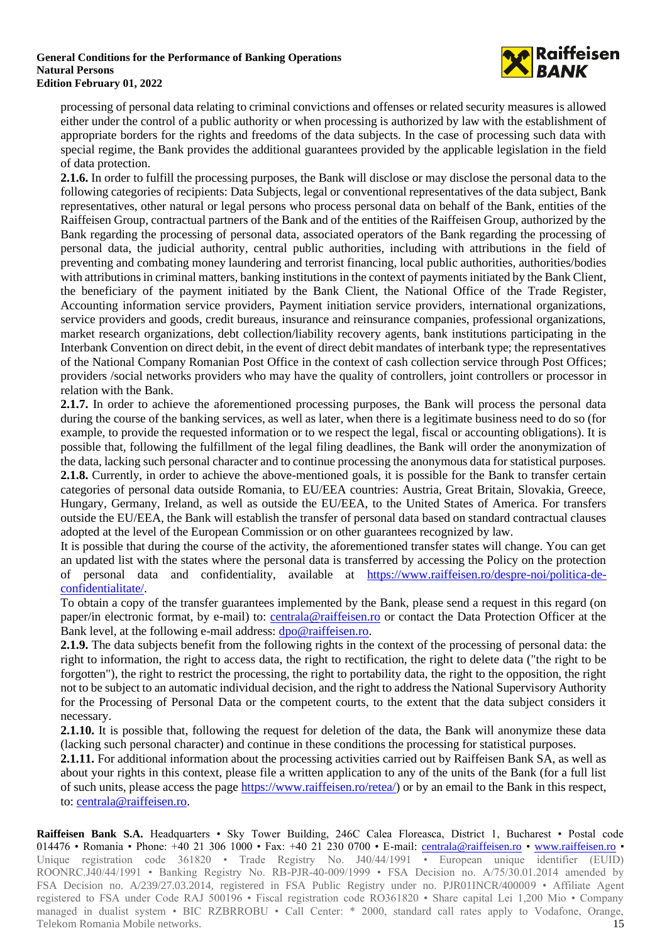

processing of personal data relating to criminal convictions and offenses or related security measures is allowed either under the control of a public authority or when processing is authorized by law with the establishment of appropriate borders for the rights and freedoms of the data subjects. In the case of processing such data with special regime, the Bank provides the additional guarantees provided by the applicable legislation in the field of data protection.

**2.1.6.** In order to fulfill the processing purposes, the Bank will disclose or may disclose the personal data to the following categories of recipients: Data Subjects, legal or conventional representatives of the data subject, Bank representatives, other natural or legal persons who process personal data on behalf of the Bank, entities of the Raiffeisen Group, contractual partners of the Bank and of the entities of the Raiffeisen Group, authorized by the Bank regarding the processing of personal data, associated operators of the Bank regarding the processing of personal data, the judicial authority, central public authorities, including with attributions in the field of preventing and combating money laundering and terrorist financing, local public authorities, authorities/bodies with attributions in criminal matters, banking institutions in the context of payments initiated by the Bank Client, the beneficiary of the payment initiated by the Bank Client, the National Office of the Trade Register, Accounting information service providers, Payment initiation service providers, international organizations, service providers and goods, credit bureaus, insurance and reinsurance companies, professional organizations, market research organizations, debt collection/liability recovery agents, bank institutions participating in the Interbank Convention on direct debit, in the event of direct debit mandates of interbank type; the representatives of the National Company Romanian Post Office in the context of cash collection service through Post Offices; providers /social networks providers who may have the quality of controllers, joint controllers or processor in relation with the Bank.

**2.1.7.** In order to achieve the aforementioned processing purposes, the Bank will process the personal data during the course of the banking services, as well as later, when there is a legitimate business need to do so (for example, to provide the requested information or to we respect the legal, fiscal or accounting obligations). It is possible that, following the fulfillment of the legal filing deadlines, the Bank will order the anonymization of the data, lacking such personal character and to continue processing the anonymous data for statistical purposes. **2.1.8.** Currently, in order to achieve the above-mentioned goals, it is possible for the Bank to transfer certain categories of personal data outside Romania, to EU/EEA countries: Austria, Great Britain, Slovakia, Greece, Hungary, Germany, Ireland, as well as outside the EU/EEA, to the United States of America. For transfers outside the EU/EEA, the Bank will establish the transfer of personal data based on standard contractual clauses adopted at the level of the European Commission or on other guarantees recognized by law.

It is possible that during the course of the activity, the aforementioned transfer states will change. You can get an updated list with the states where the personal data is transferred by accessing the Policy on the protection of personal data and confidentiality, available at [https://www.raiffeisen.ro/despre-noi/politica-de](https://www.raiffeisen.ro/despre-noi/politica-de-confidentialitate/)[confidentialitate/.](https://www.raiffeisen.ro/despre-noi/politica-de-confidentialitate/)

To obtain a copy of the transfer guarantees implemented by the Bank, please send a request in this regard (on paper/in electronic format, by e-mail) to: [centrala@raiffeisen.ro](mailto:centrala@raiffeisen.ro) or contact the Data Protection Officer at the Bank level, at the following e-mail address: [dpo@raiffeisen.ro.](mailto:dpo@raiffeisen.ro)

**2.1.9.** The data subjects benefit from the following rights in the context of the processing of personal data: the right to information, the right to access data, the right to rectification, the right to delete data ("the right to be forgotten"), the right to restrict the processing, the right to portability data, the right to the opposition, the right not to be subject to an automatic individual decision, and the right to address the National Supervisory Authority for the Processing of Personal Data or the competent courts, to the extent that the data subject considers it necessary.

**2.1.10.** It is possible that, following the request for deletion of the data, the Bank will anonymize these data (lacking such personal character) and continue in these conditions the processing for statistical purposes.

**2.1.11.** For additional information about the processing activities carried out by Raiffeisen Bank SA, as well as about your rights in this context, please file a written application to any of the units of the Bank (for a full list of such units, please access the pag[e](https://www.raiffeisen.ro/retea/) [https://www.raiffeisen.ro/retea/\)](https://www.raiffeisen.ro/retea/) or by an email to the Bank in this respect, to: [centrala@raiffeisen.ro.](mailto:centrala@raiffeisen.ro)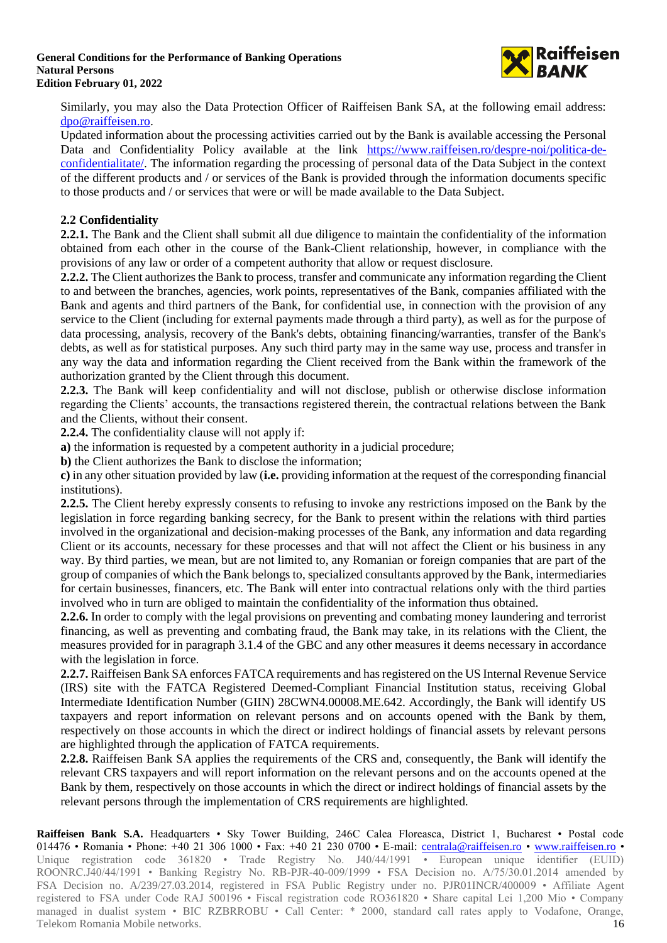

Similarly, you may also the Data Protection Officer of Raiffeisen Bank SA, at the following email address: [dpo@raiffeisen.ro.](mailto:dpo@raiffeisen.ro)

Updated information about the processing activities carried out by the Bank is available accessing the Personal Data and Confidentiality Policy available at the link [https://www.raiffeisen.ro/despre-noi/politica-de](https://www.raiffeisen.ro/despre-noi/politica-de-confidentialitate/)[confidentialitate/.](https://www.raiffeisen.ro/despre-noi/politica-de-confidentialitate/) The information regarding the processing of personal data of the Data Subject in the context of the different products and / or services of the Bank is provided through the information documents specific to those products and / or services that were or will be made available to the Data Subject.

### **2.2 Confidentiality**

**2.2.1.** The Bank and the Client shall submit all due diligence to maintain the confidentiality of the information obtained from each other in the course of the Bank-Client relationship, however, in compliance with the provisions of any law or order of a competent authority that allow or request disclosure.

**2.2.2.** The Client authorizes the Bank to process, transfer and communicate any information regarding the Client to and between the branches, agencies, work points, representatives of the Bank, companies affiliated with the Bank and agents and third partners of the Bank, for confidential use, in connection with the provision of any service to the Client (including for external payments made through a third party), as well as for the purpose of data processing, analysis, recovery of the Bank's debts, obtaining financing/warranties, transfer of the Bank's debts, as well as for statistical purposes. Any such third party may in the same way use, process and transfer in any way the data and information regarding the Client received from the Bank within the framework of the authorization granted by the Client through this document.

**2.2.3.** The Bank will keep confidentiality and will not disclose, publish or otherwise disclose information regarding the Clients' accounts, the transactions registered therein, the contractual relations between the Bank and the Clients, without their consent.

**2.2.4.** The confidentiality clause will not apply if:

**a)** the information is requested by a competent authority in a judicial procedure;

**b)** the Client authorizes the Bank to disclose the information;

**c)** in any other situation provided by law (**i.e.** providing information at the request of the corresponding financial institutions).

**2.2.5.** The Client hereby expressly consents to refusing to invoke any restrictions imposed on the Bank by the legislation in force regarding banking secrecy, for the Bank to present within the relations with third parties involved in the organizational and decision-making processes of the Bank, any information and data regarding Client or its accounts, necessary for these processes and that will not affect the Client or his business in any way. By third parties, we mean, but are not limited to, any Romanian or foreign companies that are part of the group of companies of which the Bank belongs to, specialized consultants approved by the Bank, intermediaries for certain businesses, financers, etc. The Bank will enter into contractual relations only with the third parties involved who in turn are obliged to maintain the confidentiality of the information thus obtained.

**2.2.6.** In order to comply with the legal provisions on preventing and combating money laundering and terrorist financing, as well as preventing and combating fraud, the Bank may take, in its relations with the Client, the measures provided for in paragraph 3.1.4 of the GBC and any other measures it deems necessary in accordance with the legislation in force.

**2.2.7.** Raiffeisen Bank SA enforces FATCA requirements and has registered on the US Internal Revenue Service (IRS) site with the FATCA Registered Deemed-Compliant Financial Institution status, receiving Global Intermediate Identification Number (GIIN) 28CWN4.00008.ME.642. Accordingly, the Bank will identify US taxpayers and report information on relevant persons and on accounts opened with the Bank by them, respectively on those accounts in which the direct or indirect holdings of financial assets by relevant persons are highlighted through the application of FATCA requirements.

**2.2.8.** Raiffeisen Bank SA applies the requirements of the CRS and, consequently, the Bank will identify the relevant CRS taxpayers and will report information on the relevant persons and on the accounts opened at the Bank by them, respectively on those accounts in which the direct or indirect holdings of financial assets by the relevant persons through the implementation of CRS requirements are highlighted.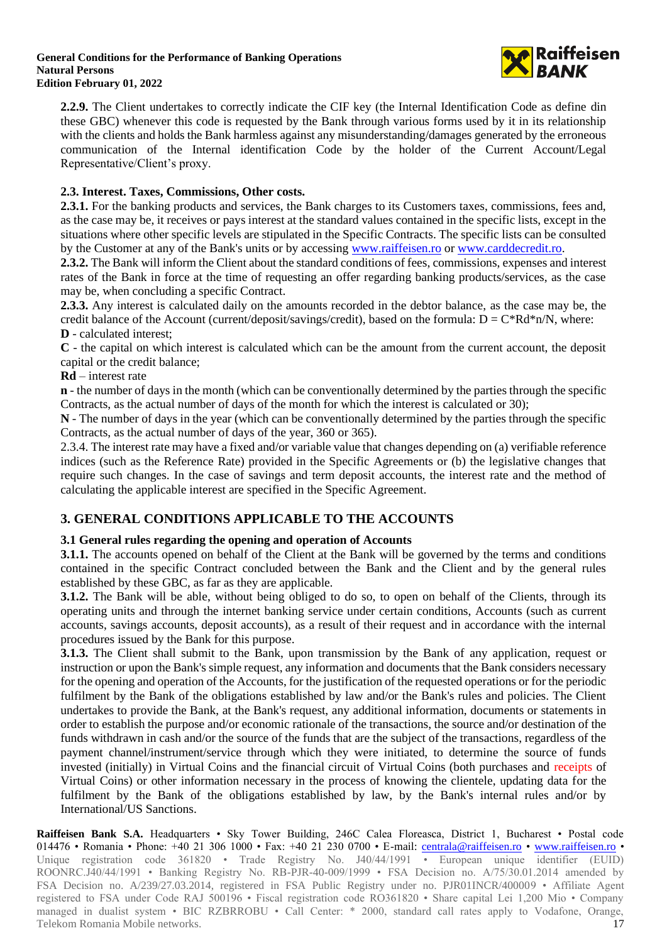

**2.2.9.** The Client undertakes to correctly indicate the CIF key (the Internal Identification Code as define din these GBC) whenever this code is requested by the Bank through various forms used by it in its relationship with the clients and holds the Bank harmless against any misunderstanding/damages generated by the erroneous communication of the Internal identification Code by the holder of the Current Account/Legal Representative/Client's proxy.

## **2.3. Interest. Taxes, Commissions, Other costs.**

**2.3.1.** For the banking products and services, the Bank charges to its Customers taxes, commissions, fees and, as the case may be, it receives or pays interest at the standard values contained in the specific lists, except in the situations where other specific levels are stipulated in the Specific Contracts. The specific lists can be consulted by the Customer at any of the Bank's units or by accessing [www.raiffeisen.ro](http://www.raiffeisen.ro/) o[r www.carddecredit.ro.](http://www.carddecredit.ro/)

**2.3.2.** The Bank will inform the Client about the standard conditions of fees, commissions, expenses and interest rates of the Bank in force at the time of requesting an offer regarding banking products/services, as the case may be, when concluding a specific Contract.

**2.3.3.** Any interest is calculated daily on the amounts recorded in the debtor balance, as the case may be, the credit balance of the Account (current/deposit/savings/credit), based on the formula:  $D = C^*Rd^*n/N$ , where: **D** - calculated interest;

**C** - the capital on which interest is calculated which can be the amount from the current account, the deposit capital or the credit balance;

### **Rd** – interest rate

**n** - the number of days in the month (which can be conventionally determined by the parties through the specific Contracts, as the actual number of days of the month for which the interest is calculated or 30);

**N** - The number of days in the year (which can be conventionally determined by the parties through the specific Contracts, as the actual number of days of the year, 360 or 365).

2.3.4. The interest rate may have a fixed and/or variable value that changes depending on (a) verifiable reference indices (such as the Reference Rate) provided in the Specific Agreements or (b) the legislative changes that require such changes. In the case of savings and term deposit accounts, the interest rate and the method of calculating the applicable interest are specified in the Specific Agreement.

## **3. GENERAL CONDITIONS APPLICABLE TO THE ACCOUNTS**

### **3.1 General rules regarding the opening and operation of Accounts**

**3.1.1.** The accounts opened on behalf of the Client at the Bank will be governed by the terms and conditions contained in the specific Contract concluded between the Bank and the Client and by the general rules established by these GBC, as far as they are applicable.

**3.1.2.** The Bank will be able, without being obliged to do so, to open on behalf of the Clients, through its operating units and through the internet banking service under certain conditions, Accounts (such as current accounts, savings accounts, deposit accounts), as a result of their request and in accordance with the internal procedures issued by the Bank for this purpose.

**3.1.3.** The Client shall submit to the Bank, upon transmission by the Bank of any application, request or instruction or upon the Bank's simple request, any information and documents that the Bank considers necessary for the opening and operation of the Accounts, for the justification of the requested operations or for the periodic fulfilment by the Bank of the obligations established by law and/or the Bank's rules and policies. The Client undertakes to provide the Bank, at the Bank's request, any additional information, documents or statements in order to establish the purpose and/or economic rationale of the transactions, the source and/or destination of the funds withdrawn in cash and/or the source of the funds that are the subject of the transactions, regardless of the payment channel/instrument/service through which they were initiated, to determine the source of funds invested (initially) in Virtual Coins and the financial circuit of Virtual Coins (both purchases and receipts of Virtual Coins) or other information necessary in the process of knowing the clientele, updating data for the fulfilment by the Bank of the obligations established by law, by the Bank's internal rules and/or by International/US Sanctions.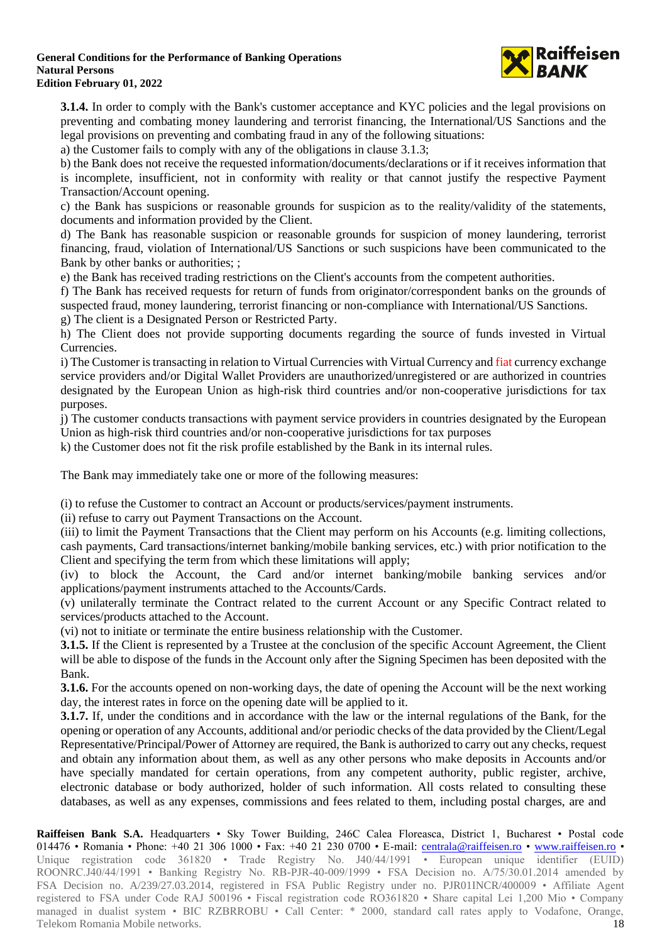

**3.1.4.** In order to comply with the Bank's customer acceptance and KYC policies and the legal provisions on preventing and combating money laundering and terrorist financing, the International/US Sanctions and the legal provisions on preventing and combating fraud in any of the following situations:

a) the Customer fails to comply with any of the obligations in clause 3.1.3;

b) the Bank does not receive the requested information/documents/declarations or if it receives information that is incomplete, insufficient, not in conformity with reality or that cannot justify the respective Payment Transaction/Account opening.

c) the Bank has suspicions or reasonable grounds for suspicion as to the reality/validity of the statements, documents and information provided by the Client.

d) The Bank has reasonable suspicion or reasonable grounds for suspicion of money laundering, terrorist financing, fraud, violation of International/US Sanctions or such suspicions have been communicated to the Bank by other banks or authorities; ;

e) the Bank has received trading restrictions on the Client's accounts from the competent authorities.

f) The Bank has received requests for return of funds from originator/correspondent banks on the grounds of suspected fraud, money laundering, terrorist financing or non-compliance with International/US Sanctions.

g) The client is a Designated Person or Restricted Party.

h) The Client does not provide supporting documents regarding the source of funds invested in Virtual Currencies.

i) The Customer is transacting in relation to Virtual Currencies with Virtual Currency and fiat currency exchange service providers and/or Digital Wallet Providers are unauthorized/unregistered or are authorized in countries designated by the European Union as high-risk third countries and/or non-cooperative jurisdictions for tax purposes.

j) The customer conducts transactions with payment service providers in countries designated by the European Union as high-risk third countries and/or non-cooperative jurisdictions for tax purposes

k) the Customer does not fit the risk profile established by the Bank in its internal rules.

The Bank may immediately take one or more of the following measures:

(i) to refuse the Customer to contract an Account or products/services/payment instruments.

(ii) refuse to carry out Payment Transactions on the Account.

(iii) to limit the Payment Transactions that the Client may perform on his Accounts (e.g. limiting collections, cash payments, Card transactions/internet banking/mobile banking services, etc.) with prior notification to the Client and specifying the term from which these limitations will apply;

(iv) to block the Account, the Card and/or internet banking/mobile banking services and/or applications/payment instruments attached to the Accounts/Cards.

(v) unilaterally terminate the Contract related to the current Account or any Specific Contract related to services/products attached to the Account.

(vi) not to initiate or terminate the entire business relationship with the Customer.

**3.1.5.** If the Client is represented by a Trustee at the conclusion of the specific Account Agreement, the Client will be able to dispose of the funds in the Account only after the Signing Specimen has been deposited with the Bank.

**3.1.6.** For the accounts opened on non-working days, the date of opening the Account will be the next working day, the interest rates in force on the opening date will be applied to it.

**3.1.7.** If, under the conditions and in accordance with the law or the internal regulations of the Bank, for the opening or operation of any Accounts, additional and/or periodic checks of the data provided by the Client/Legal Representative/Principal/Power of Attorney are required, the Bank is authorized to carry out any checks, request and obtain any information about them, as well as any other persons who make deposits in Accounts and/or have specially mandated for certain operations, from any competent authority, public register, archive, electronic database or body authorized, holder of such information. All costs related to consulting these databases, as well as any expenses, commissions and fees related to them, including postal charges, are and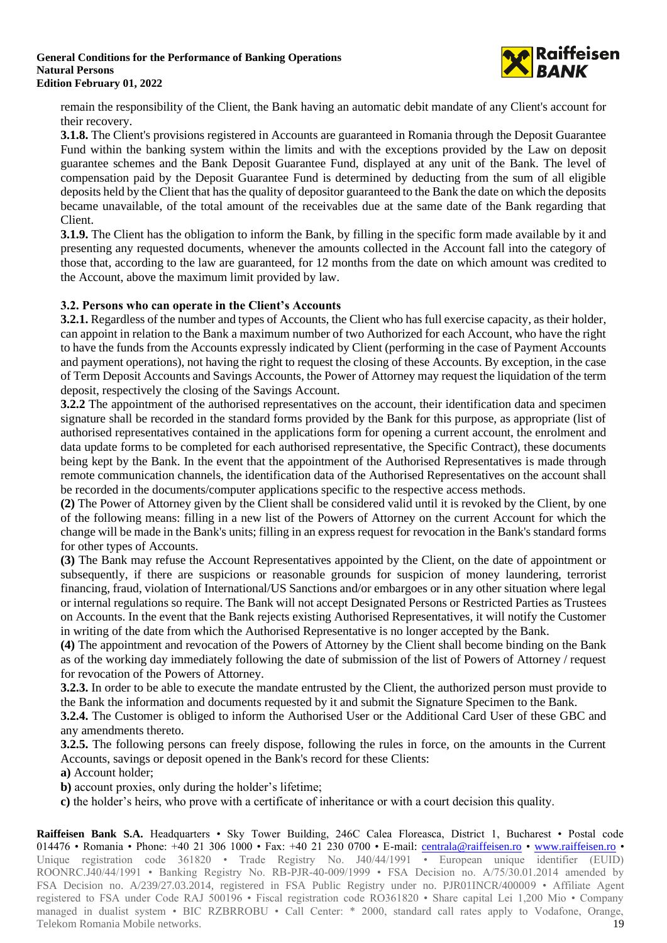

remain the responsibility of the Client, the Bank having an automatic debit mandate of any Client's account for their recovery.

**3.1.8.** The Client's provisions registered in Accounts are guaranteed in Romania through the Deposit Guarantee Fund within the banking system within the limits and with the exceptions provided by the Law on deposit guarantee schemes and the Bank Deposit Guarantee Fund, displayed at any unit of the Bank. The level of compensation paid by the Deposit Guarantee Fund is determined by deducting from the sum of all eligible deposits held by the Client that has the quality of depositor guaranteed to the Bank the date on which the deposits became unavailable, of the total amount of the receivables due at the same date of the Bank regarding that Client.

**3.1.9.** The Client has the obligation to inform the Bank, by filling in the specific form made available by it and presenting any requested documents, whenever the amounts collected in the Account fall into the category of those that, according to the law are guaranteed, for 12 months from the date on which amount was credited to the Account, above the maximum limit provided by law.

### **3.2. Persons who can operate in the Client's Accounts**

**3.2.1.** Regardless of the number and types of Accounts, the Client who has full exercise capacity, as their holder, can appoint in relation to the Bank a maximum number of two Authorized for each Account, who have the right to have the funds from the Accounts expressly indicated by Client (performing in the case of Payment Accounts and payment operations), not having the right to request the closing of these Accounts. By exception, in the case of Term Deposit Accounts and Savings Accounts, the Power of Attorney may request the liquidation of the term deposit, respectively the closing of the Savings Account.

**3.2.2** The appointment of the authorised representatives on the account, their identification data and specimen signature shall be recorded in the standard forms provided by the Bank for this purpose, as appropriate (list of authorised representatives contained in the applications form for opening a current account, the enrolment and data update forms to be completed for each authorised representative, the Specific Contract), these documents being kept by the Bank. In the event that the appointment of the Authorised Representatives is made through remote communication channels, the identification data of the Authorised Representatives on the account shall be recorded in the documents/computer applications specific to the respective access methods.

**(2)** The Power of Attorney given by the Client shall be considered valid until it is revoked by the Client, by one of the following means: filling in a new list of the Powers of Attorney on the current Account for which the change will be made in the Bank's units; filling in an express request for revocation in the Bank's standard forms for other types of Accounts.

**(3)** The Bank may refuse the Account Representatives appointed by the Client, on the date of appointment or subsequently, if there are suspicions or reasonable grounds for suspicion of money laundering, terrorist financing, fraud, violation of International/US Sanctions and/or embargoes or in any other situation where legal or internal regulations so require. The Bank will not accept Designated Persons or Restricted Parties as Trustees on Accounts. In the event that the Bank rejects existing Authorised Representatives, it will notify the Customer in writing of the date from which the Authorised Representative is no longer accepted by the Bank.

**(4)** The appointment and revocation of the Powers of Attorney by the Client shall become binding on the Bank as of the working day immediately following the date of submission of the list of Powers of Attorney / request for revocation of the Powers of Attorney.

**3.2.3.** In order to be able to execute the mandate entrusted by the Client, the authorized person must provide to the Bank the information and documents requested by it and submit the Signature Specimen to the Bank.

**3.2.4.** The Customer is obliged to inform the Authorised User or the Additional Card User of these GBC and any amendments thereto.

**3.2.5.** The following persons can freely dispose, following the rules in force, on the amounts in the Current Accounts, savings or deposit opened in the Bank's record for these Clients:

**a)** Account holder;

**b)** account proxies, only during the holder's lifetime;

**c)** the holder's heirs, who prove with a certificate of inheritance or with a court decision this quality.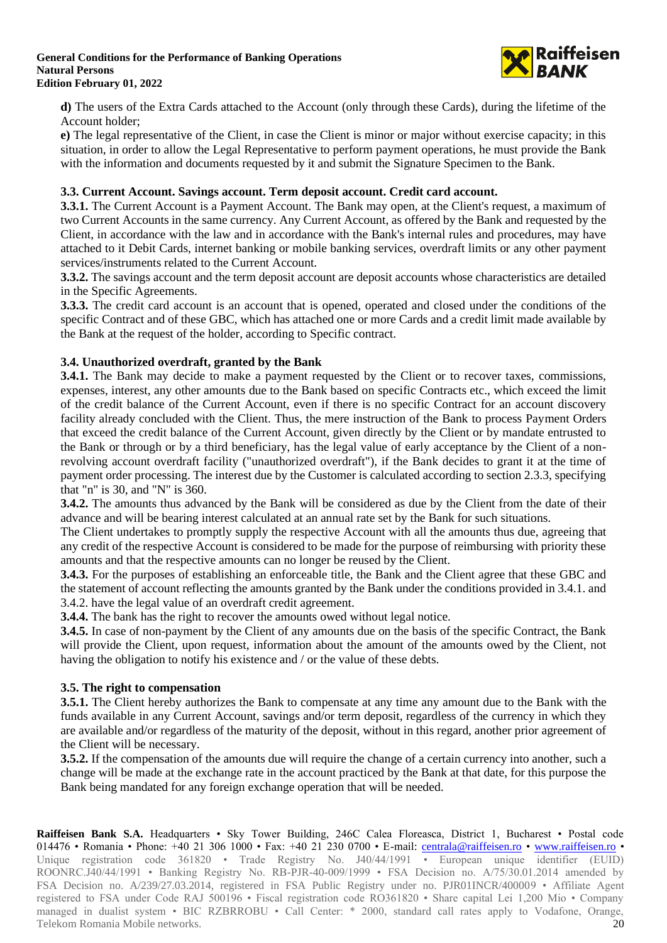

**d)** The users of the Extra Cards attached to the Account (only through these Cards), during the lifetime of the Account holder;

**e)** The legal representative of the Client, in case the Client is minor or major without exercise capacity; in this situation, in order to allow the Legal Representative to perform payment operations, he must provide the Bank with the information and documents requested by it and submit the Signature Specimen to the Bank.

### **3.3. Current Account. Savings account. Term deposit account. Credit card account.**

**3.3.1.** The Current Account is a Payment Account. The Bank may open, at the Client's request, a maximum of two Current Accounts in the same currency. Any Current Account, as offered by the Bank and requested by the Client, in accordance with the law and in accordance with the Bank's internal rules and procedures, may have attached to it Debit Cards, internet banking or mobile banking services, overdraft limits or any other payment services/instruments related to the Current Account.

**3.3.2.** The savings account and the term deposit account are deposit accounts whose characteristics are detailed in the Specific Agreements.

**3.3.3.** The credit card account is an account that is opened, operated and closed under the conditions of the specific Contract and of these GBC, which has attached one or more Cards and a credit limit made available by the Bank at the request of the holder, according to Specific contract.

### **3.4. Unauthorized overdraft, granted by the Bank**

**3.4.1.** The Bank may decide to make a payment requested by the Client or to recover taxes, commissions, expenses, interest, any other amounts due to the Bank based on specific Contracts etc., which exceed the limit of the credit balance of the Current Account, even if there is no specific Contract for an account discovery facility already concluded with the Client. Thus, the mere instruction of the Bank to process Payment Orders that exceed the credit balance of the Current Account, given directly by the Client or by mandate entrusted to the Bank or through or by a third beneficiary, has the legal value of early acceptance by the Client of a nonrevolving account overdraft facility ("unauthorized overdraft"), if the Bank decides to grant it at the time of payment order processing. The interest due by the Customer is calculated according to section 2.3.3, specifying that "n" is 30, and "N" is 360.

**3.4.2.** The amounts thus advanced by the Bank will be considered as due by the Client from the date of their advance and will be bearing interest calculated at an annual rate set by the Bank for such situations.

The Client undertakes to promptly supply the respective Account with all the amounts thus due, agreeing that any credit of the respective Account is considered to be made for the purpose of reimbursing with priority these amounts and that the respective amounts can no longer be reused by the Client.

**3.4.3.** For the purposes of establishing an enforceable title, the Bank and the Client agree that these GBC and the statement of account reflecting the amounts granted by the Bank under the conditions provided in 3.4.1. and 3.4.2. have the legal value of an overdraft credit agreement.

**3.4.4.** The bank has the right to recover the amounts owed without legal notice.

**3.4.5.** In case of non-payment by the Client of any amounts due on the basis of the specific Contract, the Bank will provide the Client, upon request, information about the amount of the amounts owed by the Client, not having the obligation to notify his existence and / or the value of these debts.

### **3.5. The right to compensation**

**3.5.1.** The Client hereby authorizes the Bank to compensate at any time any amount due to the Bank with the funds available in any Current Account, savings and/or term deposit, regardless of the currency in which they are available and/or regardless of the maturity of the deposit, without in this regard, another prior agreement of the Client will be necessary.

**3.5.2.** If the compensation of the amounts due will require the change of a certain currency into another, such a change will be made at the exchange rate in the account practiced by the Bank at that date, for this purpose the Bank being mandated for any foreign exchange operation that will be needed.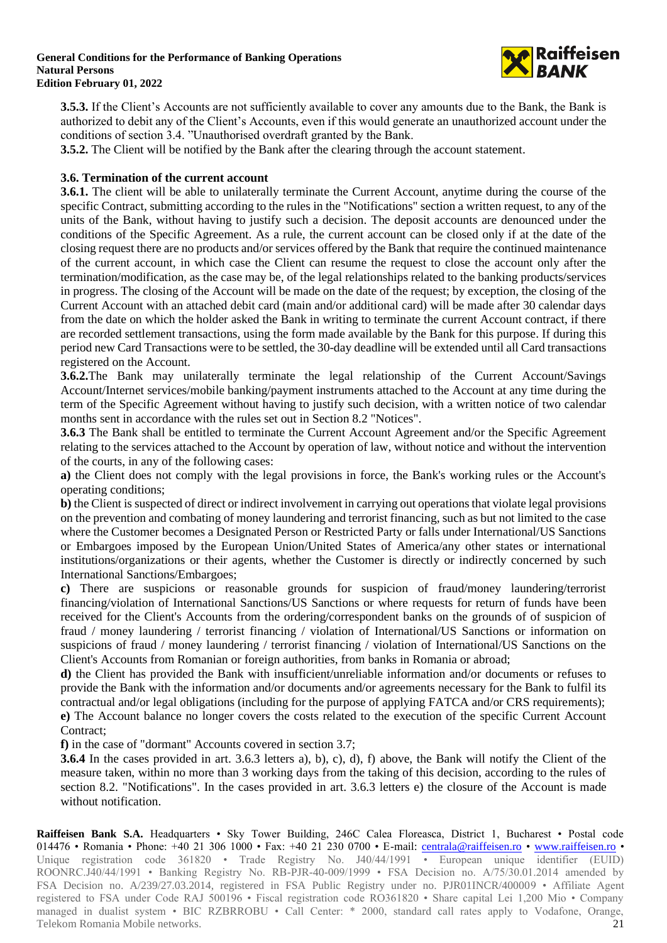

**3.5.3.** If the Client's Accounts are not sufficiently available to cover any amounts due to the Bank, the Bank is authorized to debit any of the Client's Accounts, even if this would generate an unauthorized account under the conditions of section 3.4. "Unauthorised overdraft granted by the Bank.

**3.5.2.** The Client will be notified by the Bank after the clearing through the account statement.

## **3.6. Termination of the current account**

**3.6.1.** The client will be able to unilaterally terminate the Current Account, anytime during the course of the specific Contract, submitting according to the rules in the "Notifications" section a written request, to any of the units of the Bank, without having to justify such a decision. The deposit accounts are denounced under the conditions of the Specific Agreement. As a rule, the current account can be closed only if at the date of the closing request there are no products and/or services offered by the Bank that require the continued maintenance of the current account, in which case the Client can resume the request to close the account only after the termination/modification, as the case may be, of the legal relationships related to the banking products/services in progress. The closing of the Account will be made on the date of the request; by exception, the closing of the Current Account with an attached debit card (main and/or additional card) will be made after 30 calendar days from the date on which the holder asked the Bank in writing to terminate the current Account contract, if there are recorded settlement transactions, using the form made available by the Bank for this purpose. If during this period new Card Transactions were to be settled, the 30-day deadline will be extended until all Card transactions registered on the Account.

**3.6.2.**The Bank may unilaterally terminate the legal relationship of the Current Account/Savings Account/Internet services/mobile banking/payment instruments attached to the Account at any time during the term of the Specific Agreement without having to justify such decision, with a written notice of two calendar months sent in accordance with the rules set out in Section 8.2 "Notices".

**3.6.3** The Bank shall be entitled to terminate the Current Account Agreement and/or the Specific Agreement relating to the services attached to the Account by operation of law, without notice and without the intervention of the courts, in any of the following cases:

**a)** the Client does not comply with the legal provisions in force, the Bank's working rules or the Account's operating conditions;

**b)** the Client is suspected of direct or indirect involvement in carrying out operations that violate legal provisions on the prevention and combating of money laundering and terrorist financing, such as but not limited to the case where the Customer becomes a Designated Person or Restricted Party or falls under International/US Sanctions or Embargoes imposed by the European Union/United States of America/any other states or international institutions/organizations or their agents, whether the Customer is directly or indirectly concerned by such International Sanctions/Embargoes;

**c)** There are suspicions or reasonable grounds for suspicion of fraud/money laundering/terrorist financing/violation of International Sanctions/US Sanctions or where requests for return of funds have been received for the Client's Accounts from the ordering/correspondent banks on the grounds of of suspicion of fraud / money laundering / terrorist financing / violation of International/US Sanctions or information on suspicions of fraud / money laundering / terrorist financing / violation of International/US Sanctions on the Client's Accounts from Romanian or foreign authorities, from banks in Romania or abroad;

**d)** the Client has provided the Bank with insufficient/unreliable information and/or documents or refuses to provide the Bank with the information and/or documents and/or agreements necessary for the Bank to fulfil its contractual and/or legal obligations (including for the purpose of applying FATCA and/or CRS requirements); **e)** The Account balance no longer covers the costs related to the execution of the specific Current Account Contract;

**f)** in the case of "dormant" Accounts covered in section 3.7;

**3.6.4** In the cases provided in art. 3.6.3 letters a), b), c), d), f) above, the Bank will notify the Client of the measure taken, within no more than 3 working days from the taking of this decision, according to the rules of section 8.2. "Notifications". In the cases provided in art. 3.6.3 letters e) the closure of the Account is made without notification.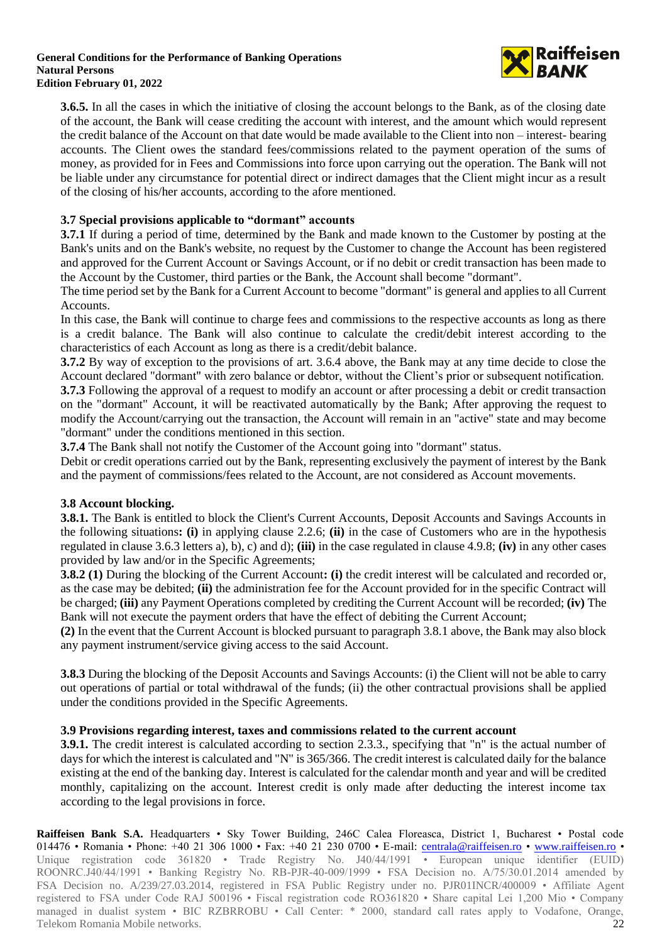

**3.6.5.** In all the cases in which the initiative of closing the account belongs to the Bank, as of the closing date of the account, the Bank will cease crediting the account with interest, and the amount which would represent the credit balance of the Account on that date would be made available to the Client into non – interest- bearing accounts. The Client owes the standard fees/commissions related to the payment operation of the sums of money, as provided for in Fees and Commissions into force upon carrying out the operation. The Bank will not be liable under any circumstance for potential direct or indirect damages that the Client might incur as a result of the closing of his/her accounts, according to the afore mentioned.

## **3.7 Special provisions applicable to "dormant" accounts**

**3.7.1** If during a period of time, determined by the Bank and made known to the Customer by posting at the Bank's units and on the Bank's website, no request by the Customer to change the Account has been registered and approved for the Current Account or Savings Account, or if no debit or credit transaction has been made to the Account by the Customer, third parties or the Bank, the Account shall become "dormant".

The time period set by the Bank for a Current Account to become "dormant" is general and applies to all Current **Accounts** 

In this case, the Bank will continue to charge fees and commissions to the respective accounts as long as there is a credit balance. The Bank will also continue to calculate the credit/debit interest according to the characteristics of each Account as long as there is a credit/debit balance.

**3.7.2** By way of exception to the provisions of art. 3.6.4 above, the Bank may at any time decide to close the Account declared "dormant" with zero balance or debtor, without the Client's prior or subsequent notification.

**3.7.3** Following the approval of a request to modify an account or after processing a debit or credit transaction on the "dormant" Account, it will be reactivated automatically by the Bank; After approving the request to modify the Account/carrying out the transaction, the Account will remain in an "active" state and may become "dormant" under the conditions mentioned in this section.

**3.7.4** The Bank shall not notify the Customer of the Account going into "dormant" status.

Debit or credit operations carried out by the Bank, representing exclusively the payment of interest by the Bank and the payment of commissions/fees related to the Account, are not considered as Account movements.

## **3.8 Account blocking.**

**3.8.1.** The Bank is entitled to block the Client's Current Accounts, Deposit Accounts and Savings Accounts in the following situations**: (i)** in applying clause 2.2.6; **(ii)** in the case of Customers who are in the hypothesis regulated in clause 3.6.3 letters a), b), c) and d); **(iii)** in the case regulated in clause 4.9.8; **(iv)** in any other cases provided by law and/or in the Specific Agreements;

**3.8.2 (1)** During the blocking of the Current Account**: (i)** the credit interest will be calculated and recorded or, as the case may be debited; **(ii)** the administration fee for the Account provided for in the specific Contract will be charged; **(iii)** any Payment Operations completed by crediting the Current Account will be recorded; **(iv)** The Bank will not execute the payment orders that have the effect of debiting the Current Account;

**(2)** In the event that the Current Account is blocked pursuant to paragraph 3.8.1 above, the Bank may also block any payment instrument/service giving access to the said Account.

**3.8.3** During the blocking of the Deposit Accounts and Savings Accounts: (i) the Client will not be able to carry out operations of partial or total withdrawal of the funds; (ii) the other contractual provisions shall be applied under the conditions provided in the Specific Agreements.

### **3.9 Provisions regarding interest, taxes and commissions related to the current account**

**3.9.1.** The credit interest is calculated according to section 2.3.3., specifying that "n" is the actual number of days for which the interest is calculated and "N" is 365/366. The credit interest is calculated daily for the balance existing at the end of the banking day. Interest is calculated for the calendar month and year and will be credited monthly, capitalizing on the account. Interest credit is only made after deducting the interest income tax according to the legal provisions in force.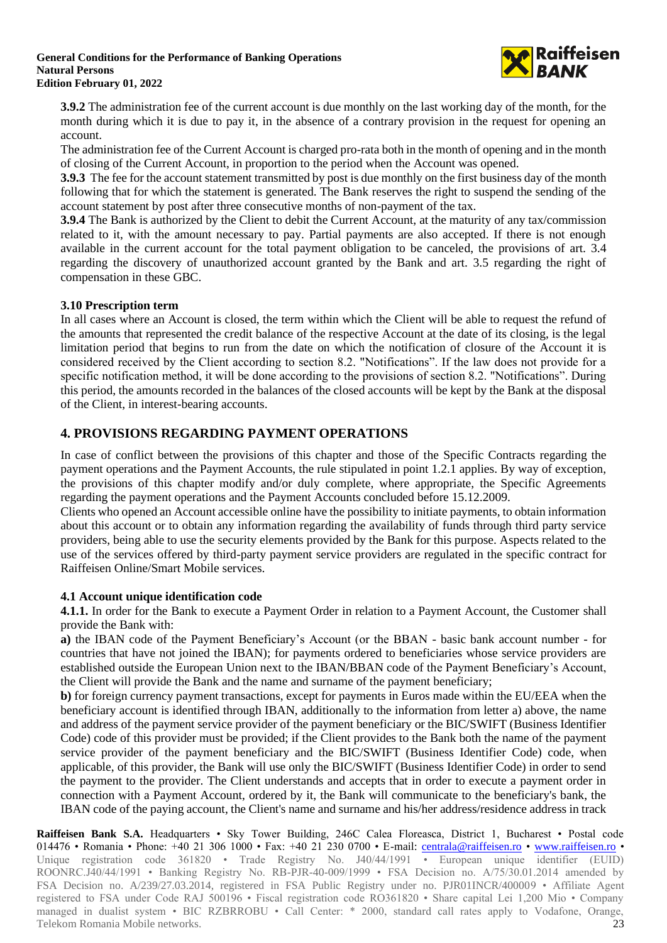

**3.9.2** The administration fee of the current account is due monthly on the last working day of the month, for the month during which it is due to pay it, in the absence of a contrary provision in the request for opening an account.

The administration fee of the Current Account is charged pro-rata both in the month of opening and in the month of closing of the Current Account, in proportion to the period when the Account was opened.

**3.9.3** The fee for the account statement transmitted by post is due monthly on the first business day of the month following that for which the statement is generated. The Bank reserves the right to suspend the sending of the account statement by post after three consecutive months of non-payment of the tax.

**3.9.4** The Bank is authorized by the Client to debit the Current Account, at the maturity of any tax/commission related to it, with the amount necessary to pay. Partial payments are also accepted. If there is not enough available in the current account for the total payment obligation to be canceled, the provisions of art. 3.4 regarding the discovery of unauthorized account granted by the Bank and art. 3.5 regarding the right of compensation in these GBC.

## **3.10 Prescription term**

In all cases where an Account is closed, the term within which the Client will be able to request the refund of the amounts that represented the credit balance of the respective Account at the date of its closing, is the legal limitation period that begins to run from the date on which the notification of closure of the Account it is considered received by the Client according to section 8.2. "Notifications". If the law does not provide for a specific notification method, it will be done according to the provisions of section 8.2. "Notifications". During this period, the amounts recorded in the balances of the closed accounts will be kept by the Bank at the disposal of the Client, in interest-bearing accounts.

# **4. PROVISIONS REGARDING PAYMENT OPERATIONS**

In case of conflict between the provisions of this chapter and those of the Specific Contracts regarding the payment operations and the Payment Accounts, the rule stipulated in point 1.2.1 applies. By way of exception, the provisions of this chapter modify and/or duly complete, where appropriate, the Specific Agreements regarding the payment operations and the Payment Accounts concluded before 15.12.2009.

Clients who opened an Account accessible online have the possibility to initiate payments, to obtain information about this account or to obtain any information regarding the availability of funds through third party service providers, being able to use the security elements provided by the Bank for this purpose. Aspects related to the use of the services offered by third-party payment service providers are regulated in the specific contract for Raiffeisen Online/Smart Mobile services.

### **4.1 Account unique identification code**

**4.1.1.** In order for the Bank to execute a Payment Order in relation to a Payment Account, the Customer shall provide the Bank with:

**a)** the IBAN code of the Payment Beneficiary's Account (or the BBAN - basic bank account number - for countries that have not joined the IBAN); for payments ordered to beneficiaries whose service providers are established outside the European Union next to the IBAN/BBAN code of the Payment Beneficiary's Account, the Client will provide the Bank and the name and surname of the payment beneficiary;

**b)** for foreign currency payment transactions, except for payments in Euros made within the EU/EEA when the beneficiary account is identified through IBAN, additionally to the information from letter a) above, the name and address of the payment service provider of the payment beneficiary or the BIC/SWIFT (Business Identifier Code) code of this provider must be provided; if the Client provides to the Bank both the name of the payment service provider of the payment beneficiary and the BIC/SWIFT (Business Identifier Code) code, when applicable, of this provider, the Bank will use only the BIC/SWIFT (Business Identifier Code) in order to send the payment to the provider. The Client understands and accepts that in order to execute a payment order in connection with a Payment Account, ordered by it, the Bank will communicate to the beneficiary's bank, the IBAN code of the paying account, the Client's name and surname and his/her address/residence address in track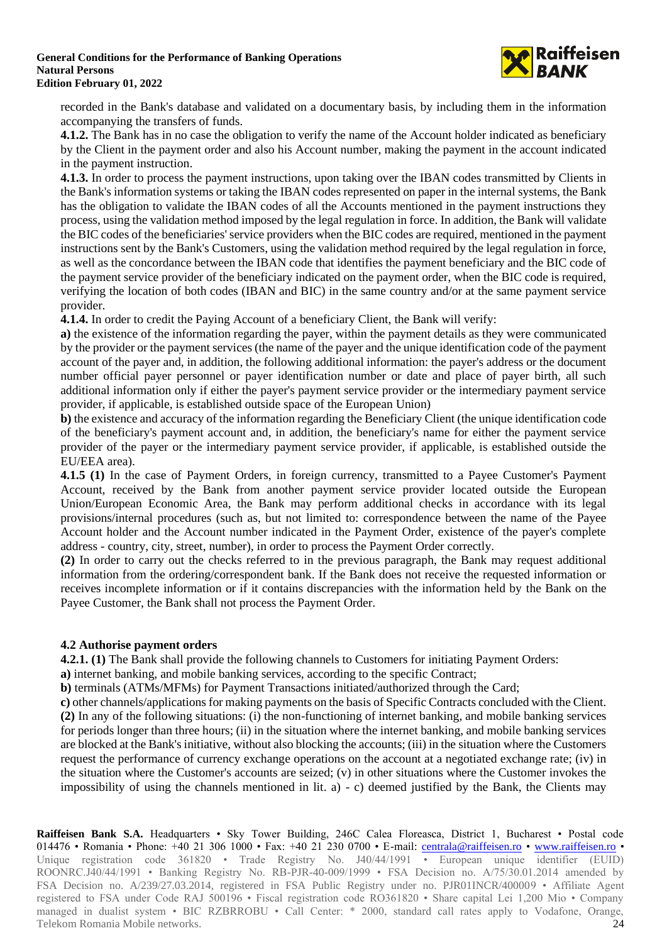

recorded in the Bank's database and validated on a documentary basis, by including them in the information accompanying the transfers of funds.

**4.1.2.** The Bank has in no case the obligation to verify the name of the Account holder indicated as beneficiary by the Client in the payment order and also his Account number, making the payment in the account indicated in the payment instruction.

**4.1.3.** In order to process the payment instructions, upon taking over the IBAN codes transmitted by Clients in the Bank's information systems or taking the IBAN codes represented on paper in the internal systems, the Bank has the obligation to validate the IBAN codes of all the Accounts mentioned in the payment instructions they process, using the validation method imposed by the legal regulation in force. In addition, the Bank will validate the BIC codes of the beneficiaries' service providers when the BIC codes are required, mentioned in the payment instructions sent by the Bank's Customers, using the validation method required by the legal regulation in force, as well as the concordance between the IBAN code that identifies the payment beneficiary and the BIC code of the payment service provider of the beneficiary indicated on the payment order, when the BIC code is required, verifying the location of both codes (IBAN and BIC) in the same country and/or at the same payment service provider.

**4.1.4.** In order to credit the Paying Account of a beneficiary Client, the Bank will verify:

**a)** the existence of the information regarding the payer, within the payment details as they were communicated by the provider or the payment services (the name of the payer and the unique identification code of the payment account of the payer and, in addition, the following additional information: the payer's address or the document number official payer personnel or payer identification number or date and place of payer birth, all such additional information only if either the payer's payment service provider or the intermediary payment service provider, if applicable, is established outside space of the European Union)

**b)** the existence and accuracy of the information regarding the Beneficiary Client (the unique identification code of the beneficiary's payment account and, in addition, the beneficiary's name for either the payment service provider of the payer or the intermediary payment service provider, if applicable, is established outside the EU/EEA area).

**4.1.5 (1)** In the case of Payment Orders, in foreign currency, transmitted to a Payee Customer's Payment Account, received by the Bank from another payment service provider located outside the European Union/European Economic Area, the Bank may perform additional checks in accordance with its legal provisions/internal procedures (such as, but not limited to: correspondence between the name of the Payee Account holder and the Account number indicated in the Payment Order, existence of the payer's complete address - country, city, street, number), in order to process the Payment Order correctly.

**(2)** In order to carry out the checks referred to in the previous paragraph, the Bank may request additional information from the ordering/correspondent bank. If the Bank does not receive the requested information or receives incomplete information or if it contains discrepancies with the information held by the Bank on the Payee Customer, the Bank shall not process the Payment Order.

## **4.2 Authorise payment orders**

**4.2.1. (1)** The Bank shall provide the following channels to Customers for initiating Payment Orders:

**a)** internet banking, and mobile banking services, according to the specific Contract;

**b**) terminals (ATMs/MFMs) for Payment Transactions initiated/authorized through the Card;

**c)** other channels/applications for making payments on the basis of Specific Contracts concluded with the Client. **(2)** In any of the following situations: (i) the non-functioning of internet banking, and mobile banking services for periods longer than three hours; (ii) in the situation where the internet banking, and mobile banking services are blocked at the Bank's initiative, without also blocking the accounts; (iii) in the situation where the Customers request the performance of currency exchange operations on the account at a negotiated exchange rate; (iv) in the situation where the Customer's accounts are seized; (v) in other situations where the Customer invokes the impossibility of using the channels mentioned in lit. a) - c) deemed justified by the Bank, the Clients may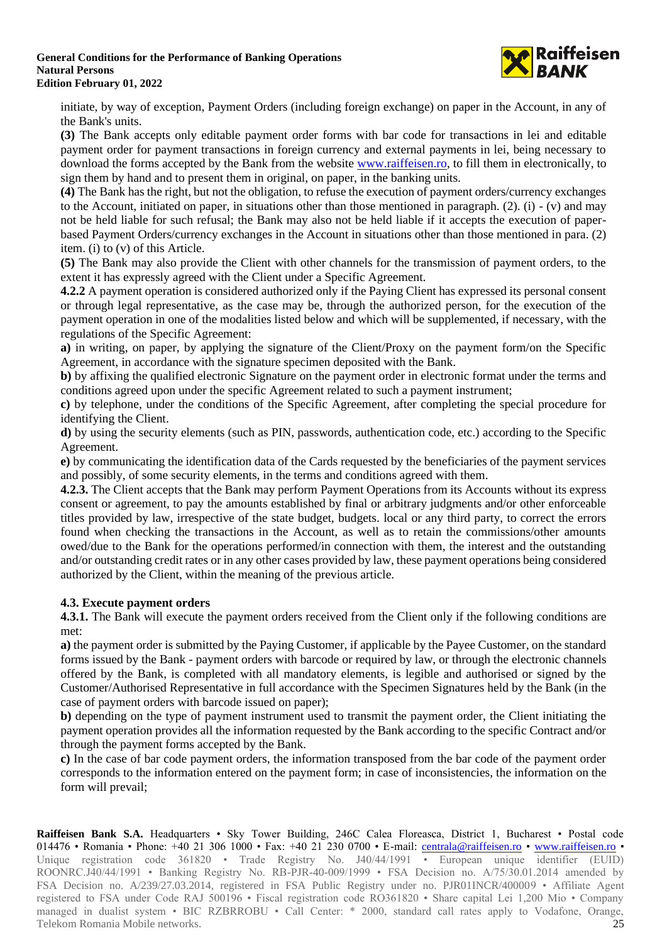

initiate, by way of exception, Payment Orders (including foreign exchange) on paper in the Account, in any of the Bank's units.

**(3)** The Bank accepts only editable payment order forms with bar code for transactions in lei and editable payment order for payment transactions in foreign currency and external payments in lei, being necessary to download the forms accepted by the Bank from the website [www.raiffeisen.ro,](http://www.raiffeisen.ro/) to fill them in electronically, to sign them by hand and to present them in original, on paper, in the banking units.

**(4)** The Bank has the right, but not the obligation, to refuse the execution of payment orders/currency exchanges to the Account, initiated on paper, in situations other than those mentioned in paragraph. (2). (i)  $-$  (v) and may not be held liable for such refusal; the Bank may also not be held liable if it accepts the execution of paperbased Payment Orders/currency exchanges in the Account in situations other than those mentioned in para. (2) item. (i) to (v) of this Article.

**(5)** The Bank may also provide the Client with other channels for the transmission of payment orders, to the extent it has expressly agreed with the Client under a Specific Agreement.

**4.2.2** A payment operation is considered authorized only if the Paying Client has expressed its personal consent or through legal representative, as the case may be, through the authorized person, for the execution of the payment operation in one of the modalities listed below and which will be supplemented, if necessary, with the regulations of the Specific Agreement:

**a)** in writing, on paper, by applying the signature of the Client/Proxy on the payment form/on the Specific Agreement, in accordance with the signature specimen deposited with the Bank.

**b)** by affixing the qualified electronic Signature on the payment order in electronic format under the terms and conditions agreed upon under the specific Agreement related to such a payment instrument;

**c)** by telephone, under the conditions of the Specific Agreement, after completing the special procedure for identifying the Client.

**d)** by using the security elements (such as PIN, passwords, authentication code, etc.) according to the Specific Agreement.

**e)** by communicating the identification data of the Cards requested by the beneficiaries of the payment services and possibly, of some security elements, in the terms and conditions agreed with them.

**4.2.3.** The Client accepts that the Bank may perform Payment Operations from its Accounts without its express consent or agreement, to pay the amounts established by final or arbitrary judgments and/or other enforceable titles provided by law, irrespective of the state budget, budgets. local or any third party, to correct the errors found when checking the transactions in the Account, as well as to retain the commissions/other amounts owed/due to the Bank for the operations performed/in connection with them, the interest and the outstanding and/or outstanding credit rates or in any other cases provided by law, these payment operations being considered authorized by the Client, within the meaning of the previous article.

## **4.3. Execute payment orders**

**4.3.1.** The Bank will execute the payment orders received from the Client only if the following conditions are met:

**a)** the payment order is submitted by the Paying Customer, if applicable by the Payee Customer, on the standard forms issued by the Bank - payment orders with barcode or required by law, or through the electronic channels offered by the Bank, is completed with all mandatory elements, is legible and authorised or signed by the Customer/Authorised Representative in full accordance with the Specimen Signatures held by the Bank (in the case of payment orders with barcode issued on paper);

**b)** depending on the type of payment instrument used to transmit the payment order, the Client initiating the payment operation provides all the information requested by the Bank according to the specific Contract and/or through the payment forms accepted by the Bank.

**c)** In the case of bar code payment orders, the information transposed from the bar code of the payment order corresponds to the information entered on the payment form; in case of inconsistencies, the information on the form will prevail;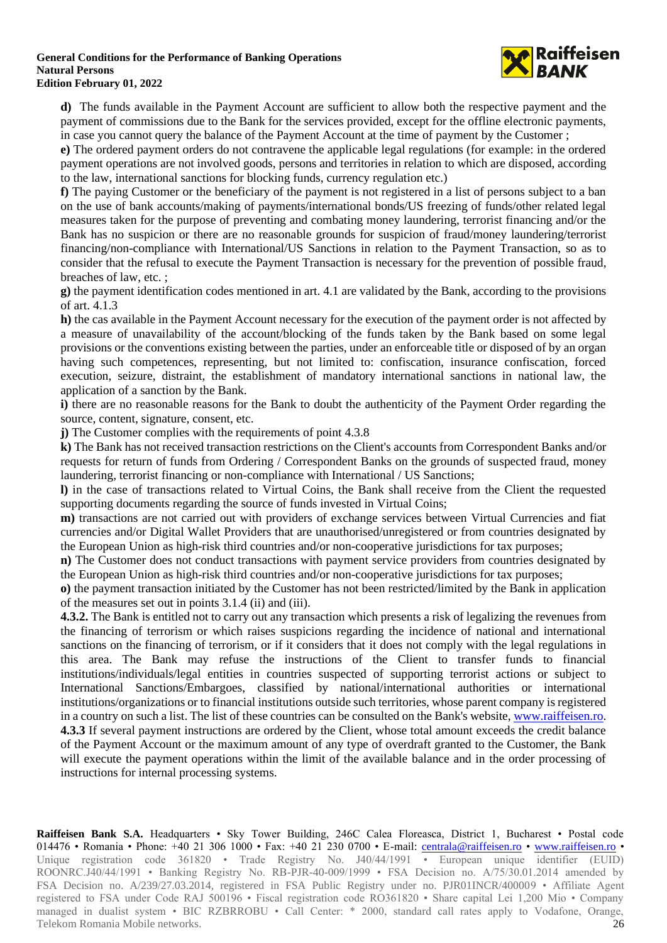

**d)** The funds available in the Payment Account are sufficient to allow both the respective payment and the payment of commissions due to the Bank for the services provided, except for the offline electronic payments, in case you cannot query the balance of the Payment Account at the time of payment by the Customer ;

**e)** The ordered payment orders do not contravene the applicable legal regulations (for example: in the ordered payment operations are not involved goods, persons and territories in relation to which are disposed, according to the law, international sanctions for blocking funds, currency regulation etc.)

**f)** The paying Customer or the beneficiary of the payment is not registered in a list of persons subject to a ban on the use of bank accounts/making of payments/international bonds/US freezing of funds/other related legal measures taken for the purpose of preventing and combating money laundering, terrorist financing and/or the Bank has no suspicion or there are no reasonable grounds for suspicion of fraud/money laundering/terrorist financing/non-compliance with International/US Sanctions in relation to the Payment Transaction, so as to consider that the refusal to execute the Payment Transaction is necessary for the prevention of possible fraud, breaches of law, etc. ;

**g)** the payment identification codes mentioned in art. 4.1 are validated by the Bank, according to the provisions of art. 4.1.3

**h)** the cas available in the Payment Account necessary for the execution of the payment order is not affected by a measure of unavailability of the account/blocking of the funds taken by the Bank based on some legal provisions or the conventions existing between the parties, under an enforceable title or disposed of by an organ having such competences, representing, but not limited to: confiscation, insurance confiscation, forced execution, seizure, distraint, the establishment of mandatory international sanctions in national law, the application of a sanction by the Bank.

**i)** there are no reasonable reasons for the Bank to doubt the authenticity of the Payment Order regarding the source, content, signature, consent, etc.

**j)** The Customer complies with the requirements of point 4.3.8

**k)** The Bank has not received transaction restrictions on the Client's accounts from Correspondent Banks and/or requests for return of funds from Ordering / Correspondent Banks on the grounds of suspected fraud, money laundering, terrorist financing or non-compliance with International / US Sanctions;

**l)** in the case of transactions related to Virtual Coins, the Bank shall receive from the Client the requested supporting documents regarding the source of funds invested in Virtual Coins;

**m)** transactions are not carried out with providers of exchange services between Virtual Currencies and fiat currencies and/or Digital Wallet Providers that are unauthorised/unregistered or from countries designated by the European Union as high-risk third countries and/or non-cooperative jurisdictions for tax purposes;

**n)** The Customer does not conduct transactions with payment service providers from countries designated by the European Union as high-risk third countries and/or non-cooperative jurisdictions for tax purposes;

**o)** the payment transaction initiated by the Customer has not been restricted/limited by the Bank in application of the measures set out in points 3.1.4 (ii) and (iii).

**4.3.2.** The Bank is entitled not to carry out any transaction which presents a risk of legalizing the revenues from the financing of terrorism or which raises suspicions regarding the incidence of national and international sanctions on the financing of terrorism, or if it considers that it does not comply with the legal regulations in this area. The Bank may refuse the instructions of the Client to transfer funds to financial institutions/individuals/legal entities in countries suspected of supporting terrorist actions or subject to International Sanctions/Embargoes, classified by national/international authorities or international institutions/organizations or to financial institutions outside such territories, whose parent company is registered in a country on such a list. The list of these countries can be consulted on the Bank's website[, www.raiffeisen.ro.](http://www.raiffeisen.ro/) **4.3.3** If several payment instructions are ordered by the Client, whose total amount exceeds the credit balance of the Payment Account or the maximum amount of any type of overdraft granted to the Customer, the Bank will execute the payment operations within the limit of the available balance and in the order processing of instructions for internal processing systems.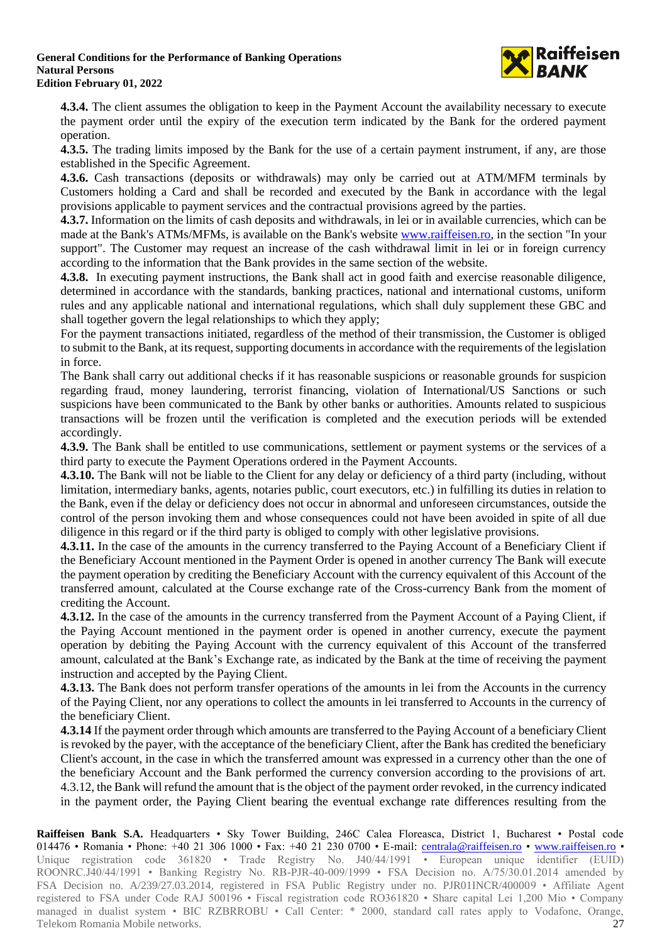

**4.3.4.** The client assumes the obligation to keep in the Payment Account the availability necessary to execute the payment order until the expiry of the execution term indicated by the Bank for the ordered payment operation.

**4.3.5.** The trading limits imposed by the Bank for the use of a certain payment instrument, if any, are those established in the Specific Agreement.

**4.3.6.** Cash transactions (deposits or withdrawals) may only be carried out at ATM/MFM terminals by Customers holding a Card and shall be recorded and executed by the Bank in accordance with the legal provisions applicable to payment services and the contractual provisions agreed by the parties.

**4.3.7.** Information on the limits of cash deposits and withdrawals, in lei or in available currencies, which can be made at the Bank's ATMs/MFMs, is available on the Bank's website [www.raiffeisen.ro,](http://www.raiffeisen.ro/) in the section "In your support". The Customer may request an increase of the cash withdrawal limit in lei or in foreign currency according to the information that the Bank provides in the same section of the website.

**4.3.8.** In executing payment instructions, the Bank shall act in good faith and exercise reasonable diligence, determined in accordance with the standards, banking practices, national and international customs, uniform rules and any applicable national and international regulations, which shall duly supplement these GBC and shall together govern the legal relationships to which they apply;

For the payment transactions initiated, regardless of the method of their transmission, the Customer is obliged to submit to the Bank, at its request, supporting documents in accordance with the requirements of the legislation in force.

The Bank shall carry out additional checks if it has reasonable suspicions or reasonable grounds for suspicion regarding fraud, money laundering, terrorist financing, violation of International/US Sanctions or such suspicions have been communicated to the Bank by other banks or authorities. Amounts related to suspicious transactions will be frozen until the verification is completed and the execution periods will be extended accordingly.

**4.3.9.** The Bank shall be entitled to use communications, settlement or payment systems or the services of a third party to execute the Payment Operations ordered in the Payment Accounts.

**4.3.10.** The Bank will not be liable to the Client for any delay or deficiency of a third party (including, without limitation, intermediary banks, agents, notaries public, court executors, etc.) in fulfilling its duties in relation to the Bank, even if the delay or deficiency does not occur in abnormal and unforeseen circumstances, outside the control of the person invoking them and whose consequences could not have been avoided in spite of all due diligence in this regard or if the third party is obliged to comply with other legislative provisions.

**4.3.11.** In the case of the amounts in the currency transferred to the Paying Account of a Beneficiary Client if the Beneficiary Account mentioned in the Payment Order is opened in another currency The Bank will execute the payment operation by crediting the Beneficiary Account with the currency equivalent of this Account of the transferred amount, calculated at the Course exchange rate of the Cross-currency Bank from the moment of crediting the Account.

**4.3.12.** In the case of the amounts in the currency transferred from the Payment Account of a Paying Client, if the Paying Account mentioned in the payment order is opened in another currency, execute the payment operation by debiting the Paying Account with the currency equivalent of this Account of the transferred amount, calculated at the Bank's Exchange rate, as indicated by the Bank at the time of receiving the payment instruction and accepted by the Paying Client.

**4.3.13.** The Bank does not perform transfer operations of the amounts in lei from the Accounts in the currency of the Paying Client, nor any operations to collect the amounts in lei transferred to Accounts in the currency of the beneficiary Client.

**4.3.14** If the payment order through which amounts are transferred to the Paying Account of a beneficiary Client is revoked by the payer, with the acceptance of the beneficiary Client, after the Bank has credited the beneficiary Client's account, in the case in which the transferred amount was expressed in a currency other than the one of the beneficiary Account and the Bank performed the currency conversion according to the provisions of art. 4.3.12, the Bank will refund the amount that is the object of the payment order revoked, in the currency indicated in the payment order, the Paying Client bearing the eventual exchange rate differences resulting from the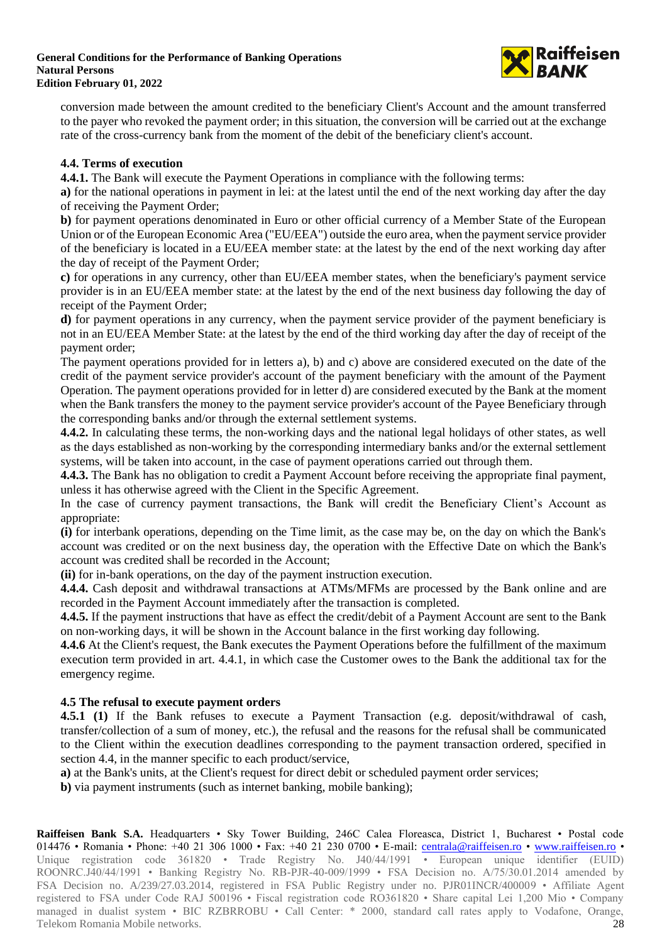

conversion made between the amount credited to the beneficiary Client's Account and the amount transferred to the payer who revoked the payment order; in this situation, the conversion will be carried out at the exchange rate of the cross-currency bank from the moment of the debit of the beneficiary client's account.

## **4.4. Terms of execution**

**4.4.1.** The Bank will execute the Payment Operations in compliance with the following terms:

**a)** for the national operations in payment in lei: at the latest until the end of the next working day after the day of receiving the Payment Order;

**b)** for payment operations denominated in Euro or other official currency of a Member State of the European Union or of the European Economic Area ("EU/EEA") outside the euro area, when the payment service provider of the beneficiary is located in a EU/EEA member state: at the latest by the end of the next working day after the day of receipt of the Payment Order;

**c)** for operations in any currency, other than EU/EEA member states, when the beneficiary's payment service provider is in an EU/EEA member state: at the latest by the end of the next business day following the day of receipt of the Payment Order;

**d)** for payment operations in any currency, when the payment service provider of the payment beneficiary is not in an EU/EEA Member State: at the latest by the end of the third working day after the day of receipt of the payment order;

The payment operations provided for in letters a), b) and c) above are considered executed on the date of the credit of the payment service provider's account of the payment beneficiary with the amount of the Payment Operation. The payment operations provided for in letter d) are considered executed by the Bank at the moment when the Bank transfers the money to the payment service provider's account of the Payee Beneficiary through the corresponding banks and/or through the external settlement systems.

**4.4.2.** In calculating these terms, the non-working days and the national legal holidays of other states, as well as the days established as non-working by the corresponding intermediary banks and/or the external settlement systems, will be taken into account, in the case of payment operations carried out through them.

**4.4.3.** The Bank has no obligation to credit a Payment Account before receiving the appropriate final payment, unless it has otherwise agreed with the Client in the Specific Agreement.

In the case of currency payment transactions, the Bank will credit the Beneficiary Client's Account as appropriate:

**(i)** for interbank operations, depending on the Time limit, as the case may be, on the day on which the Bank's account was credited or on the next business day, the operation with the Effective Date on which the Bank's account was credited shall be recorded in the Account;

**(ii)** for in-bank operations, on the day of the payment instruction execution.

**4.4.4.** Cash deposit and withdrawal transactions at ATMs/MFMs are processed by the Bank online and are recorded in the Payment Account immediately after the transaction is completed.

**4.4.5.** If the payment instructions that have as effect the credit/debit of a Payment Account are sent to the Bank on non-working days, it will be shown in the Account balance in the first working day following.

**4.4.6** At the Client's request, the Bank executes the Payment Operations before the fulfillment of the maximum execution term provided in art. 4.4.1, in which case the Customer owes to the Bank the additional tax for the emergency regime.

## **4.5 The refusal to execute payment orders**

**4.5.1 (1)** If the Bank refuses to execute a Payment Transaction (e.g. deposit/withdrawal of cash, transfer/collection of a sum of money, etc.), the refusal and the reasons for the refusal shall be communicated to the Client within the execution deadlines corresponding to the payment transaction ordered, specified in section 4.4, in the manner specific to each product/service,

**a)** at the Bank's units, at the Client's request for direct debit or scheduled payment order services;

**b)** via payment instruments (such as internet banking, mobile banking);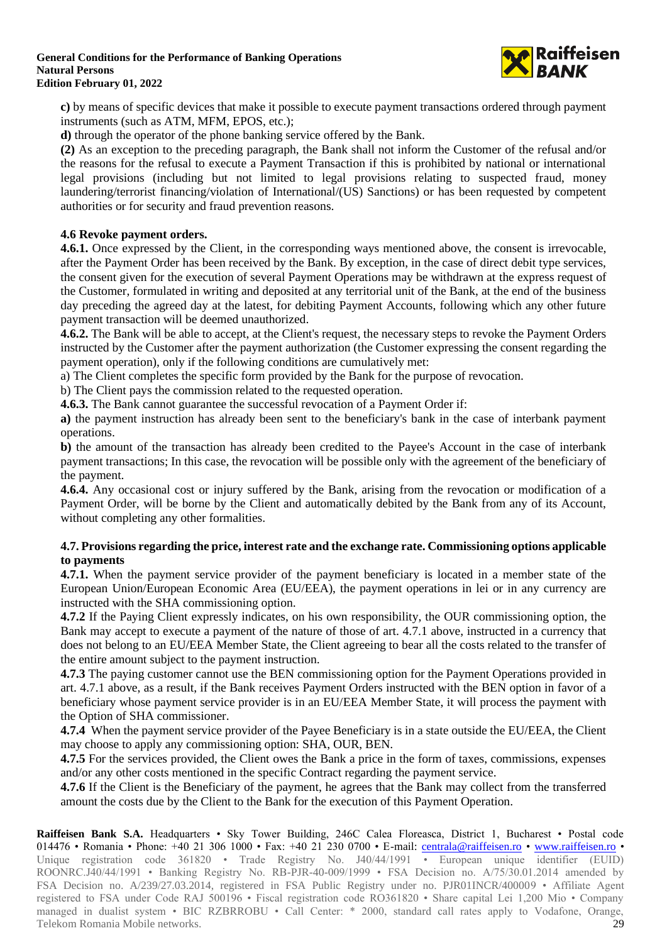# **General Conditions for the Performance of Banking Operations Natural Persons**



**Edition February 01, 2022**

**c)** by means of specific devices that make it possible to execute payment transactions ordered through payment instruments (such as ATM, MFM, EPOS, etc.);

**d)** through the operator of the phone banking service offered by the Bank.

**(2)** As an exception to the preceding paragraph, the Bank shall not inform the Customer of the refusal and/or the reasons for the refusal to execute a Payment Transaction if this is prohibited by national or international legal provisions (including but not limited to legal provisions relating to suspected fraud, money laundering/terrorist financing/violation of International/(US) Sanctions) or has been requested by competent authorities or for security and fraud prevention reasons.

## **4.6 Revoke payment orders.**

**4.6.1.** Once expressed by the Client, in the corresponding ways mentioned above, the consent is irrevocable, after the Payment Order has been received by the Bank. By exception, in the case of direct debit type services, the consent given for the execution of several Payment Operations may be withdrawn at the express request of the Customer, formulated in writing and deposited at any territorial unit of the Bank, at the end of the business day preceding the agreed day at the latest, for debiting Payment Accounts, following which any other future payment transaction will be deemed unauthorized.

**4.6.2.** The Bank will be able to accept, at the Client's request, the necessary steps to revoke the Payment Orders instructed by the Customer after the payment authorization (the Customer expressing the consent regarding the payment operation), only if the following conditions are cumulatively met:

a) The Client completes the specific form provided by the Bank for the purpose of revocation.

b) The Client pays the commission related to the requested operation.

**4.6.3.** The Bank cannot guarantee the successful revocation of a Payment Order if:

**a)** the payment instruction has already been sent to the beneficiary's bank in the case of interbank payment operations.

**b)** the amount of the transaction has already been credited to the Payee's Account in the case of interbank payment transactions; In this case, the revocation will be possible only with the agreement of the beneficiary of the payment.

**4.6.4.** Any occasional cost or injury suffered by the Bank, arising from the revocation or modification of a Payment Order, will be borne by the Client and automatically debited by the Bank from any of its Account, without completing any other formalities.

### **4.7. Provisions regarding the price, interest rate and the exchange rate. Commissioning options applicable to payments**

**4.7.1.** When the payment service provider of the payment beneficiary is located in a member state of the European Union/European Economic Area (EU/EEA), the payment operations in lei or in any currency are instructed with the SHA commissioning option.

**4.7.2** If the Paying Client expressly indicates, on his own responsibility, the OUR commissioning option, the Bank may accept to execute a payment of the nature of those of art. 4.7.1 above, instructed in a currency that does not belong to an EU/EEA Member State, the Client agreeing to bear all the costs related to the transfer of the entire amount subject to the payment instruction.

**4.7.3** The paying customer cannot use the BEN commissioning option for the Payment Operations provided in art. 4.7.1 above, as a result, if the Bank receives Payment Orders instructed with the BEN option in favor of a beneficiary whose payment service provider is in an EU/EEA Member State, it will process the payment with the Option of SHA commissioner.

**4.7.4** When the payment service provider of the Payee Beneficiary is in a state outside the EU/EEA, the Client may choose to apply any commissioning option: SHA, OUR, BEN.

**4.7.5** For the services provided, the Client owes the Bank a price in the form of taxes, commissions, expenses and/or any other costs mentioned in the specific Contract regarding the payment service.

**4.7.6** If the Client is the Beneficiary of the payment, he agrees that the Bank may collect from the transferred amount the costs due by the Client to the Bank for the execution of this Payment Operation.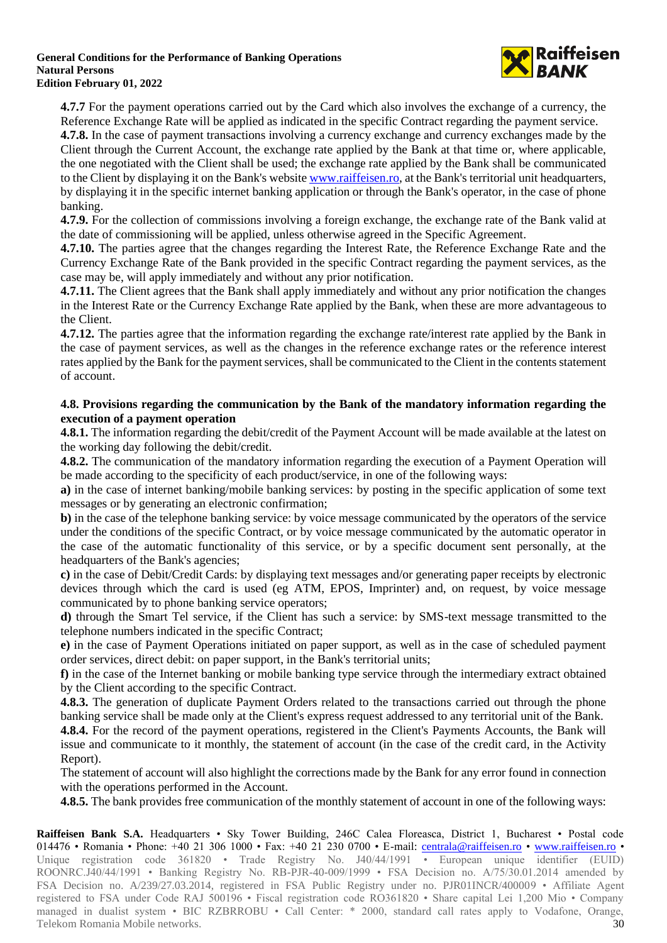

**4.7.7** For the payment operations carried out by the Card which also involves the exchange of a currency, the Reference Exchange Rate will be applied as indicated in the specific Contract regarding the payment service.

**4.7.8.** In the case of payment transactions involving a currency exchange and currency exchanges made by the Client through the Current Account, the exchange rate applied by the Bank at that time or, where applicable, the one negotiated with the Client shall be used; the exchange rate applied by the Bank shall be communicated to the Client by displaying it on the Bank's websit[e www.raiffeisen.ro,](http://www.raiffeisen.ro/) at the Bank's territorial unit headquarters, by displaying it in the specific internet banking application or through the Bank's operator, in the case of phone banking.

**4.7.9.** For the collection of commissions involving a foreign exchange, the exchange rate of the Bank valid at the date of commissioning will be applied, unless otherwise agreed in the Specific Agreement.

**4.7.10.** The parties agree that the changes regarding the Interest Rate, the Reference Exchange Rate and the Currency Exchange Rate of the Bank provided in the specific Contract regarding the payment services, as the case may be, will apply immediately and without any prior notification.

**4.7.11.** The Client agrees that the Bank shall apply immediately and without any prior notification the changes in the Interest Rate or the Currency Exchange Rate applied by the Bank, when these are more advantageous to the Client.

**4.7.12.** The parties agree that the information regarding the exchange rate/interest rate applied by the Bank in the case of payment services, as well as the changes in the reference exchange rates or the reference interest rates applied by the Bank for the payment services, shall be communicated to the Client in the contents statement of account.

### **4.8. Provisions regarding the communication by the Bank of the mandatory information regarding the execution of a payment operation**

**4.8.1.** The information regarding the debit/credit of the Payment Account will be made available at the latest on the working day following the debit/credit.

**4.8.2.** The communication of the mandatory information regarding the execution of a Payment Operation will be made according to the specificity of each product/service, in one of the following ways:

**a)** in the case of internet banking/mobile banking services: by posting in the specific application of some text messages or by generating an electronic confirmation;

**b)** in the case of the telephone banking service: by voice message communicated by the operators of the service under the conditions of the specific Contract, or by voice message communicated by the automatic operator in the case of the automatic functionality of this service, or by a specific document sent personally, at the headquarters of the Bank's agencies;

**c)** in the case of Debit/Credit Cards: by displaying text messages and/or generating paper receipts by electronic devices through which the card is used (eg ATM, EPOS, Imprinter) and, on request, by voice message communicated by to phone banking service operators;

**d)** through the Smart Tel service, if the Client has such a service: by SMS-text message transmitted to the telephone numbers indicated in the specific Contract;

**e)** in the case of Payment Operations initiated on paper support, as well as in the case of scheduled payment order services, direct debit: on paper support, in the Bank's territorial units;

**f)** in the case of the Internet banking or mobile banking type service through the intermediary extract obtained by the Client according to the specific Contract.

**4.8.3.** The generation of duplicate Payment Orders related to the transactions carried out through the phone banking service shall be made only at the Client's express request addressed to any territorial unit of the Bank.

**4.8.4.** For the record of the payment operations, registered in the Client's Payments Accounts, the Bank will issue and communicate to it monthly, the statement of account (in the case of the credit card, in the Activity Report).

The statement of account will also highlight the corrections made by the Bank for any error found in connection with the operations performed in the Account.

**4.8.5.** The bank provides free communication of the monthly statement of account in one of the following ways: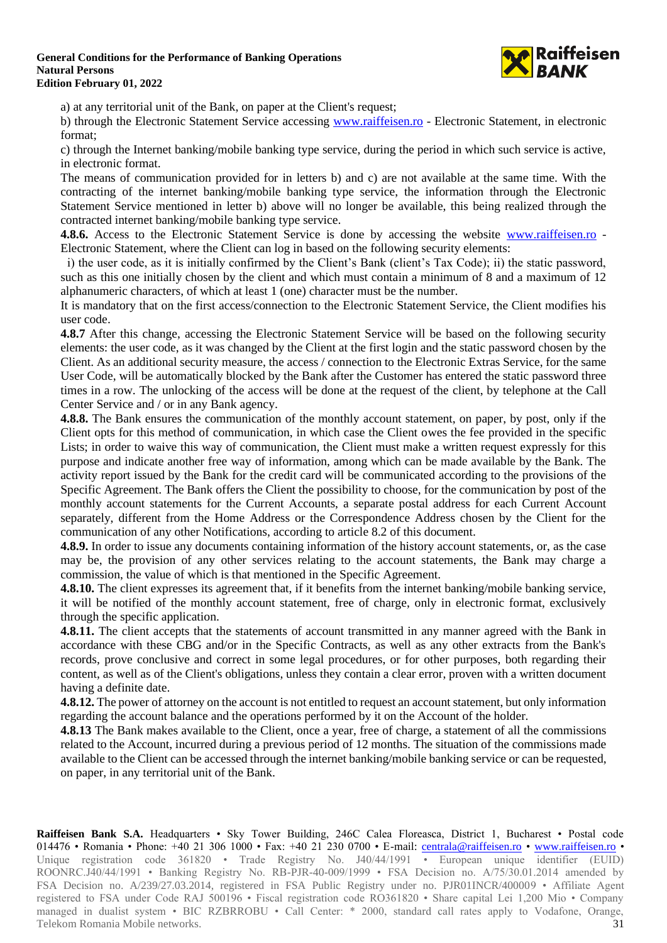

a) at any territorial unit of the Bank, on paper at the Client's request;

b) through the Electronic Statement Service accessing [www.raiffeisen.ro](http://www.raiffeisen.ro/) - Electronic Statement, in electronic format;

c) through the Internet banking/mobile banking type service, during the period in which such service is active, in electronic format.

The means of communication provided for in letters b) and c) are not available at the same time. With the contracting of the internet banking/mobile banking type service, the information through the Electronic Statement Service mentioned in letter b) above will no longer be available, this being realized through the contracted internet banking/mobile banking type service.

**4.8.6.** Access to the Electronic Statement Service is done by accessing the website [www.raiffeisen.ro](http://www.raiffeisen.ro/) - Electronic Statement, where the Client can log in based on the following security elements:

i) the user code, as it is initially confirmed by the Client's Bank (client's Tax Code); ii) the static password, such as this one initially chosen by the client and which must contain a minimum of 8 and a maximum of 12 alphanumeric characters, of which at least 1 (one) character must be the number.

It is mandatory that on the first access/connection to the Electronic Statement Service, the Client modifies his user code.

**4.8.7** After this change, accessing the Electronic Statement Service will be based on the following security elements: the user code, as it was changed by the Client at the first login and the static password chosen by the Client. As an additional security measure, the access / connection to the Electronic Extras Service, for the same User Code, will be automatically blocked by the Bank after the Customer has entered the static password three times in a row. The unlocking of the access will be done at the request of the client, by telephone at the Call Center Service and / or in any Bank agency.

**4.8.8.** The Bank ensures the communication of the monthly account statement, on paper, by post, only if the Client opts for this method of communication, in which case the Client owes the fee provided in the specific Lists; in order to waive this way of communication, the Client must make a written request expressly for this purpose and indicate another free way of information, among which can be made available by the Bank. The activity report issued by the Bank for the credit card will be communicated according to the provisions of the Specific Agreement. The Bank offers the Client the possibility to choose, for the communication by post of the monthly account statements for the Current Accounts, a separate postal address for each Current Account separately, different from the Home Address or the Correspondence Address chosen by the Client for the communication of any other Notifications, according to article 8.2 of this document.

**4.8.9.** In order to issue any documents containing information of the history account statements, or, as the case may be, the provision of any other services relating to the account statements, the Bank may charge a commission, the value of which is that mentioned in the Specific Agreement.

**4.8.10.** The client expresses its agreement that, if it benefits from the internet banking/mobile banking service, it will be notified of the monthly account statement, free of charge, only in electronic format, exclusively through the specific application.

**4.8.11.** The client accepts that the statements of account transmitted in any manner agreed with the Bank in accordance with these CBG and/or in the Specific Contracts, as well as any other extracts from the Bank's records, prove conclusive and correct in some legal procedures, or for other purposes, both regarding their content, as well as of the Client's obligations, unless they contain a clear error, proven with a written document having a definite date.

**4.8.12.** The power of attorney on the account is not entitled to request an account statement, but only information regarding the account balance and the operations performed by it on the Account of the holder.

**4.8.13** The Bank makes available to the Client, once a year, free of charge, a statement of all the commissions related to the Account, incurred during a previous period of 12 months. The situation of the commissions made available to the Client can be accessed through the internet banking/mobile banking service or can be requested, on paper, in any territorial unit of the Bank.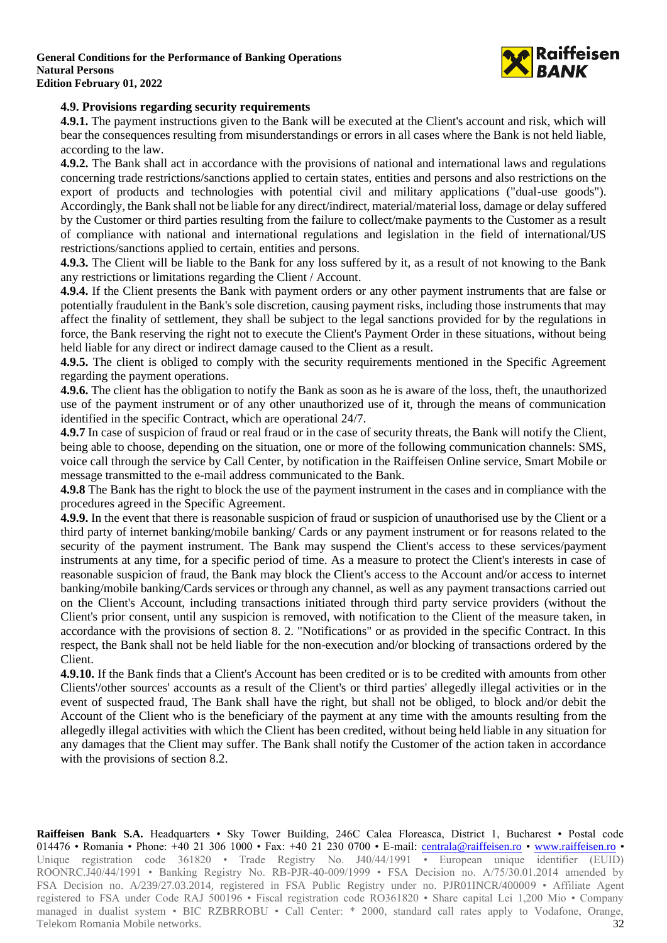

### **4.9. Provisions regarding security requirements**

**4.9.1.** The payment instructions given to the Bank will be executed at the Client's account and risk, which will bear the consequences resulting from misunderstandings or errors in all cases where the Bank is not held liable, according to the law.

**4.9.2.** The Bank shall act in accordance with the provisions of national and international laws and regulations concerning trade restrictions/sanctions applied to certain states, entities and persons and also restrictions on the export of products and technologies with potential civil and military applications ("dual-use goods"). Accordingly, the Bank shall not be liable for any direct/indirect, material/material loss, damage or delay suffered by the Customer or third parties resulting from the failure to collect/make payments to the Customer as a result of compliance with national and international regulations and legislation in the field of international/US restrictions/sanctions applied to certain, entities and persons.

**4.9.3.** The Client will be liable to the Bank for any loss suffered by it, as a result of not knowing to the Bank any restrictions or limitations regarding the Client / Account.

**4.9.4.** If the Client presents the Bank with payment orders or any other payment instruments that are false or potentially fraudulent in the Bank's sole discretion, causing payment risks, including those instruments that may affect the finality of settlement, they shall be subject to the legal sanctions provided for by the regulations in force, the Bank reserving the right not to execute the Client's Payment Order in these situations, without being held liable for any direct or indirect damage caused to the Client as a result.

**4.9.5.** The client is obliged to comply with the security requirements mentioned in the Specific Agreement regarding the payment operations.

**4.9.6.** The client has the obligation to notify the Bank as soon as he is aware of the loss, theft, the unauthorized use of the payment instrument or of any other unauthorized use of it, through the means of communication identified in the specific Contract, which are operational 24/7.

**4.9.7** In case of suspicion of fraud or real fraud or in the case of security threats, the Bank will notify the Client, being able to choose, depending on the situation, one or more of the following communication channels: SMS, voice call through the service by Call Center, by notification in the Raiffeisen Online service, Smart Mobile or message transmitted to the e-mail address communicated to the Bank.

**4.9.8** The Bank has the right to block the use of the payment instrument in the cases and in compliance with the procedures agreed in the Specific Agreement.

**4.9.9.** In the event that there is reasonable suspicion of fraud or suspicion of unauthorised use by the Client or a third party of internet banking/mobile banking/ Cards or any payment instrument or for reasons related to the security of the payment instrument. The Bank may suspend the Client's access to these services/payment instruments at any time, for a specific period of time. As a measure to protect the Client's interests in case of reasonable suspicion of fraud, the Bank may block the Client's access to the Account and/or access to internet banking/mobile banking/Cards services or through any channel, as well as any payment transactions carried out on the Client's Account, including transactions initiated through third party service providers (without the Client's prior consent, until any suspicion is removed, with notification to the Client of the measure taken, in accordance with the provisions of section 8. 2. "Notifications" or as provided in the specific Contract. In this respect, the Bank shall not be held liable for the non-execution and/or blocking of transactions ordered by the Client.

**4.9.10.** If the Bank finds that a Client's Account has been credited or is to be credited with amounts from other Clients'/other sources' accounts as a result of the Client's or third parties' allegedly illegal activities or in the event of suspected fraud, The Bank shall have the right, but shall not be obliged, to block and/or debit the Account of the Client who is the beneficiary of the payment at any time with the amounts resulting from the allegedly illegal activities with which the Client has been credited, without being held liable in any situation for any damages that the Client may suffer. The Bank shall notify the Customer of the action taken in accordance with the provisions of section 8.2.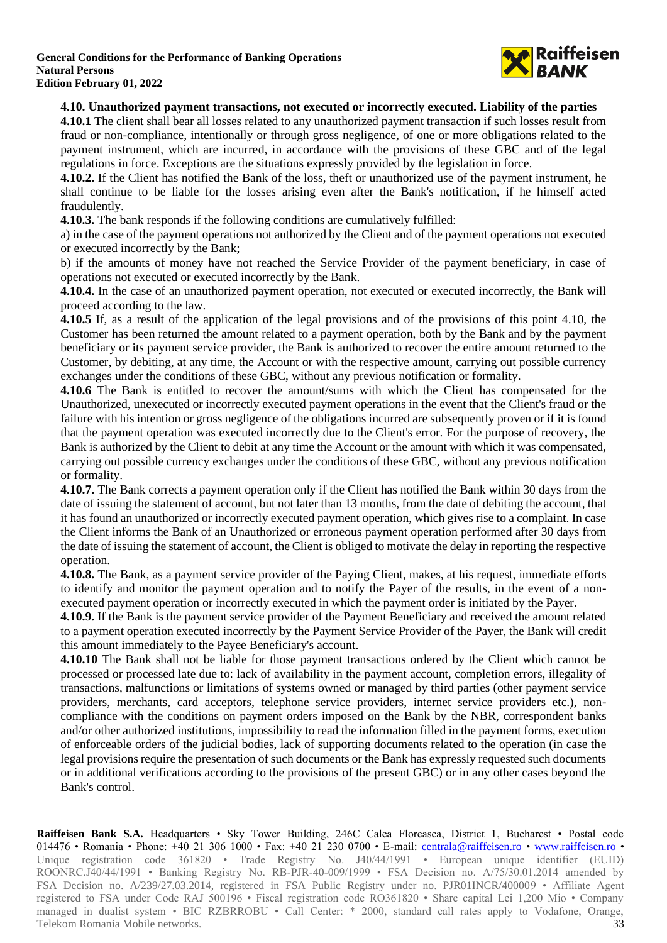

### **4.10. Unauthorized payment transactions, not executed or incorrectly executed. Liability of the parties**

**4.10.1** The client shall bear all losses related to any unauthorized payment transaction if such losses result from fraud or non-compliance, intentionally or through gross negligence, of one or more obligations related to the payment instrument, which are incurred, in accordance with the provisions of these GBC and of the legal regulations in force. Exceptions are the situations expressly provided by the legislation in force.

**4.10.2.** If the Client has notified the Bank of the loss, theft or unauthorized use of the payment instrument, he shall continue to be liable for the losses arising even after the Bank's notification, if he himself acted fraudulently.

**4.10.3.** The bank responds if the following conditions are cumulatively fulfilled:

a) in the case of the payment operations not authorized by the Client and of the payment operations not executed or executed incorrectly by the Bank;

b) if the amounts of money have not reached the Service Provider of the payment beneficiary, in case of operations not executed or executed incorrectly by the Bank.

**4.10.4.** In the case of an unauthorized payment operation, not executed or executed incorrectly, the Bank will proceed according to the law.

**4.10.5** If, as a result of the application of the legal provisions and of the provisions of this point 4.10, the Customer has been returned the amount related to a payment operation, both by the Bank and by the payment beneficiary or its payment service provider, the Bank is authorized to recover the entire amount returned to the Customer, by debiting, at any time, the Account or with the respective amount, carrying out possible currency exchanges under the conditions of these GBC, without any previous notification or formality.

**4.10.6** The Bank is entitled to recover the amount/sums with which the Client has compensated for the Unauthorized, unexecuted or incorrectly executed payment operations in the event that the Client's fraud or the failure with his intention or gross negligence of the obligations incurred are subsequently proven or if it is found that the payment operation was executed incorrectly due to the Client's error. For the purpose of recovery, the Bank is authorized by the Client to debit at any time the Account or the amount with which it was compensated, carrying out possible currency exchanges under the conditions of these GBC, without any previous notification or formality.

**4.10.7.** The Bank corrects a payment operation only if the Client has notified the Bank within 30 days from the date of issuing the statement of account, but not later than 13 months, from the date of debiting the account, that it has found an unauthorized or incorrectly executed payment operation, which gives rise to a complaint. In case the Client informs the Bank of an Unauthorized or erroneous payment operation performed after 30 days from the date of issuing the statement of account, the Client is obliged to motivate the delay in reporting the respective operation.

**4.10.8.** The Bank, as a payment service provider of the Paying Client, makes, at his request, immediate efforts to identify and monitor the payment operation and to notify the Payer of the results, in the event of a nonexecuted payment operation or incorrectly executed in which the payment order is initiated by the Payer.

**4.10.9.** If the Bank is the payment service provider of the Payment Beneficiary and received the amount related to a payment operation executed incorrectly by the Payment Service Provider of the Payer, the Bank will credit this amount immediately to the Payee Beneficiary's account.

**4.10.10** The Bank shall not be liable for those payment transactions ordered by the Client which cannot be processed or processed late due to: lack of availability in the payment account, completion errors, illegality of transactions, malfunctions or limitations of systems owned or managed by third parties (other payment service providers, merchants, card acceptors, telephone service providers, internet service providers etc.), noncompliance with the conditions on payment orders imposed on the Bank by the NBR, correspondent banks and/or other authorized institutions, impossibility to read the information filled in the payment forms, execution of enforceable orders of the judicial bodies, lack of supporting documents related to the operation (in case the legal provisions require the presentation of such documents or the Bank has expressly requested such documents or in additional verifications according to the provisions of the present GBC) or in any other cases beyond the Bank's control.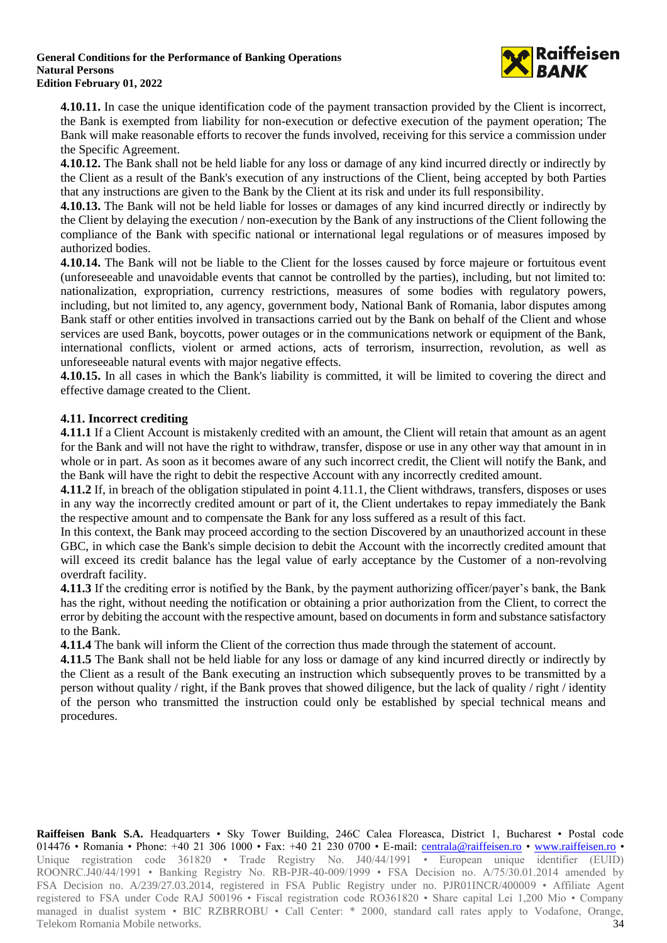

**4.10.11.** In case the unique identification code of the payment transaction provided by the Client is incorrect, the Bank is exempted from liability for non-execution or defective execution of the payment operation; The Bank will make reasonable efforts to recover the funds involved, receiving for this service a commission under the Specific Agreement.

**4.10.12.** The Bank shall not be held liable for any loss or damage of any kind incurred directly or indirectly by the Client as a result of the Bank's execution of any instructions of the Client, being accepted by both Parties that any instructions are given to the Bank by the Client at its risk and under its full responsibility.

**4.10.13.** The Bank will not be held liable for losses or damages of any kind incurred directly or indirectly by the Client by delaying the execution / non-execution by the Bank of any instructions of the Client following the compliance of the Bank with specific national or international legal regulations or of measures imposed by authorized bodies.

**4.10.14.** The Bank will not be liable to the Client for the losses caused by force majeure or fortuitous event (unforeseeable and unavoidable events that cannot be controlled by the parties), including, but not limited to: nationalization, expropriation, currency restrictions, measures of some bodies with regulatory powers, including, but not limited to, any agency, government body, National Bank of Romania, labor disputes among Bank staff or other entities involved in transactions carried out by the Bank on behalf of the Client and whose services are used Bank, boycotts, power outages or in the communications network or equipment of the Bank, international conflicts, violent or armed actions, acts of terrorism, insurrection, revolution, as well as unforeseeable natural events with major negative effects.

**4.10.15.** In all cases in which the Bank's liability is committed, it will be limited to covering the direct and effective damage created to the Client.

### **4.11. Incorrect crediting**

**4.11.1** If a Client Account is mistakenly credited with an amount, the Client will retain that amount as an agent for the Bank and will not have the right to withdraw, transfer, dispose or use in any other way that amount in in whole or in part. As soon as it becomes aware of any such incorrect credit, the Client will notify the Bank, and the Bank will have the right to debit the respective Account with any incorrectly credited amount.

**4.11.2** If, in breach of the obligation stipulated in point 4.11.1, the Client withdraws, transfers, disposes or uses in any way the incorrectly credited amount or part of it, the Client undertakes to repay immediately the Bank the respective amount and to compensate the Bank for any loss suffered as a result of this fact.

In this context, the Bank may proceed according to the section Discovered by an unauthorized account in these GBC, in which case the Bank's simple decision to debit the Account with the incorrectly credited amount that will exceed its credit balance has the legal value of early acceptance by the Customer of a non-revolving overdraft facility.

**4.11.3** If the crediting error is notified by the Bank, by the payment authorizing officer/payer's bank, the Bank has the right, without needing the notification or obtaining a prior authorization from the Client, to correct the error by debiting the account with the respective amount, based on documents in form and substance satisfactory to the Bank.

**4.11.4** The bank will inform the Client of the correction thus made through the statement of account.

**4.11.5** The Bank shall not be held liable for any loss or damage of any kind incurred directly or indirectly by the Client as a result of the Bank executing an instruction which subsequently proves to be transmitted by a person without quality / right, if the Bank proves that showed diligence, but the lack of quality / right / identity of the person who transmitted the instruction could only be established by special technical means and procedures.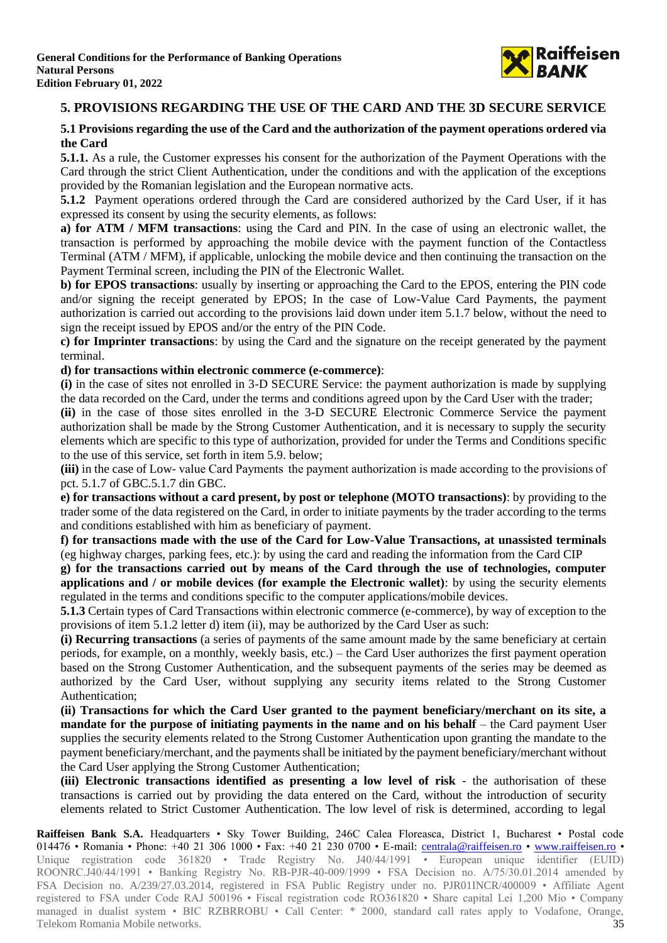

# **5. PROVISIONS REGARDING THE USE OF THE CARD AND THE 3D SECURE SERVICE**

### **5.1 Provisions regarding the use of the Card and the authorization of the payment operations ordered via the Card**

**5.1.1.** As a rule, the Customer expresses his consent for the authorization of the Payment Operations with the Card through the strict Client Authentication, under the conditions and with the application of the exceptions provided by the Romanian legislation and the European normative acts.

**5.1.2** Payment operations ordered through the Card are considered authorized by the Card User, if it has expressed its consent by using the security elements, as follows:

**a) for ATM / MFM transactions**: using the Card and PIN. In the case of using an electronic wallet, the transaction is performed by approaching the mobile device with the payment function of the Contactless Terminal (ATM / MFM), if applicable, unlocking the mobile device and then continuing the transaction on the Payment Terminal screen, including the PIN of the Electronic Wallet.

**b) for EPOS transactions**: usually by inserting or approaching the Card to the EPOS, entering the PIN code and/or signing the receipt generated by EPOS; In the case of Low-Value Card Payments, the payment authorization is carried out according to the provisions laid down under item 5.1.7 below, without the need to sign the receipt issued by EPOS and/or the entry of the PIN Code.

**c) for Imprinter transactions**: by using the Card and the signature on the receipt generated by the payment terminal.

**d) for transactions within electronic commerce (e-commerce)**:

**(i)** in the case of sites not enrolled in 3-D SECURE Service: the payment authorization is made by supplying the data recorded on the Card, under the terms and conditions agreed upon by the Card User with the trader;

**(ii)** in the case of those sites enrolled in the 3-D SECURE Electronic Commerce Service the payment authorization shall be made by the Strong Customer Authentication, and it is necessary to supply the security elements which are specific to this type of authorization, provided for under the Terms and Conditions specific to the use of this service, set forth in item 5.9. below;

**(iii)** in the case of Low- value Card Payments  the payment authorization is made according to the provisions of pct. 5.1.7 of GBC.5.1.7 din GBC.

**e) for transactions without a card present, by post or telephone (MOTO transactions)**: by providing to the trader some of the data registered on the Card, in order to initiate payments by the trader according to the terms and conditions established with him as beneficiary of payment.

**f) for transactions made with the use of the Card for Low-Value Transactions, at unassisted terminals** (eg highway charges, parking fees, etc.): by using the card and reading the information from the Card CIP

**g) for the transactions carried out by means of the Card through the use of technologies, computer applications and / or mobile devices (for example the Electronic wallet)**: by using the security elements regulated in the terms and conditions specific to the computer applications/mobile devices.

**5.1.3** Certain types of Card Transactions within electronic commerce (e-commerce), by way of exception to the provisions of item 5.1.2 letter d) item (ii), may be authorized by the Card User as such:

**(i) Recurring transactions** (a series of payments of the same amount made by the same beneficiary at certain periods, for example, on a monthly, weekly basis, etc.) – the Card User authorizes the first payment operation based on the Strong Customer Authentication, and the subsequent payments of the series may be deemed as authorized by the Card User, without supplying any security items related to the Strong Customer Authentication;

**(ii) Transactions for which the Card User granted to the payment beneficiary/merchant on its site, a mandate for the purpose of initiating payments in the name and on his behalf** – the Card payment User supplies the security elements related to the Strong Customer Authentication upon granting the mandate to the payment beneficiary/merchant, and the payments shall be initiated by the payment beneficiary/merchant without the Card User applying the Strong Customer Authentication;

**(iii) Electronic transactions identified as presenting a low level of risk** - the authorisation of these transactions is carried out by providing the data entered on the Card, without the introduction of security elements related to Strict Customer Authentication. The low level of risk is determined, according to legal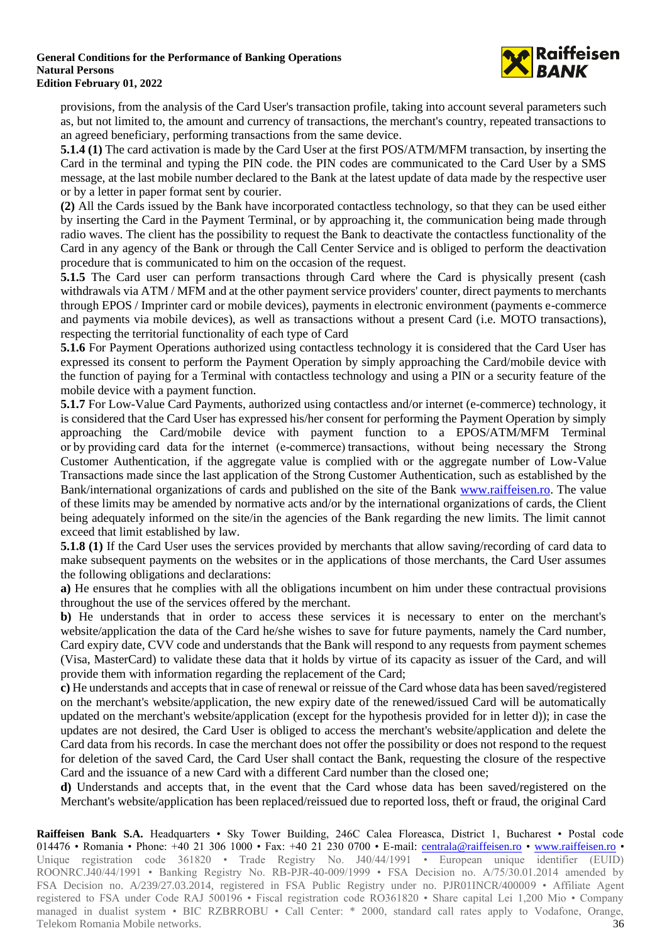

provisions, from the analysis of the Card User's transaction profile, taking into account several parameters such as, but not limited to, the amount and currency of transactions, the merchant's country, repeated transactions to an agreed beneficiary, performing transactions from the same device.

**5.1.4 (1)** The card activation is made by the Card User at the first POS/ATM/MFM transaction, by inserting the Card in the terminal and typing the PIN code. the PIN codes are communicated to the Card User by a SMS message, at the last mobile number declared to the Bank at the latest update of data made by the respective user or by a letter in paper format sent by courier.

**(2)** All the Cards issued by the Bank have incorporated contactless technology, so that they can be used either by inserting the Card in the Payment Terminal, or by approaching it, the communication being made through radio waves. The client has the possibility to request the Bank to deactivate the contactless functionality of the Card in any agency of the Bank or through the Call Center Service and is obliged to perform the deactivation procedure that is communicated to him on the occasion of the request.

**5.1.5** The Card user can perform transactions through Card where the Card is physically present (cash withdrawals via ATM / MFM and at the other payment service providers' counter, direct payments to merchants through EPOS / Imprinter card or mobile devices), payments in electronic environment (payments e-commerce and payments via mobile devices), as well as transactions without a present Card (i.e. MOTO transactions), respecting the territorial functionality of each type of Card

**5.1.6** For Payment Operations authorized using contactless technology it is considered that the Card User has expressed its consent to perform the Payment Operation by simply approaching the Card/mobile device with the function of paying for a Terminal with contactless technology and using a PIN or a security feature of the mobile device with a payment function.

**5.1.7** For Low-Value Card Payments, authorized using contactless and/or internet (e-commerce) technology, it is considered that the Card User has expressed his/her consent for performing the Payment Operation by simply approaching the Card/mobile device with payment function to a EPOS/ATM/MFM Terminal or by providing card data  for the internet (e-commerce) transactions, without being necessary the Strong Customer Authentication, if the aggregate value is complied with or the aggregate number of Low-Value Transactions made since the last application of the Strong Customer Authentication, such as established by the Bank/international organizations of cards and published on the site of the Bank [www.raiffeisen.ro.](http://www.raiffeisen.ro/) The value of these limits may be amended by normative acts and/or by the international organizations of cards, the Client being adequately informed on the site/in the agencies of the Bank regarding the new limits. The limit cannot exceed that limit established by law.

**5.1.8 (1)** If the Card User uses the services provided by merchants that allow saving/recording of card data to make subsequent payments on the websites or in the applications of those merchants, the Card User assumes the following obligations and declarations:

**a)** He ensures that he complies with all the obligations incumbent on him under these contractual provisions throughout the use of the services offered by the merchant.

**b)** He understands that in order to access these services it is necessary to enter on the merchant's website/application the data of the Card he/she wishes to save for future payments, namely the Card number, Card expiry date, CVV code and understands that the Bank will respond to any requests from payment schemes (Visa, MasterCard) to validate these data that it holds by virtue of its capacity as issuer of the Card, and will provide them with information regarding the replacement of the Card;

**c)** He understands and accepts that in case of renewal or reissue of the Card whose data has been saved/registered on the merchant's website/application, the new expiry date of the renewed/issued Card will be automatically updated on the merchant's website/application (except for the hypothesis provided for in letter d)); in case the updates are not desired, the Card User is obliged to access the merchant's website/application and delete the Card data from his records. In case the merchant does not offer the possibility or does not respond to the request for deletion of the saved Card, the Card User shall contact the Bank, requesting the closure of the respective Card and the issuance of a new Card with a different Card number than the closed one;

**d)** Understands and accepts that, in the event that the Card whose data has been saved/registered on the Merchant's website/application has been replaced/reissued due to reported loss, theft or fraud, the original Card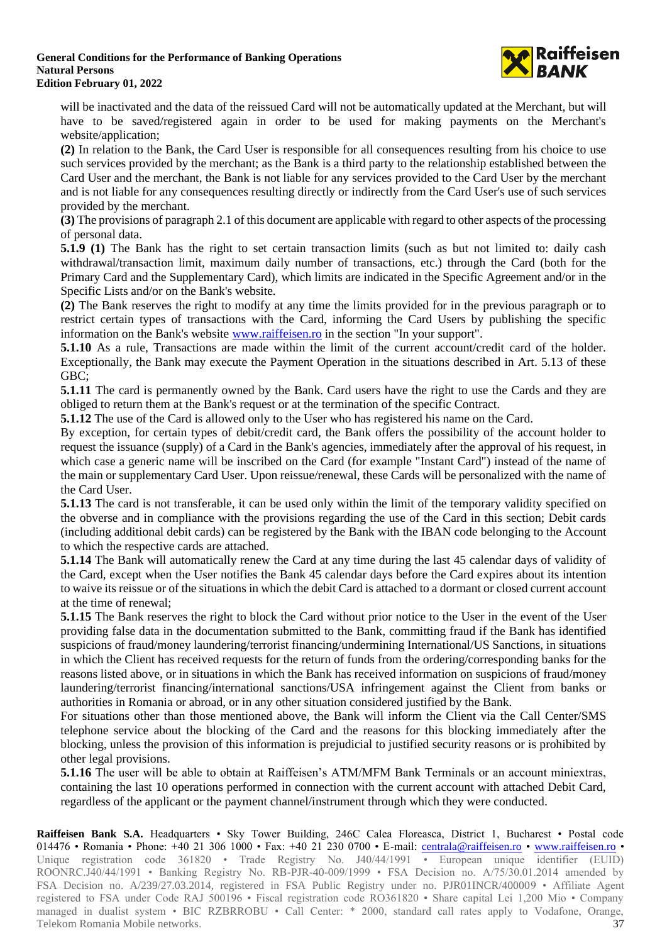

will be inactivated and the data of the reissued Card will not be automatically updated at the Merchant, but will have to be saved/registered again in order to be used for making payments on the Merchant's website/application;

**(2)** In relation to the Bank, the Card User is responsible for all consequences resulting from his choice to use such services provided by the merchant; as the Bank is a third party to the relationship established between the Card User and the merchant, the Bank is not liable for any services provided to the Card User by the merchant and is not liable for any consequences resulting directly or indirectly from the Card User's use of such services provided by the merchant.

**(3)** The provisions of paragraph 2.1 of this document are applicable with regard to other aspects of the processing of personal data.

**5.1.9 (1)** The Bank has the right to set certain transaction limits (such as but not limited to: daily cash withdrawal/transaction limit, maximum daily number of transactions, etc.) through the Card (both for the Primary Card and the Supplementary Card), which limits are indicated in the Specific Agreement and/or in the Specific Lists and/or on the Bank's website.

**(2)** The Bank reserves the right to modify at any time the limits provided for in the previous paragraph or to restrict certain types of transactions with the Card, informing the Card Users by publishing the specific information on the Bank's website [www.raiffeisen.ro](http://www.raiffeisen.ro/) in the section "In your support".

**5.1.10** As a rule, Transactions are made within the limit of the current account/credit card of the holder. Exceptionally, the Bank may execute the Payment Operation in the situations described in Art. 5.13 of these GBC;

**5.1.11** The card is permanently owned by the Bank. Card users have the right to use the Cards and they are obliged to return them at the Bank's request or at the termination of the specific Contract.

**5.1.12** The use of the Card is allowed only to the User who has registered his name on the Card.

By exception, for certain types of debit/credit card, the Bank offers the possibility of the account holder to request the issuance (supply) of a Card in the Bank's agencies, immediately after the approval of his request, in which case a generic name will be inscribed on the Card (for example "Instant Card") instead of the name of the main or supplementary Card User. Upon reissue/renewal, these Cards will be personalized with the name of the Card User.

**5.1.13** The card is not transferable, it can be used only within the limit of the temporary validity specified on the obverse and in compliance with the provisions regarding the use of the Card in this section; Debit cards (including additional debit cards) can be registered by the Bank with the IBAN code belonging to the Account to which the respective cards are attached.

**5.1.14** The Bank will automatically renew the Card at any time during the last 45 calendar days of validity of the Card, except when the User notifies the Bank 45 calendar days before the Card expires about its intention to waive its reissue or of the situations in which the debit Card is attached to a dormant or closed current account at the time of renewal;

**5.1.15** The Bank reserves the right to block the Card without prior notice to the User in the event of the User providing false data in the documentation submitted to the Bank, committing fraud if the Bank has identified suspicions of fraud/money laundering/terrorist financing/undermining International/US Sanctions, in situations in which the Client has received requests for the return of funds from the ordering/corresponding banks for the reasons listed above, or in situations in which the Bank has received information on suspicions of fraud/money laundering/terrorist financing/international sanctions/USA infringement against the Client from banks or authorities in Romania or abroad, or in any other situation considered justified by the Bank.

For situations other than those mentioned above, the Bank will inform the Client via the Call Center/SMS telephone service about the blocking of the Card and the reasons for this blocking immediately after the blocking, unless the provision of this information is prejudicial to justified security reasons or is prohibited by other legal provisions.

**5.1.16** The user will be able to obtain at Raiffeisen's ATM/MFM Bank Terminals or an account miniextras, containing the last 10 operations performed in connection with the current account with attached Debit Card, regardless of the applicant or the payment channel/instrument through which they were conducted.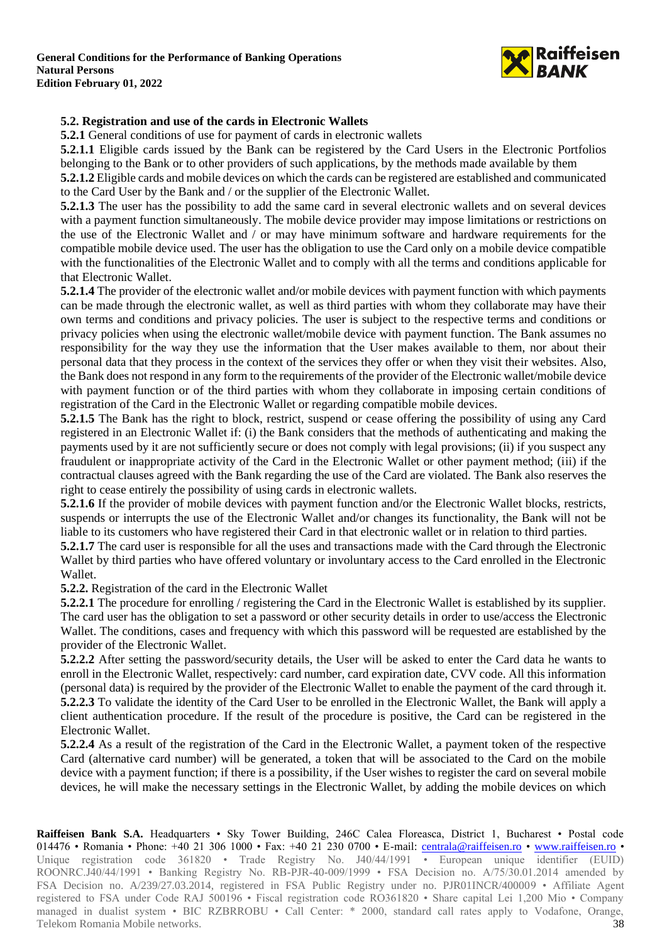

### **5.2. Registration and use of the cards in Electronic Wallets**

**5.2.1** General conditions of use for payment of cards in electronic wallets

**5.2.1.1** Eligible cards issued by the Bank can be registered by the Card Users in the Electronic Portfolios belonging to the Bank or to other providers of such applications, by the methods made available by them

**5.2.1.2** Eligible cards and mobile devices on which the cards can be registered are established and communicated to the Card User by the Bank and / or the supplier of the Electronic Wallet.

**5.2.1.3** The user has the possibility to add the same card in several electronic wallets and on several devices with a payment function simultaneously. The mobile device provider may impose limitations or restrictions on the use of the Electronic Wallet and / or may have minimum software and hardware requirements for the compatible mobile device used. The user has the obligation to use the Card only on a mobile device compatible with the functionalities of the Electronic Wallet and to comply with all the terms and conditions applicable for that Electronic Wallet.

**5.2.1.4** The provider of the electronic wallet and/or mobile devices with payment function with which payments can be made through the electronic wallet, as well as third parties with whom they collaborate may have their own terms and conditions and privacy policies. The user is subject to the respective terms and conditions or privacy policies when using the electronic wallet/mobile device with payment function. The Bank assumes no responsibility for the way they use the information that the User makes available to them, nor about their personal data that they process in the context of the services they offer or when they visit their websites. Also, the Bank does not respond in any form to the requirements of the provider of the Electronic wallet/mobile device with payment function or of the third parties with whom they collaborate in imposing certain conditions of registration of the Card in the Electronic Wallet or regarding compatible mobile devices.

**5.2.1.5** The Bank has the right to block, restrict, suspend or cease offering the possibility of using any Card registered in an Electronic Wallet if: (i) the Bank considers that the methods of authenticating and making the payments used by it are not sufficiently secure or does not comply with legal provisions; (ii) if you suspect any fraudulent or inappropriate activity of the Card in the Electronic Wallet or other payment method; (iii) if the contractual clauses agreed with the Bank regarding the use of the Card are violated. The Bank also reserves the right to cease entirely the possibility of using cards in electronic wallets.

**5.2.1.6** If the provider of mobile devices with payment function and/or the Electronic Wallet blocks, restricts, suspends or interrupts the use of the Electronic Wallet and/or changes its functionality, the Bank will not be liable to its customers who have registered their Card in that electronic wallet or in relation to third parties.

**5.2.1.7** The card user is responsible for all the uses and transactions made with the Card through the Electronic Wallet by third parties who have offered voluntary or involuntary access to the Card enrolled in the Electronic Wallet.

**5.2.2.** Registration of the card in the Electronic Wallet

**5.2.2.1** The procedure for enrolling / registering the Card in the Electronic Wallet is established by its supplier. The card user has the obligation to set a password or other security details in order to use/access the Electronic Wallet. The conditions, cases and frequency with which this password will be requested are established by the provider of the Electronic Wallet.

**5.2.2.2** After setting the password/security details, the User will be asked to enter the Card data he wants to enroll in the Electronic Wallet, respectively: card number, card expiration date, CVV code. All this information (personal data) is required by the provider of the Electronic Wallet to enable the payment of the card through it. **5.2.2.3** To validate the identity of the Card User to be enrolled in the Electronic Wallet, the Bank will apply a client authentication procedure. If the result of the procedure is positive, the Card can be registered in the Electronic Wallet.

**5.2.2.4** As a result of the registration of the Card in the Electronic Wallet, a payment token of the respective Card (alternative card number) will be generated, a token that will be associated to the Card on the mobile device with a payment function; if there is a possibility, if the User wishes to register the card on several mobile devices, he will make the necessary settings in the Electronic Wallet, by adding the mobile devices on which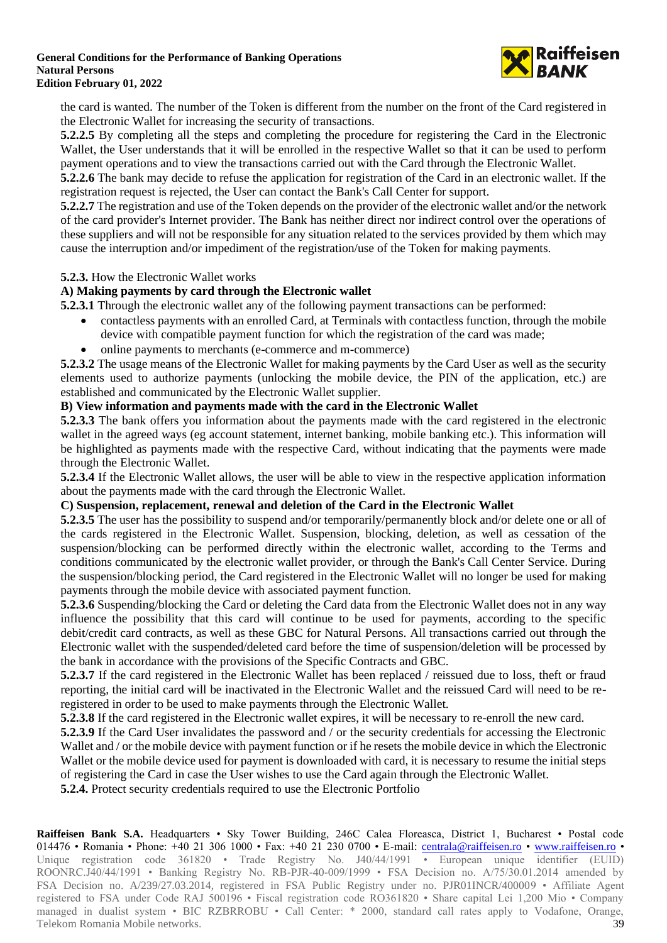

the card is wanted. The number of the Token is different from the number on the front of the Card registered in the Electronic Wallet for increasing the security of transactions.

**5.2.2.5** By completing all the steps and completing the procedure for registering the Card in the Electronic Wallet, the User understands that it will be enrolled in the respective Wallet so that it can be used to perform payment operations and to view the transactions carried out with the Card through the Electronic Wallet.

**5.2.2.6** The bank may decide to refuse the application for registration of the Card in an electronic wallet. If the registration request is rejected, the User can contact the Bank's Call Center for support.

**5.2.2.7** The registration and use of the Token depends on the provider of the electronic wallet and/or the network of the card provider's Internet provider. The Bank has neither direct nor indirect control over the operations of these suppliers and will not be responsible for any situation related to the services provided by them which may cause the interruption and/or impediment of the registration/use of the Token for making payments.

### **5.2.3.** How the Electronic Wallet works

### **A) Making payments by card through the Electronic wallet**

**5.2.3.1** Through the electronic wallet any of the following payment transactions can be performed:

- contactless payments with an enrolled Card, at Terminals with contactless function, through the mobile device with compatible payment function for which the registration of the card was made;
- online payments to merchants (e-commerce and m-commerce)

**5.2.3.2** The usage means of the Electronic Wallet for making payments by the Card User as well as the security elements used to authorize payments (unlocking the mobile device, the PIN of the application, etc.) are established and communicated by the Electronic Wallet supplier.

### **B) View information and payments made with the card in the Electronic Wallet**

**5.2.3.3** The bank offers you information about the payments made with the card registered in the electronic wallet in the agreed ways (eg account statement, internet banking, mobile banking etc.). This information will be highlighted as payments made with the respective Card, without indicating that the payments were made through the Electronic Wallet.

**5.2.3.4** If the Electronic Wallet allows, the user will be able to view in the respective application information about the payments made with the card through the Electronic Wallet.

### **C) Suspension, replacement, renewal and deletion of the Card in the Electronic Wallet**

**5.2.3.5** The user has the possibility to suspend and/or temporarily/permanently block and/or delete one or all of the cards registered in the Electronic Wallet. Suspension, blocking, deletion, as well as cessation of the suspension/blocking can be performed directly within the electronic wallet, according to the Terms and conditions communicated by the electronic wallet provider, or through the Bank's Call Center Service. During the suspension/blocking period, the Card registered in the Electronic Wallet will no longer be used for making payments through the mobile device with associated payment function.

**5.2.3.6** Suspending/blocking the Card or deleting the Card data from the Electronic Wallet does not in any way influence the possibility that this card will continue to be used for payments, according to the specific debit/credit card contracts, as well as these GBC for Natural Persons. All transactions carried out through the Electronic wallet with the suspended/deleted card before the time of suspension/deletion will be processed by the bank in accordance with the provisions of the Specific Contracts and GBC.

**5.2.3.7** If the card registered in the Electronic Wallet has been replaced / reissued due to loss, theft or fraud reporting, the initial card will be inactivated in the Electronic Wallet and the reissued Card will need to be reregistered in order to be used to make payments through the Electronic Wallet.

**5.2.3.8** If the card registered in the Electronic wallet expires, it will be necessary to re-enroll the new card.

**5.2.3.9** If the Card User invalidates the password and / or the security credentials for accessing the Electronic Wallet and / or the mobile device with payment function or if he resets the mobile device in which the Electronic Wallet or the mobile device used for payment is downloaded with card, it is necessary to resume the initial steps of registering the Card in case the User wishes to use the Card again through the Electronic Wallet.

**5.2.4.** Protect security credentials required to use the Electronic Portfolio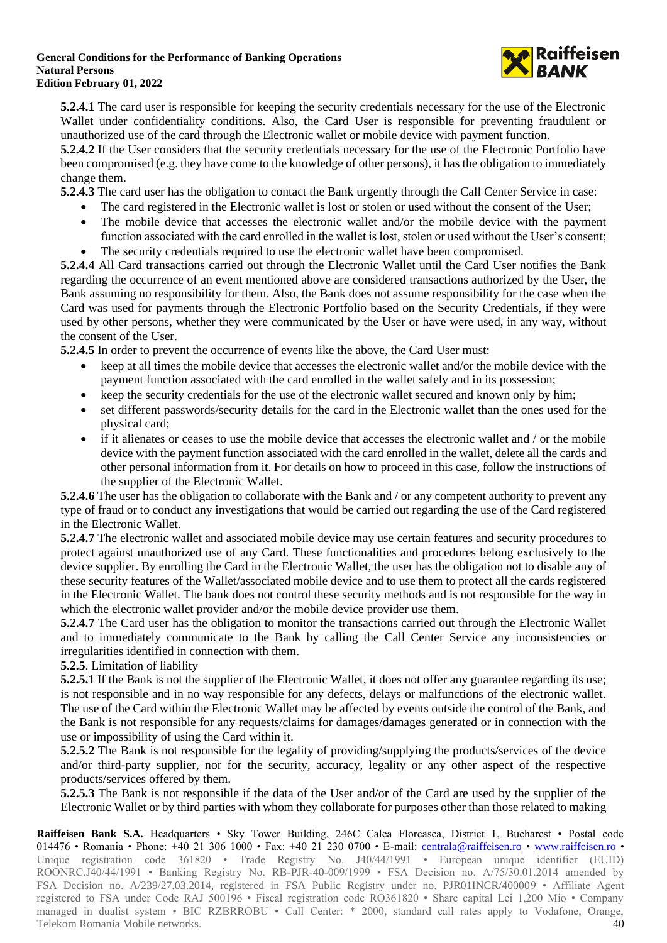

**5.2.4.1** The card user is responsible for keeping the security credentials necessary for the use of the Electronic Wallet under confidentiality conditions. Also, the Card User is responsible for preventing fraudulent or unauthorized use of the card through the Electronic wallet or mobile device with payment function.

**5.2.4.2** If the User considers that the security credentials necessary for the use of the Electronic Portfolio have been compromised (e.g. they have come to the knowledge of other persons), it has the obligation to immediately change them.

**5.2.4.3** The card user has the obligation to contact the Bank urgently through the Call Center Service in case:

- The card registered in the Electronic wallet is lost or stolen or used without the consent of the User;
- The mobile device that accesses the electronic wallet and/or the mobile device with the payment function associated with the card enrolled in the wallet is lost, stolen or used without the User's consent;
- The security credentials required to use the electronic wallet have been compromised.

**5.2.4.4** All Card transactions carried out through the Electronic Wallet until the Card User notifies the Bank regarding the occurrence of an event mentioned above are considered transactions authorized by the User, the Bank assuming no responsibility for them. Also, the Bank does not assume responsibility for the case when the Card was used for payments through the Electronic Portfolio based on the Security Credentials, if they were used by other persons, whether they were communicated by the User or have were used, in any way, without the consent of the User.

**5.2.4.5** In order to prevent the occurrence of events like the above, the Card User must:

- keep at all times the mobile device that accesses the electronic wallet and/or the mobile device with the payment function associated with the card enrolled in the wallet safely and in its possession;
- keep the security credentials for the use of the electronic wallet secured and known only by him;
- set different passwords/security details for the card in the Electronic wallet than the ones used for the physical card;
- if it alienates or ceases to use the mobile device that accesses the electronic wallet and / or the mobile device with the payment function associated with the card enrolled in the wallet, delete all the cards and other personal information from it. For details on how to proceed in this case, follow the instructions of the supplier of the Electronic Wallet.

**5.2.4.6** The user has the obligation to collaborate with the Bank and / or any competent authority to prevent any type of fraud or to conduct any investigations that would be carried out regarding the use of the Card registered in the Electronic Wallet.

**5.2.4.7** The electronic wallet and associated mobile device may use certain features and security procedures to protect against unauthorized use of any Card. These functionalities and procedures belong exclusively to the device supplier. By enrolling the Card in the Electronic Wallet, the user has the obligation not to disable any of these security features of the Wallet/associated mobile device and to use them to protect all the cards registered in the Electronic Wallet. The bank does not control these security methods and is not responsible for the way in which the electronic wallet provider and/or the mobile device provider use them.

**5.2.4.7** The Card user has the obligation to monitor the transactions carried out through the Electronic Wallet and to immediately communicate to the Bank by calling the Call Center Service any inconsistencies or irregularities identified in connection with them.

## **5.2.5**. Limitation of liability

**5.2.5.1** If the Bank is not the supplier of the Electronic Wallet, it does not offer any guarantee regarding its use; is not responsible and in no way responsible for any defects, delays or malfunctions of the electronic wallet. The use of the Card within the Electronic Wallet may be affected by events outside the control of the Bank, and the Bank is not responsible for any requests/claims for damages/damages generated or in connection with the use or impossibility of using the Card within it.

**5.2.5.2** The Bank is not responsible for the legality of providing/supplying the products/services of the device and/or third-party supplier, nor for the security, accuracy, legality or any other aspect of the respective products/services offered by them.

**5.2.5.3** The Bank is not responsible if the data of the User and/or of the Card are used by the supplier of the Electronic Wallet or by third parties with whom they collaborate for purposes other than those related to making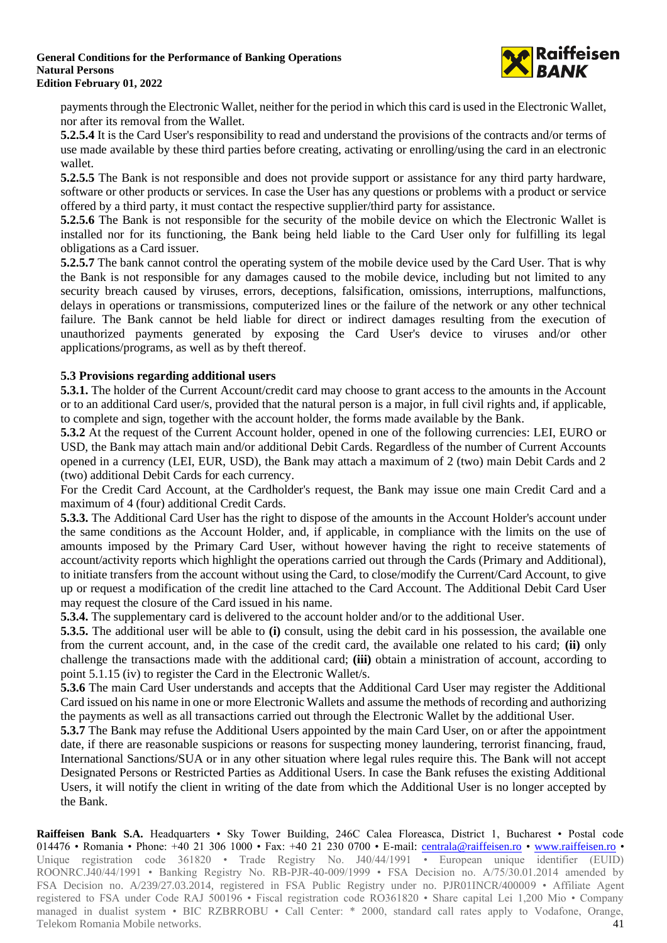

payments through the Electronic Wallet, neither for the period in which this card is used in the Electronic Wallet, nor after its removal from the Wallet.

**5.2.5.4** It is the Card User's responsibility to read and understand the provisions of the contracts and/or terms of use made available by these third parties before creating, activating or enrolling/using the card in an electronic wallet.

**5.2.5.5** The Bank is not responsible and does not provide support or assistance for any third party hardware, software or other products or services. In case the User has any questions or problems with a product or service offered by a third party, it must contact the respective supplier/third party for assistance.

**5.2.5.6** The Bank is not responsible for the security of the mobile device on which the Electronic Wallet is installed nor for its functioning, the Bank being held liable to the Card User only for fulfilling its legal obligations as a Card issuer.

**5.2.5.7** The bank cannot control the operating system of the mobile device used by the Card User. That is why the Bank is not responsible for any damages caused to the mobile device, including but not limited to any security breach caused by viruses, errors, deceptions, falsification, omissions, interruptions, malfunctions, delays in operations or transmissions, computerized lines or the failure of the network or any other technical failure. The Bank cannot be held liable for direct or indirect damages resulting from the execution of unauthorized payments generated by exposing the Card User's device to viruses and/or other applications/programs, as well as by theft thereof.

### **5.3 Provisions regarding additional users**

**5.3.1.** The holder of the Current Account/credit card may choose to grant access to the amounts in the Account or to an additional Card user/s, provided that the natural person is a major, in full civil rights and, if applicable, to complete and sign, together with the account holder, the forms made available by the Bank.

**5.3.2** At the request of the Current Account holder, opened in one of the following currencies: LEI, EURO or USD, the Bank may attach main and/or additional Debit Cards. Regardless of the number of Current Accounts opened in a currency (LEI, EUR, USD), the Bank may attach a maximum of 2 (two) main Debit Cards and 2 (two) additional Debit Cards for each currency.

For the Credit Card Account, at the Cardholder's request, the Bank may issue one main Credit Card and a maximum of 4 (four) additional Credit Cards.

**5.3.3.** The Additional Card User has the right to dispose of the amounts in the Account Holder's account under the same conditions as the Account Holder, and, if applicable, in compliance with the limits on the use of amounts imposed by the Primary Card User, without however having the right to receive statements of account/activity reports which highlight the operations carried out through the Cards (Primary and Additional), to initiate transfers from the account without using the Card, to close/modify the Current/Card Account, to give up or request a modification of the credit line attached to the Card Account. The Additional Debit Card User may request the closure of the Card issued in his name.

**5.3.4.** The supplementary card is delivered to the account holder and/or to the additional User.

**5.3.5.** The additional user will be able to **(i)** consult, using the debit card in his possession, the available one from the current account, and, in the case of the credit card, the available one related to his card; **(ii)** only challenge the transactions made with the additional card; **(iii)** obtain a ministration of account, according to point 5.1.15 (iv) to register the Card in the Electronic Wallet/s.

**5.3.6** The main Card User understands and accepts that the Additional Card User may register the Additional Card issued on his name in one or more Electronic Wallets and assume the methods of recording and authorizing the payments as well as all transactions carried out through the Electronic Wallet by the additional User.

**5.3.7** The Bank may refuse the Additional Users appointed by the main Card User, on or after the appointment date, if there are reasonable suspicions or reasons for suspecting money laundering, terrorist financing, fraud, International Sanctions/SUA or in any other situation where legal rules require this. The Bank will not accept Designated Persons or Restricted Parties as Additional Users. In case the Bank refuses the existing Additional Users, it will notify the client in writing of the date from which the Additional User is no longer accepted by the Bank.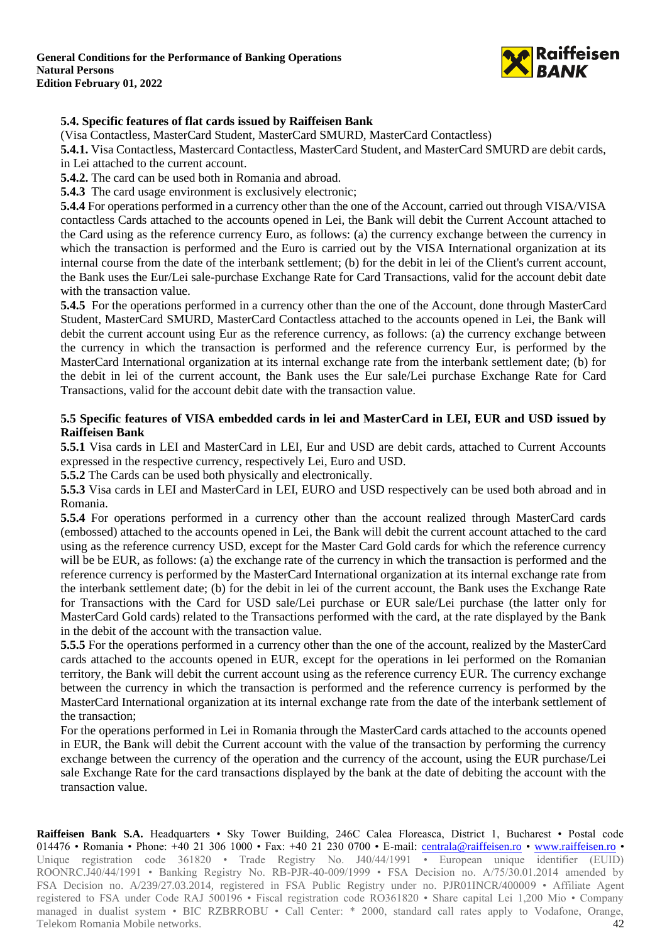

## **5.4. Specific features of flat cards issued by Raiffeisen Bank**

(Visa Contactless, MasterCard Student, MasterCard SMURD, MasterCard Contactless)

**5.4.1.** Visa Contactless, Mastercard Contactless, MasterCard Student, and MasterCard SMURD are debit cards, in Lei attached to the current account.

**5.4.2.** The card can be used both in Romania and abroad.

**5.4.3** The card usage environment is exclusively electronic;

**5.4.4** For operations performed in a currency other than the one of the Account, carried out through VISA/VISA contactless Cards attached to the accounts opened in Lei, the Bank will debit the Current Account attached to the Card using as the reference currency Euro, as follows: (a) the currency exchange between the currency in which the transaction is performed and the Euro is carried out by the VISA International organization at its internal course from the date of the interbank settlement; (b) for the debit in lei of the Client's current account, the Bank uses the Eur/Lei sale-purchase Exchange Rate for Card Transactions, valid for the account debit date with the transaction value.

**5.4.5** For the operations performed in a currency other than the one of the Account, done through MasterCard Student, MasterCard SMURD, MasterCard Contactless attached to the accounts opened in Lei, the Bank will debit the current account using Eur as the reference currency, as follows: (a) the currency exchange between the currency in which the transaction is performed and the reference currency Eur, is performed by the MasterCard International organization at its internal exchange rate from the interbank settlement date; (b) for the debit in lei of the current account, the Bank uses the Eur sale/Lei purchase Exchange Rate for Card Transactions, valid for the account debit date with the transaction value.

### **5.5 Specific features of VISA embedded cards in lei and MasterCard in LEI, EUR and USD issued by Raiffeisen Bank**

**5.5.1** Visa cards in LEI and MasterCard in LEI, Eur and USD are debit cards, attached to Current Accounts expressed in the respective currency, respectively Lei, Euro and USD.

**5.5.2** The Cards can be used both physically and electronically.

**5.5.3** Visa cards in LEI and MasterCard in LEI, EURO and USD respectively can be used both abroad and in Romania.

**5.5.4** For operations performed in a currency other than the account realized through MasterCard cards (embossed) attached to the accounts opened in Lei, the Bank will debit the current account attached to the card using as the reference currency USD, except for the Master Card Gold cards for which the reference currency will be be EUR, as follows: (a) the exchange rate of the currency in which the transaction is performed and the reference currency is performed by the MasterCard International organization at its internal exchange rate from the interbank settlement date; (b) for the debit in lei of the current account, the Bank uses the Exchange Rate for Transactions with the Card for USD sale/Lei purchase or EUR sale/Lei purchase (the latter only for MasterCard Gold cards) related to the Transactions performed with the card, at the rate displayed by the Bank in the debit of the account with the transaction value.

**5.5.5** For the operations performed in a currency other than the one of the account, realized by the MasterCard cards attached to the accounts opened in EUR, except for the operations in lei performed on the Romanian territory, the Bank will debit the current account using as the reference currency EUR. The currency exchange between the currency in which the transaction is performed and the reference currency is performed by the MasterCard International organization at its internal exchange rate from the date of the interbank settlement of the transaction;

For the operations performed in Lei in Romania through the MasterCard cards attached to the accounts opened in EUR, the Bank will debit the Current account with the value of the transaction by performing the currency exchange between the currency of the operation and the currency of the account, using the EUR purchase/Lei sale Exchange Rate for the card transactions displayed by the bank at the date of debiting the account with the transaction value.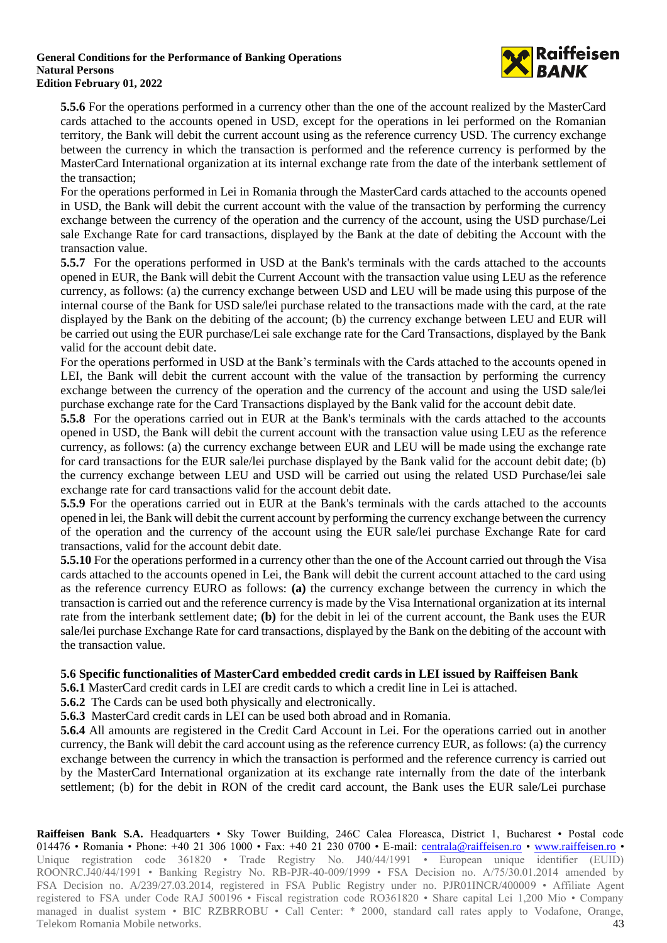

**5.5.6** For the operations performed in a currency other than the one of the account realized by the MasterCard cards attached to the accounts opened in USD, except for the operations in lei performed on the Romanian territory, the Bank will debit the current account using as the reference currency USD. The currency exchange between the currency in which the transaction is performed and the reference currency is performed by the MasterCard International organization at its internal exchange rate from the date of the interbank settlement of the transaction;

For the operations performed in Lei in Romania through the MasterCard cards attached to the accounts opened in USD, the Bank will debit the current account with the value of the transaction by performing the currency exchange between the currency of the operation and the currency of the account, using the USD purchase/Lei sale Exchange Rate for card transactions, displayed by the Bank at the date of debiting the Account with the transaction value.

**5.5.7** For the operations performed in USD at the Bank's terminals with the cards attached to the accounts opened in EUR, the Bank will debit the Current Account with the transaction value using LEU as the reference currency, as follows: (a) the currency exchange between USD and LEU will be made using this purpose of the internal course of the Bank for USD sale/lei purchase related to the transactions made with the card, at the rate displayed by the Bank on the debiting of the account; (b) the currency exchange between LEU and EUR will be carried out using the EUR purchase/Lei sale exchange rate for the Card Transactions, displayed by the Bank valid for the account debit date.

For the operations performed in USD at the Bank's terminals with the Cards attached to the accounts opened in LEI, the Bank will debit the current account with the value of the transaction by performing the currency exchange between the currency of the operation and the currency of the account and using the USD sale/lei purchase exchange rate for the Card Transactions displayed by the Bank valid for the account debit date.

**5.5.8** For the operations carried out in EUR at the Bank's terminals with the cards attached to the accounts opened in USD, the Bank will debit the current account with the transaction value using LEU as the reference currency, as follows: (a) the currency exchange between EUR and LEU will be made using the exchange rate for card transactions for the EUR sale/lei purchase displayed by the Bank valid for the account debit date; (b) the currency exchange between LEU and USD will be carried out using the related USD Purchase/lei sale exchange rate for card transactions valid for the account debit date.

**5.5.9** For the operations carried out in EUR at the Bank's terminals with the cards attached to the accounts opened in lei, the Bank will debit the current account by performing the currency exchange between the currency of the operation and the currency of the account using the EUR sale/lei purchase Exchange Rate for card transactions, valid for the account debit date.

**5.5.10** For the operations performed in a currency other than the one of the Account carried out through the Visa cards attached to the accounts opened in Lei, the Bank will debit the current account attached to the card using as the reference currency EURO as follows: **(a)** the currency exchange between the currency in which the transaction is carried out and the reference currency is made by the Visa International organization at its internal rate from the interbank settlement date; **(b)** for the debit in lei of the current account, the Bank uses the EUR sale/lei purchase Exchange Rate for card transactions, displayed by the Bank on the debiting of the account with the transaction value.

### **5.6 Specific functionalities of MasterCard embedded credit cards in LEI issued by Raiffeisen Bank**

**5.6.1** MasterCard credit cards in LEI are credit cards to which a credit line in Lei is attached.

**5.6.2** The Cards can be used both physically and electronically.

**5.6.3** MasterCard credit cards in LEI can be used both abroad and in Romania.

**5.6.4** All amounts are registered in the Credit Card Account in Lei. For the operations carried out in another currency, the Bank will debit the card account using as the reference currency EUR, as follows: (a) the currency exchange between the currency in which the transaction is performed and the reference currency is carried out by the MasterCard International organization at its exchange rate internally from the date of the interbank settlement; (b) for the debit in RON of the credit card account, the Bank uses the EUR sale/Lei purchase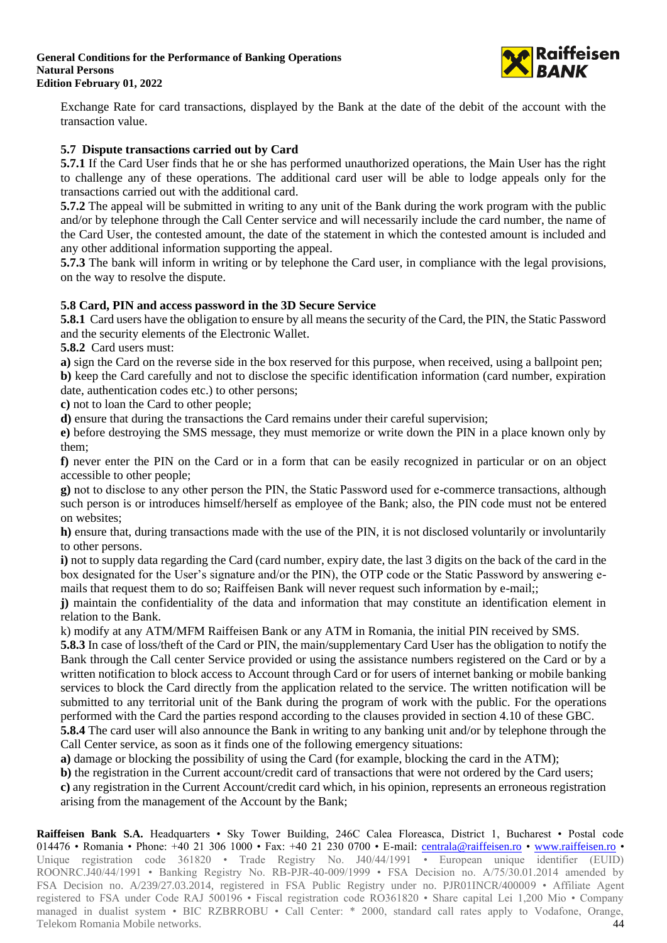

Exchange Rate for card transactions, displayed by the Bank at the date of the debit of the account with the transaction value.

### **5.7 Dispute transactions carried out by Card**

**5.7.1** If the Card User finds that he or she has performed unauthorized operations, the Main User has the right to challenge any of these operations. The additional card user will be able to lodge appeals only for the transactions carried out with the additional card.

**5.7.2** The appeal will be submitted in writing to any unit of the Bank during the work program with the public and/or by telephone through the Call Center service and will necessarily include the card number, the name of the Card User, the contested amount, the date of the statement in which the contested amount is included and any other additional information supporting the appeal.

**5.7.3** The bank will inform in writing or by telephone the Card user, in compliance with the legal provisions, on the way to resolve the dispute.

### **5.8 Card, PIN and access password in the 3D Secure Service**

**5.8.1** Card users have the obligation to ensure by all means the security of the Card, the PIN, the Static Password and the security elements of the Electronic Wallet.

**5.8.2** Card users must:

**a)** sign the Card on the reverse side in the box reserved for this purpose, when received, using a ballpoint pen;

**b)** keep the Card carefully and not to disclose the specific identification information (card number, expiration date, authentication codes etc.) to other persons;

**c)** not to loan the Card to other people;

**d)** ensure that during the transactions the Card remains under their careful supervision;

**e)** before destroying the SMS message, they must memorize or write down the PIN in a place known only by them;

**f)** never enter the PIN on the Card or in a form that can be easily recognized in particular or on an object accessible to other people;

**g)** not to disclose to any other person the PIN, the Static Password used for e-commerce transactions, although such person is or introduces himself/herself as employee of the Bank; also, the PIN code must not be entered on websites;

**h)** ensure that, during transactions made with the use of the PIN, it is not disclosed voluntarily or involuntarily to other persons.

**i)** not to supply data regarding the Card (card number, expiry date, the last 3 digits on the back of the card in the box designated for the User's signature and/or the PIN), the OTP code or the Static Password by answering emails that request them to do so; Raiffeisen Bank will never request such information by e-mail;;

**j)** maintain the confidentiality of the data and information that may constitute an identification element in relation to the Bank.

k) modify at any ATM/MFM Raiffeisen Bank or any ATM in Romania, the initial PIN received by SMS.

**5.8.3** In case of loss/theft of the Card or PIN, the main/supplementary Card User has the obligation to notify the Bank through the Call center Service provided or using the assistance numbers registered on the Card or by a written notification to block access to Account through Card or for users of internet banking or mobile banking services to block the Card directly from the application related to the service. The written notification will be submitted to any territorial unit of the Bank during the program of work with the public. For the operations performed with the Card the parties respond according to the clauses provided in section 4.10 of these GBC.

**5.8.4** The card user will also announce the Bank in writing to any banking unit and/or by telephone through the Call Center service, as soon as it finds one of the following emergency situations:

**a)** damage or blocking the possibility of using the Card (for example, blocking the card in the ATM);

**b**) the registration in the Current account/credit card of transactions that were not ordered by the Card users; **c)** any registration in the Current Account/credit card which, in his opinion, represents an erroneous registration arising from the management of the Account by the Bank;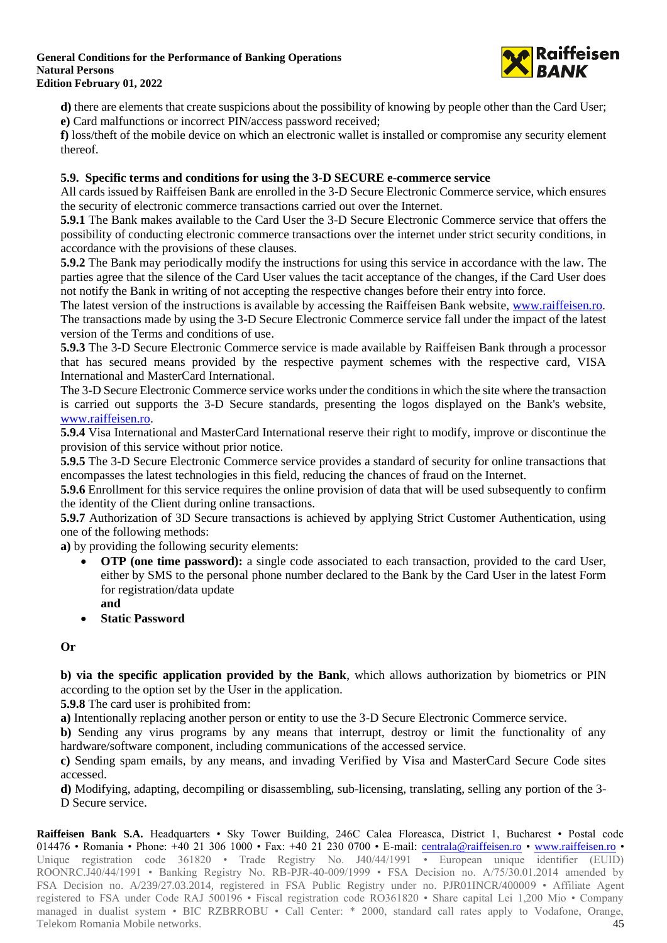

**d**) there are elements that create suspicions about the possibility of knowing by people other than the Card User; **e)** Card malfunctions or incorrect PIN/access password received;

**f)** loss/theft of the mobile device on which an electronic wallet is installed or compromise any security element thereof.

## **5.9. Specific terms and conditions for using the 3-D SECURE e-commerce service**

All cards issued by Raiffeisen Bank are enrolled in the 3-D Secure Electronic Commerce service, which ensures the security of electronic commerce transactions carried out over the Internet.

**5.9.1** The Bank makes available to the Card User the 3-D Secure Electronic Commerce service that offers the possibility of conducting electronic commerce transactions over the internet under strict security conditions, in accordance with the provisions of these clauses.

**5.9.2** The Bank may periodically modify the instructions for using this service in accordance with the law. The parties agree that the silence of the Card User values the tacit acceptance of the changes, if the Card User does not notify the Bank in writing of not accepting the respective changes before their entry into force.

The latest version of the instructions is available by accessing the Raiffeisen Bank website, [www.raiffeisen.ro.](http://www.raiffeisen.ro/) The transactions made by using the 3-D Secure Electronic Commerce service fall under the impact of the latest version of the Terms and conditions of use.

**5.9.3** The 3-D Secure Electronic Commerce service is made available by Raiffeisen Bank through a processor that has secured means provided by the respective payment schemes with the respective card, VISA International and MasterCard International.

The 3-D Secure Electronic Commerce service works under the conditions in which the site where the transaction is carried out supports the 3-D Secure standards, presenting the logos displayed on the Bank's website, [www.raiffeisen.ro.](http://www.raiffeisen.ro/)

**5.9.4** Visa International and MasterCard International reserve their right to modify, improve or discontinue the provision of this service without prior notice.

**5.9.5** The 3-D Secure Electronic Commerce service provides a standard of security for online transactions that encompasses the latest technologies in this field, reducing the chances of fraud on the Internet.

**5.9.6** Enrollment for this service requires the online provision of data that will be used subsequently to confirm the identity of the Client during online transactions.

**5.9.7** Authorization of 3D Secure transactions is achieved by applying Strict Customer Authentication, using one of the following methods:

**a)** by providing the following security elements:

- **OTP (one time password):** a single code associated to each transaction, provided to the card User, either by SMS to the personal phone number declared to the Bank by the Card User in the latest Form for registration/data update
	- **and**
- **Static Password**

**Or**

**b) via the specific application provided by the Bank**, which allows authorization by biometrics or PIN according to the option set by the User in the application.

**5.9.8** The card user is prohibited from:

**a)** Intentionally replacing another person or entity to use the 3-D Secure Electronic Commerce service.

**b)** Sending any virus programs by any means that interrupt, destroy or limit the functionality of any hardware/software component, including communications of the accessed service.

**c)** Sending spam emails, by any means, and invading Verified by Visa and MasterCard Secure Code sites accessed.

**d)** Modifying, adapting, decompiling or disassembling, sub-licensing, translating, selling any portion of the 3- D Secure service.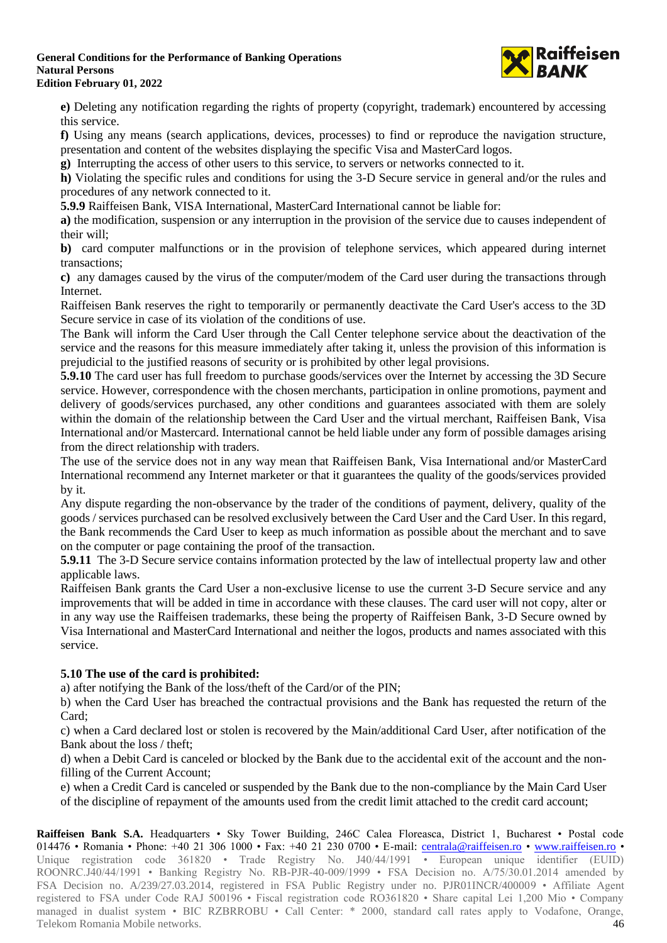

**e)** Deleting any notification regarding the rights of property (copyright, trademark) encountered by accessing this service.

**f)** Using any means (search applications, devices, processes) to find or reproduce the navigation structure, presentation and content of the websites displaying the specific Visa and MasterCard logos.

**g)** Interrupting the access of other users to this service, to servers or networks connected to it.

**h)** Violating the specific rules and conditions for using the 3-D Secure service in general and/or the rules and procedures of any network connected to it.

**5.9.9** Raiffeisen Bank, VISA International, MasterCard International cannot be liable for:

**a)** the modification, suspension or any interruption in the provision of the service due to causes independent of their will;

**b)** card computer malfunctions or in the provision of telephone services, which appeared during internet transactions;

**c)** any damages caused by the virus of the computer/modem of the Card user during the transactions through Internet.

Raiffeisen Bank reserves the right to temporarily or permanently deactivate the Card User's access to the 3D Secure service in case of its violation of the conditions of use.

The Bank will inform the Card User through the Call Center telephone service about the deactivation of the service and the reasons for this measure immediately after taking it, unless the provision of this information is prejudicial to the justified reasons of security or is prohibited by other legal provisions.

**5.9.10** The card user has full freedom to purchase goods/services over the Internet by accessing the 3D Secure service. However, correspondence with the chosen merchants, participation in online promotions, payment and delivery of goods/services purchased, any other conditions and guarantees associated with them are solely within the domain of the relationship between the Card User and the virtual merchant, Raiffeisen Bank, Visa International and/or Mastercard. International cannot be held liable under any form of possible damages arising from the direct relationship with traders.

The use of the service does not in any way mean that Raiffeisen Bank, Visa International and/or MasterCard International recommend any Internet marketer or that it guarantees the quality of the goods/services provided by it.

Any dispute regarding the non-observance by the trader of the conditions of payment, delivery, quality of the goods / services purchased can be resolved exclusively between the Card User and the Card User. In this regard, the Bank recommends the Card User to keep as much information as possible about the merchant and to save on the computer or page containing the proof of the transaction.

**5.9.11** The 3-D Secure service contains information protected by the law of intellectual property law and other applicable laws.

Raiffeisen Bank grants the Card User a non-exclusive license to use the current 3-D Secure service and any improvements that will be added in time in accordance with these clauses. The card user will not copy, alter or in any way use the Raiffeisen trademarks, these being the property of Raiffeisen Bank, 3-D Secure owned by Visa International and MasterCard International and neither the logos, products and names associated with this service.

## **5.10 The use of the card is prohibited:**

a) after notifying the Bank of the loss/theft of the Card/or of the PIN;

b) when the Card User has breached the contractual provisions and the Bank has requested the return of the Card;

c) when a Card declared lost or stolen is recovered by the Main/additional Card User, after notification of the Bank about the loss / theft;

d) when a Debit Card is canceled or blocked by the Bank due to the accidental exit of the account and the nonfilling of the Current Account;

e) when a Credit Card is canceled or suspended by the Bank due to the non-compliance by the Main Card User of the discipline of repayment of the amounts used from the credit limit attached to the credit card account;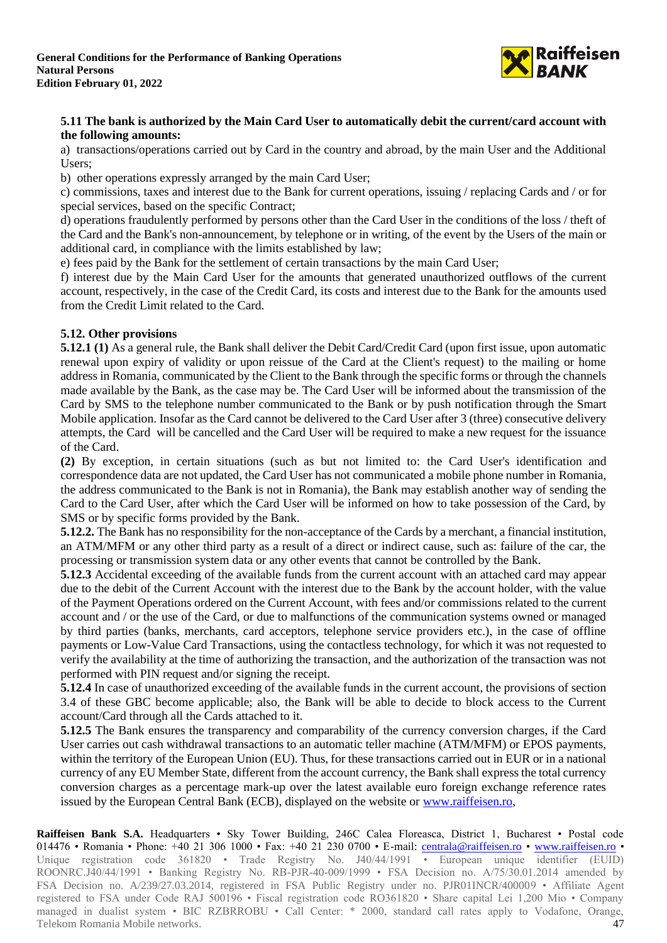

### **5.11 The bank is authorized by the Main Card User to automatically debit the current/card account with the following amounts:**

a) transactions/operations carried out by Card in the country and abroad, by the main User and the Additional Users;

b) other operations expressly arranged by the main Card User;

c) commissions, taxes and interest due to the Bank for current operations, issuing / replacing Cards and / or for special services, based on the specific Contract;

d) operations fraudulently performed by persons other than the Card User in the conditions of the loss / theft of the Card and the Bank's non-announcement, by telephone or in writing, of the event by the Users of the main or additional card, in compliance with the limits established by law;

e) fees paid by the Bank for the settlement of certain transactions by the main Card User;

f) interest due by the Main Card User for the amounts that generated unauthorized outflows of the current account, respectively, in the case of the Credit Card, its costs and interest due to the Bank for the amounts used from the Credit Limit related to the Card.

### **5.12. Other provisions**

**5.12.1 (1)** As a general rule, the Bank shall deliver the Debit Card/Credit Card (upon first issue, upon automatic renewal upon expiry of validity or upon reissue of the Card at the Client's request) to the mailing or home address in Romania, communicated by the Client to the Bank through the specific forms or through the channels made available by the Bank, as the case may be. The Card User will be informed about the transmission of the Card by SMS to the telephone number communicated to the Bank or by push notification through the Smart Mobile application. Insofar as the Card cannot be delivered to the Card User after 3 (three) consecutive delivery attempts, the Card will be cancelled and the Card User will be required to make a new request for the issuance of the Card.

**(2)** By exception, in certain situations (such as but not limited to: the Card User's identification and correspondence data are not updated, the Card User has not communicated a mobile phone number in Romania, the address communicated to the Bank is not in Romania), the Bank may establish another way of sending the Card to the Card User, after which the Card User will be informed on how to take possession of the Card, by SMS or by specific forms provided by the Bank.

**5.12.2.** The Bank has no responsibility for the non-acceptance of the Cards by a merchant, a financial institution, an ATM/MFM or any other third party as a result of a direct or indirect cause, such as: failure of the car, the processing or transmission system data or any other events that cannot be controlled by the Bank.

**5.12.3** Accidental exceeding of the available funds from the current account with an attached card may appear due to the debit of the Current Account with the interest due to the Bank by the account holder, with the value of the Payment Operations ordered on the Current Account, with fees and/or commissions related to the current account and / or the use of the Card, or due to malfunctions of the communication systems owned or managed by third parties (banks, merchants, card acceptors, telephone service providers etc.), in the case of offline payments or Low-Value Card Transactions, using the contactless technology, for which it was not requested to verify the availability at the time of authorizing the transaction, and the authorization of the transaction was not performed with PIN request and/or signing the receipt.

**5.12.4** In case of unauthorized exceeding of the available funds in the current account, the provisions of section 3.4 of these GBC become applicable; also, the Bank will be able to decide to block access to the Current account/Card through all the Cards attached to it.

**5.12.5** The Bank ensures the transparency and comparability of the currency conversion charges, if the Card User carries out cash withdrawal transactions to an automatic teller machine (ATM/MFM) or EPOS payments, within the territory of the European Union (EU). Thus, for these transactions carried out in EUR or in a national currency of any EU Member State, different from the account currency, the Bank shall express the total currency conversion charges as a percentage mark-up over the latest available euro foreign exchange reference rates issued by the European Central Bank (ECB), displayed on the website or [www.raiffeisen.ro,](http://www.raiffeisen.ro/)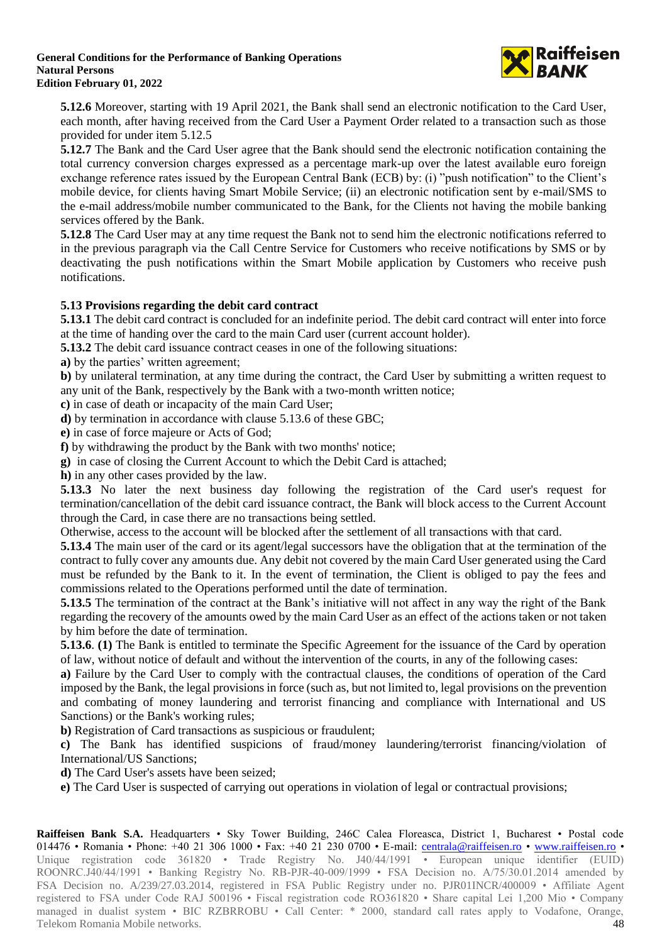

**5.12.6** Moreover, starting with 19 April 2021, the Bank shall send an electronic notification to the Card User, each month, after having received from the Card User a Payment Order related to a transaction such as those provided for under item 5.12.5

**5.12.7** The Bank and the Card User agree that the Bank should send the electronic notification containing the total currency conversion charges expressed as a percentage mark-up over the latest available euro foreign exchange reference rates issued by the European Central Bank (ECB) by: (i) "push notification" to the Client's mobile device, for clients having Smart Mobile Service; (ii) an electronic notification sent by e-mail/SMS to the e-mail address/mobile number communicated to the Bank, for the Clients not having the mobile banking services offered by the Bank.

**5.12.8** The Card User may at any time request the Bank not to send him the electronic notifications referred to in the previous paragraph via the Call Centre Service for Customers who receive notifications by SMS or by deactivating the push notifications within the Smart Mobile application by Customers who receive push notifications.

## **5.13 Provisions regarding the debit card contract**

**5.13.1** The debit card contract is concluded for an indefinite period. The debit card contract will enter into force at the time of handing over the card to the main Card user (current account holder).

**5.13.2** The debit card issuance contract ceases in one of the following situations:

**a)** by the parties' written agreement;

**b)** by unilateral termination, at any time during the contract, the Card User by submitting a written request to any unit of the Bank, respectively by the Bank with a two-month written notice;

**c)** in case of death or incapacity of the main Card User;

**d)** by termination in accordance with clause 5.13.6 of these GBC;

**e)** in case of force majeure or Acts of God;

**f)** by withdrawing the product by the Bank with two months' notice;

**g)** in case of closing the Current Account to which the Debit Card is attached;

**h)** in any other cases provided by the law.

**5.13.3** No later the next business day following the registration of the Card user's request for termination/cancellation of the debit card issuance contract, the Bank will block access to the Current Account through the Card, in case there are no transactions being settled.

Otherwise, access to the account will be blocked after the settlement of all transactions with that card.

**5.13.4** The main user of the card or its agent/legal successors have the obligation that at the termination of the contract to fully cover any amounts due. Any debit not covered by the main Card User generated using the Card must be refunded by the Bank to it. In the event of termination, the Client is obliged to pay the fees and commissions related to the Operations performed until the date of termination.

**5.13.5** The termination of the contract at the Bank's initiative will not affect in any way the right of the Bank regarding the recovery of the amounts owed by the main Card User as an effect of the actions taken or not taken by him before the date of termination.

**5.13.6**. **(1)** The Bank is entitled to terminate the Specific Agreement for the issuance of the Card by operation of law, without notice of default and without the intervention of the courts, in any of the following cases:

**a)** Failure by the Card User to comply with the contractual clauses, the conditions of operation of the Card imposed by the Bank, the legal provisions in force (such as, but not limited to, legal provisions on the prevention and combating of money laundering and terrorist financing and compliance with International and US Sanctions) or the Bank's working rules;

**b)** Registration of Card transactions as suspicious or fraudulent;

**c)** The Bank has identified suspicions of fraud/money laundering/terrorist financing/violation of International/US Sanctions;

**d)** The Card User's assets have been seized;

**e)** The Card User is suspected of carrying out operations in violation of legal or contractual provisions;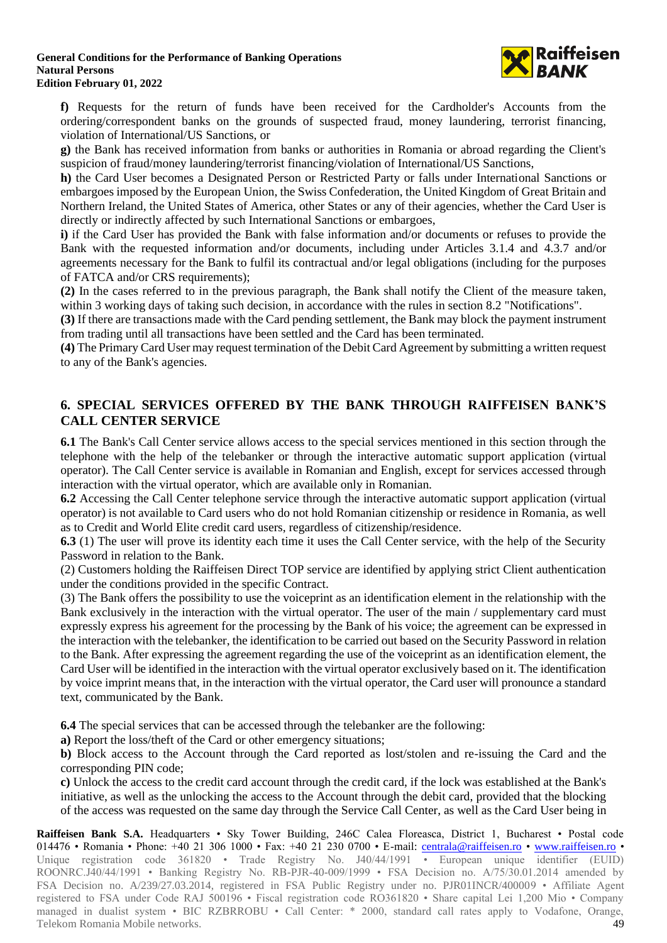

**f)** Requests for the return of funds have been received for the Cardholder's Accounts from the ordering/correspondent banks on the grounds of suspected fraud, money laundering, terrorist financing, violation of International/US Sanctions, or

**g)** the Bank has received information from banks or authorities in Romania or abroad regarding the Client's suspicion of fraud/money laundering/terrorist financing/violation of International/US Sanctions,

**h)** the Card User becomes a Designated Person or Restricted Party or falls under International Sanctions or embargoes imposed by the European Union, the Swiss Confederation, the United Kingdom of Great Britain and Northern Ireland, the United States of America, other States or any of their agencies, whether the Card User is directly or indirectly affected by such International Sanctions or embargoes,

**i)** if the Card User has provided the Bank with false information and/or documents or refuses to provide the Bank with the requested information and/or documents, including under Articles 3.1.4 and 4.3.7 and/or agreements necessary for the Bank to fulfil its contractual and/or legal obligations (including for the purposes of FATCA and/or CRS requirements);

**(2)** In the cases referred to in the previous paragraph, the Bank shall notify the Client of the measure taken, within 3 working days of taking such decision, in accordance with the rules in section 8.2 "Notifications".

**(3)** If there are transactions made with the Card pending settlement, the Bank may block the payment instrument from trading until all transactions have been settled and the Card has been terminated.

**(4)** The Primary Card User may request termination of the Debit Card Agreement by submitting a written request to any of the Bank's agencies.

# **6. SPECIAL SERVICES OFFERED BY THE BANK THROUGH RAIFFEISEN BANK'S CALL CENTER SERVICE**

**6.1** The Bank's Call Center service allows access to the special services mentioned in this section through the telephone with the help of the telebanker or through the interactive automatic support application (virtual operator). The Call Center service is available in Romanian and English, except for services accessed through interaction with the virtual operator, which are available only in Romanian.

**6.2** Accessing the Call Center telephone service through the interactive automatic support application (virtual operator) is not available to Card users who do not hold Romanian citizenship or residence in Romania, as well as to Credit and World Elite credit card users, regardless of citizenship/residence.

**6.3** (1) The user will prove its identity each time it uses the Call Center service, with the help of the Security Password in relation to the Bank.

(2) Customers holding the Raiffeisen Direct TOP service are identified by applying strict Client authentication under the conditions provided in the specific Contract.

(3) The Bank offers the possibility to use the voiceprint as an identification element in the relationship with the Bank exclusively in the interaction with the virtual operator. The user of the main / supplementary card must expressly express his agreement for the processing by the Bank of his voice; the agreement can be expressed in the interaction with the telebanker, the identification to be carried out based on the Security Password in relation to the Bank. After expressing the agreement regarding the use of the voiceprint as an identification element, the Card User will be identified in the interaction with the virtual operator exclusively based on it. The identification by voice imprint means that, in the interaction with the virtual operator, the Card user will pronounce a standard text, communicated by the Bank.

**6.4** The special services that can be accessed through the telebanker are the following:

**a)** Report the loss/theft of the Card or other emergency situations;

**b)** Block access to the Account through the Card reported as lost/stolen and re-issuing the Card and the corresponding PIN code;

**c)** Unlock the access to the credit card account through the credit card, if the lock was established at the Bank's initiative, as well as the unlocking the access to the Account through the debit card, provided that the blocking of the access was requested on the same day through the Service Call Center, as well as the Card User being in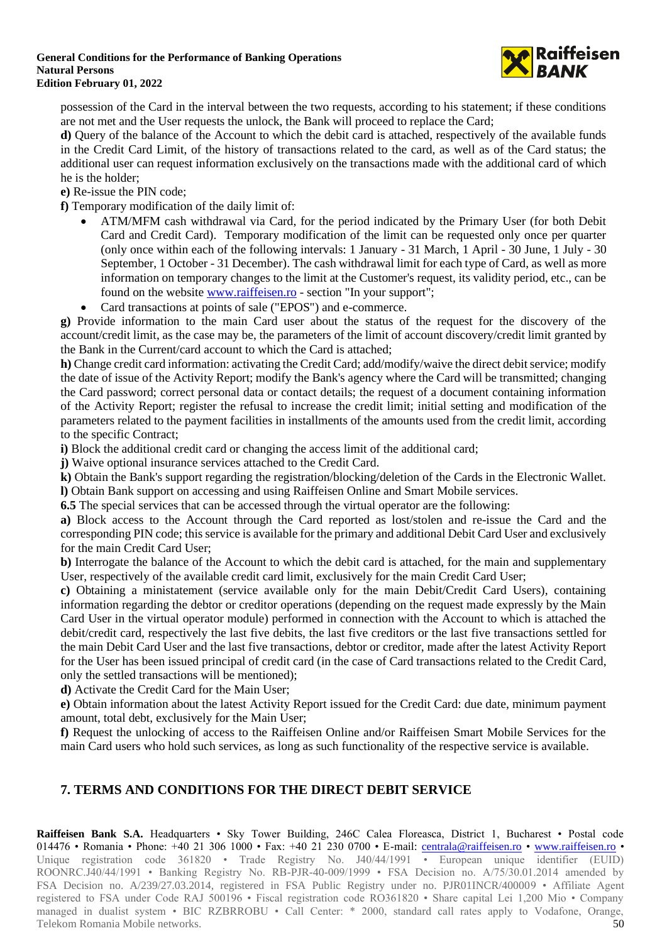

possession of the Card in the interval between the two requests, according to his statement; if these conditions are not met and the User requests the unlock, the Bank will proceed to replace the Card;

**d)** Query of the balance of the Account to which the debit card is attached, respectively of the available funds in the Credit Card Limit, of the history of transactions related to the card, as well as of the Card status; the additional user can request information exclusively on the transactions made with the additional card of which he is the holder;

**e)** Re-issue the PIN code;

**f)** Temporary modification of the daily limit of:

- ATM/MFM cash withdrawal via Card, for the period indicated by the Primary User (for both Debit Card and Credit Card). Temporary modification of the limit can be requested only once per quarter (only once within each of the following intervals: 1 January - 31 March, 1 April - 30 June, 1 July - 30 September, 1 October - 31 December). The cash withdrawal limit for each type of Card, as well as more information on temporary changes to the limit at the Customer's request, its validity period, etc., can be found on the websit[e www.raiffeisen.ro](http://www.raiffeisen.ro/) - section "In your support";
- Card transactions at points of sale ("EPOS") and e-commerce.

**g)** Provide information to the main Card user about the status of the request for the discovery of the account/credit limit, as the case may be, the parameters of the limit of account discovery/credit limit granted by the Bank in the Current/card account to which the Card is attached;

**h)** Change credit card information: activating the Credit Card; add/modify/waive the direct debit service; modify the date of issue of the Activity Report; modify the Bank's agency where the Card will be transmitted; changing the Card password; correct personal data or contact details; the request of a document containing information of the Activity Report; register the refusal to increase the credit limit; initial setting and modification of the parameters related to the payment facilities in installments of the amounts used from the credit limit, according to the specific Contract;

**i)** Block the additional credit card or changing the access limit of the additional card;

**j)** Waive optional insurance services attached to the Credit Card.

**k)** Obtain the Bank's support regarding the registration/blocking/deletion of the Cards in the Electronic Wallet. **l)** Obtain Bank support on accessing and using Raiffeisen Online and Smart Mobile services.

**6.5** The special services that can be accessed through the virtual operator are the following:

**a)** Block access to the Account through the Card reported as lost/stolen and re-issue the Card and the corresponding PIN code; this service is available for the primary and additional Debit Card User and exclusively for the main Credit Card User;

**b)** Interrogate the balance of the Account to which the debit card is attached, for the main and supplementary User, respectively of the available credit card limit, exclusively for the main Credit Card User;

**c)** Obtaining a ministatement (service available only for the main Debit/Credit Card Users), containing information regarding the debtor or creditor operations (depending on the request made expressly by the Main Card User in the virtual operator module) performed in connection with the Account to which is attached the debit/credit card, respectively the last five debits, the last five creditors or the last five transactions settled for the main Debit Card User and the last five transactions, debtor or creditor, made after the latest Activity Report for the User has been issued principal of credit card (in the case of Card transactions related to the Credit Card, only the settled transactions will be mentioned);

**d)** Activate the Credit Card for the Main User;

**e)** Obtain information about the latest Activity Report issued for the Credit Card: due date, minimum payment amount, total debt, exclusively for the Main User;

**f)** Request the unlocking of access to the Raiffeisen Online and/or Raiffeisen Smart Mobile Services for the main Card users who hold such services, as long as such functionality of the respective service is available.

# **7. TERMS AND CONDITIONS FOR THE DIRECT DEBIT SERVICE**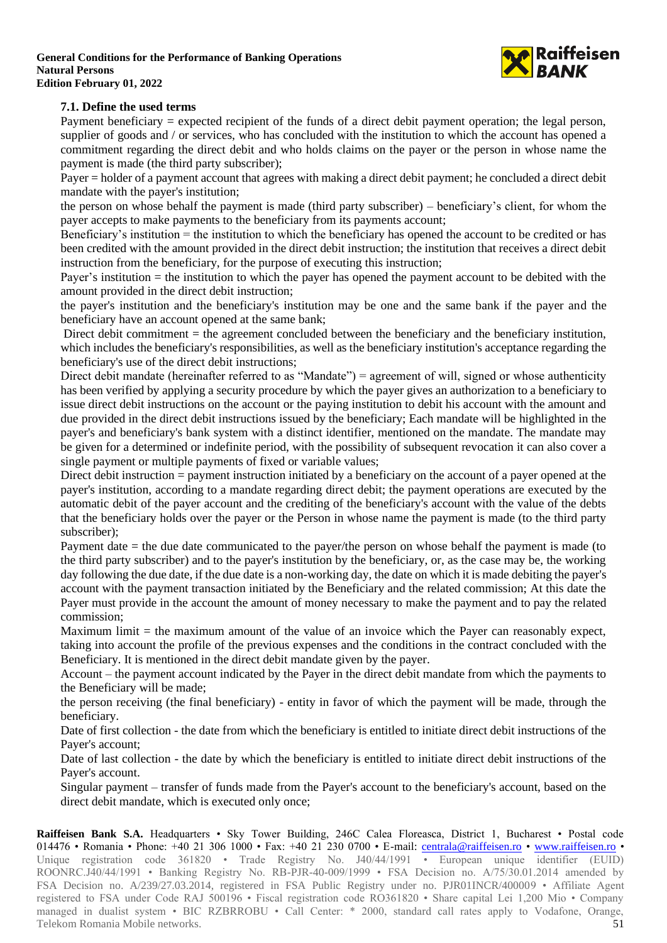

### **7.1. Define the used terms**

Payment beneficiary = expected recipient of the funds of a direct debit payment operation; the legal person, supplier of goods and / or services, who has concluded with the institution to which the account has opened a commitment regarding the direct debit and who holds claims on the payer or the person in whose name the payment is made (the third party subscriber);

Payer = holder of a payment account that agrees with making a direct debit payment; he concluded a direct debit mandate with the payer's institution;

the person on whose behalf the payment is made (third party subscriber) – beneficiary's client, for whom the payer accepts to make payments to the beneficiary from its payments account;

Beneficiary's institution = the institution to which the beneficiary has opened the account to be credited or has been credited with the amount provided in the direct debit instruction; the institution that receives a direct debit instruction from the beneficiary, for the purpose of executing this instruction;

Payer's institution = the institution to which the payer has opened the payment account to be debited with the amount provided in the direct debit instruction;

the payer's institution and the beneficiary's institution may be one and the same bank if the payer and the beneficiary have an account opened at the same bank;

Direct debit commitment = the agreement concluded between the beneficiary and the beneficiary institution, which includes the beneficiary's responsibilities, as well as the beneficiary institution's acceptance regarding the beneficiary's use of the direct debit instructions;

Direct debit mandate (hereinafter referred to as "Mandate") = agreement of will, signed or whose authenticity has been verified by applying a security procedure by which the payer gives an authorization to a beneficiary to issue direct debit instructions on the account or the paying institution to debit his account with the amount and due provided in the direct debit instructions issued by the beneficiary; Each mandate will be highlighted in the payer's and beneficiary's bank system with a distinct identifier, mentioned on the mandate. The mandate may be given for a determined or indefinite period, with the possibility of subsequent revocation it can also cover a single payment or multiple payments of fixed or variable values;

Direct debit instruction = payment instruction initiated by a beneficiary on the account of a payer opened at the payer's institution, according to a mandate regarding direct debit; the payment operations are executed by the automatic debit of the payer account and the crediting of the beneficiary's account with the value of the debts that the beneficiary holds over the payer or the Person in whose name the payment is made (to the third party subscriber);

Payment date = the due date communicated to the payer/the person on whose behalf the payment is made (to the third party subscriber) and to the payer's institution by the beneficiary, or, as the case may be, the working day following the due date, if the due date is a non-working day, the date on which it is made debiting the payer's account with the payment transaction initiated by the Beneficiary and the related commission; At this date the Payer must provide in the account the amount of money necessary to make the payment and to pay the related commission;

Maximum limit  $=$  the maximum amount of the value of an invoice which the Payer can reasonably expect, taking into account the profile of the previous expenses and the conditions in the contract concluded with the Beneficiary. It is mentioned in the direct debit mandate given by the payer.

Account – the payment account indicated by the Payer in the direct debit mandate from which the payments to the Beneficiary will be made;

the person receiving (the final beneficiary) - entity in favor of which the payment will be made, through the beneficiary.

Date of first collection - the date from which the beneficiary is entitled to initiate direct debit instructions of the Payer's account;

Date of last collection - the date by which the beneficiary is entitled to initiate direct debit instructions of the Payer's account.

Singular payment – transfer of funds made from the Payer's account to the beneficiary's account, based on the direct debit mandate, which is executed only once;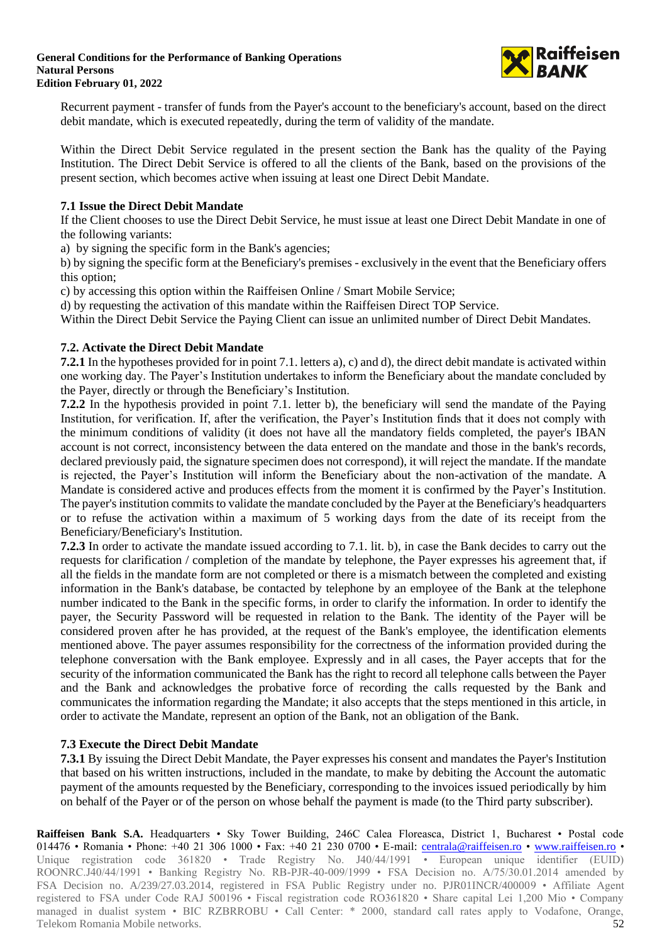

Recurrent payment - transfer of funds from the Payer's account to the beneficiary's account, based on the direct debit mandate, which is executed repeatedly, during the term of validity of the mandate.

Within the Direct Debit Service regulated in the present section the Bank has the quality of the Paying Institution. The Direct Debit Service is offered to all the clients of the Bank, based on the provisions of the present section, which becomes active when issuing at least one Direct Debit Mandate.

### **7.1 Issue the Direct Debit Mandate**

If the Client chooses to use the Direct Debit Service, he must issue at least one Direct Debit Mandate in one of the following variants:

a) by signing the specific form in the Bank's agencies;

b) by signing the specific form at the Beneficiary's premises - exclusively in the event that the Beneficiary offers this option;

c) by accessing this option within the Raiffeisen Online / Smart Mobile Service;

d) by requesting the activation of this mandate within the Raiffeisen Direct TOP Service.

Within the Direct Debit Service the Paying Client can issue an unlimited number of Direct Debit Mandates.

### **7.2. Activate the Direct Debit Mandate**

**7.2.1** In the hypotheses provided for in point 7.1. letters a), c) and d), the direct debit mandate is activated within one working day. The Payer's Institution undertakes to inform the Beneficiary about the mandate concluded by the Payer, directly or through the Beneficiary's Institution.

**7.2.2** In the hypothesis provided in point 7.1. letter b), the beneficiary will send the mandate of the Paying Institution, for verification. If, after the verification, the Payer's Institution finds that it does not comply with the minimum conditions of validity (it does not have all the mandatory fields completed, the payer's IBAN account is not correct, inconsistency between the data entered on the mandate and those in the bank's records, declared previously paid, the signature specimen does not correspond), it will reject the mandate. If the mandate is rejected, the Payer's Institution will inform the Beneficiary about the non-activation of the mandate. A Mandate is considered active and produces effects from the moment it is confirmed by the Payer's Institution. The payer's institution commits to validate the mandate concluded by the Payer at the Beneficiary's headquarters or to refuse the activation within a maximum of 5 working days from the date of its receipt from the Beneficiary/Beneficiary's Institution.

**7.2.3** In order to activate the mandate issued according to 7.1. lit. b), in case the Bank decides to carry out the requests for clarification / completion of the mandate by telephone, the Payer expresses his agreement that, if all the fields in the mandate form are not completed or there is a mismatch between the completed and existing information in the Bank's database, be contacted by telephone by an employee of the Bank at the telephone number indicated to the Bank in the specific forms, in order to clarify the information. In order to identify the payer, the Security Password will be requested in relation to the Bank. The identity of the Payer will be considered proven after he has provided, at the request of the Bank's employee, the identification elements mentioned above. The payer assumes responsibility for the correctness of the information provided during the telephone conversation with the Bank employee. Expressly and in all cases, the Payer accepts that for the security of the information communicated the Bank has the right to record all telephone calls between the Payer and the Bank and acknowledges the probative force of recording the calls requested by the Bank and communicates the information regarding the Mandate; it also accepts that the steps mentioned in this article, in order to activate the Mandate, represent an option of the Bank, not an obligation of the Bank.

### **7.3 Execute the Direct Debit Mandate**

**7.3.1** By issuing the Direct Debit Mandate, the Payer expresses his consent and mandates the Payer's Institution that based on his written instructions, included in the mandate, to make by debiting the Account the automatic payment of the amounts requested by the Beneficiary, corresponding to the invoices issued periodically by him on behalf of the Payer or of the person on whose behalf the payment is made (to the Third party subscriber).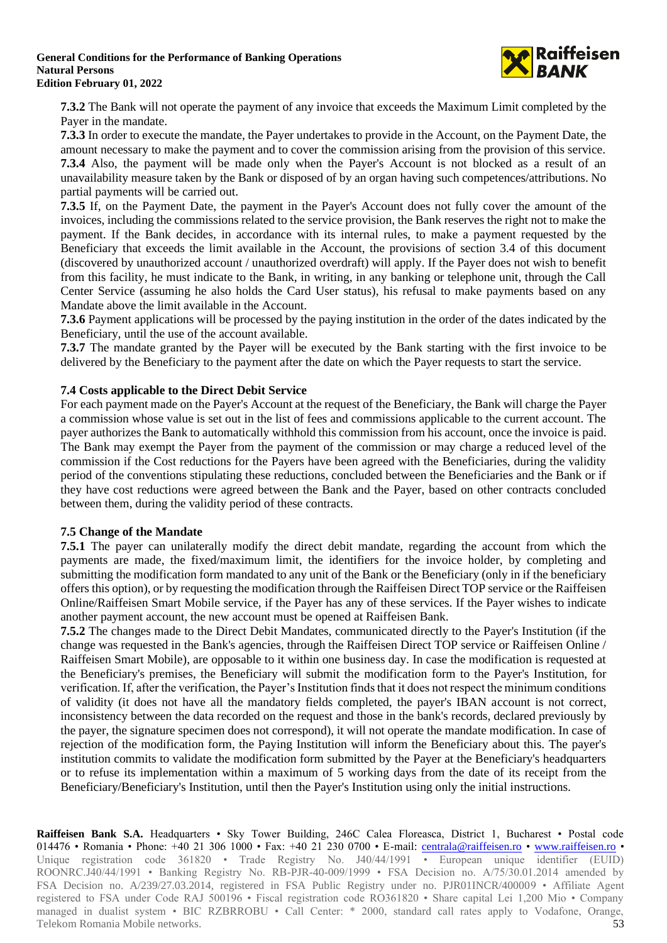

**7.3.2** The Bank will not operate the payment of any invoice that exceeds the Maximum Limit completed by the Payer in the mandate.

**7.3.3** In order to execute the mandate, the Payer undertakes to provide in the Account, on the Payment Date, the amount necessary to make the payment and to cover the commission arising from the provision of this service. **7.3.4** Also, the payment will be made only when the Payer's Account is not blocked as a result of an unavailability measure taken by the Bank or disposed of by an organ having such competences/attributions. No partial payments will be carried out.

**7.3.5** If, on the Payment Date, the payment in the Payer's Account does not fully cover the amount of the invoices, including the commissions related to the service provision, the Bank reserves the right not to make the payment. If the Bank decides, in accordance with its internal rules, to make a payment requested by the Beneficiary that exceeds the limit available in the Account, the provisions of section 3.4 of this document (discovered by unauthorized account / unauthorized overdraft) will apply. If the Payer does not wish to benefit from this facility, he must indicate to the Bank, in writing, in any banking or telephone unit, through the Call Center Service (assuming he also holds the Card User status), his refusal to make payments based on any Mandate above the limit available in the Account.

**7.3.6** Payment applications will be processed by the paying institution in the order of the dates indicated by the Beneficiary, until the use of the account available.

**7.3.7** The mandate granted by the Payer will be executed by the Bank starting with the first invoice to be delivered by the Beneficiary to the payment after the date on which the Payer requests to start the service.

### **7.4 Costs applicable to the Direct Debit Service**

For each payment made on the Payer's Account at the request of the Beneficiary, the Bank will charge the Payer a commission whose value is set out in the list of fees and commissions applicable to the current account. The payer authorizes the Bank to automatically withhold this commission from his account, once the invoice is paid. The Bank may exempt the Payer from the payment of the commission or may charge a reduced level of the commission if the Cost reductions for the Payers have been agreed with the Beneficiaries, during the validity period of the conventions stipulating these reductions, concluded between the Beneficiaries and the Bank or if they have cost reductions were agreed between the Bank and the Payer, based on other contracts concluded between them, during the validity period of these contracts.

### **7.5 Change of the Mandate**

**7.5.1** The payer can unilaterally modify the direct debit mandate, regarding the account from which the payments are made, the fixed/maximum limit, the identifiers for the invoice holder, by completing and submitting the modification form mandated to any unit of the Bank or the Beneficiary (only in if the beneficiary offers this option), or by requesting the modification through the Raiffeisen Direct TOP service or the Raiffeisen Online/Raiffeisen Smart Mobile service, if the Payer has any of these services. If the Payer wishes to indicate another payment account, the new account must be opened at Raiffeisen Bank.

**7.5.2** The changes made to the Direct Debit Mandates, communicated directly to the Payer's Institution (if the change was requested in the Bank's agencies, through the Raiffeisen Direct TOP service or Raiffeisen Online / Raiffeisen Smart Mobile), are opposable to it within one business day. In case the modification is requested at the Beneficiary's premises, the Beneficiary will submit the modification form to the Payer's Institution, for verification. If, after the verification, the Payer's Institution finds that it does not respect the minimum conditions of validity (it does not have all the mandatory fields completed, the payer's IBAN account is not correct, inconsistency between the data recorded on the request and those in the bank's records, declared previously by the payer, the signature specimen does not correspond), it will not operate the mandate modification. In case of rejection of the modification form, the Paying Institution will inform the Beneficiary about this. The payer's institution commits to validate the modification form submitted by the Payer at the Beneficiary's headquarters or to refuse its implementation within a maximum of 5 working days from the date of its receipt from the Beneficiary/Beneficiary's Institution, until then the Payer's Institution using only the initial instructions.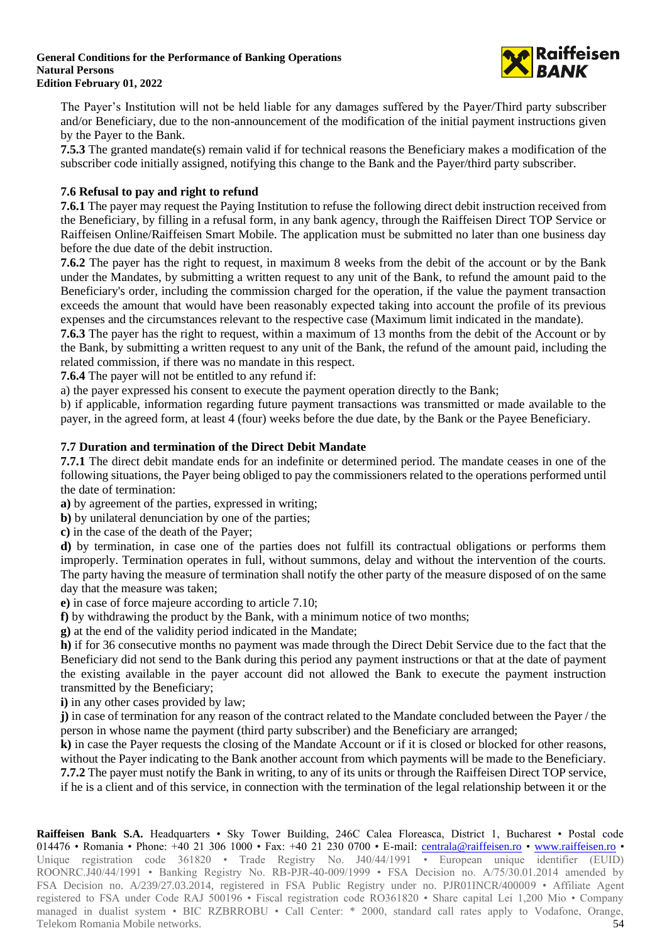

The Payer's Institution will not be held liable for any damages suffered by the Payer/Third party subscriber and/or Beneficiary, due to the non-announcement of the modification of the initial payment instructions given by the Payer to the Bank.

**7.5.3** The granted mandate(s) remain valid if for technical reasons the Beneficiary makes a modification of the subscriber code initially assigned, notifying this change to the Bank and the Payer/third party subscriber.

### **7.6 Refusal to pay and right to refund**

**7.6.1** The payer may request the Paying Institution to refuse the following direct debit instruction received from the Beneficiary, by filling in a refusal form, in any bank agency, through the Raiffeisen Direct TOP Service or Raiffeisen Online/Raiffeisen Smart Mobile. The application must be submitted no later than one business day before the due date of the debit instruction.

**7.6.2** The payer has the right to request, in maximum 8 weeks from the debit of the account or by the Bank under the Mandates, by submitting a written request to any unit of the Bank, to refund the amount paid to the Beneficiary's order, including the commission charged for the operation, if the value the payment transaction exceeds the amount that would have been reasonably expected taking into account the profile of its previous expenses and the circumstances relevant to the respective case (Maximum limit indicated in the mandate).

**7.6.3** The payer has the right to request, within a maximum of 13 months from the debit of the Account or by the Bank, by submitting a written request to any unit of the Bank, the refund of the amount paid, including the related commission, if there was no mandate in this respect.

**7.6.4** The payer will not be entitled to any refund if:

a) the payer expressed his consent to execute the payment operation directly to the Bank;

b) if applicable, information regarding future payment transactions was transmitted or made available to the payer, in the agreed form, at least 4 (four) weeks before the due date, by the Bank or the Payee Beneficiary.

### **7.7 Duration and termination of the Direct Debit Mandate**

**7.7.1** The direct debit mandate ends for an indefinite or determined period. The mandate ceases in one of the following situations, the Payer being obliged to pay the commissioners related to the operations performed until the date of termination:

**a)** by agreement of the parties, expressed in writing;

**b**) by unilateral denunciation by one of the parties;

**c)** in the case of the death of the Payer;

**d)** by termination, in case one of the parties does not fulfill its contractual obligations or performs them improperly. Termination operates in full, without summons, delay and without the intervention of the courts. The party having the measure of termination shall notify the other party of the measure disposed of on the same day that the measure was taken;

**e)** in case of force majeure according to article 7.10;

**f)** by withdrawing the product by the Bank, with a minimum notice of two months;

**g)** at the end of the validity period indicated in the Mandate;

**h)** if for 36 consecutive months no payment was made through the Direct Debit Service due to the fact that the Beneficiary did not send to the Bank during this period any payment instructions or that at the date of payment the existing available in the payer account did not allowed the Bank to execute the payment instruction transmitted by the Beneficiary;

**i)** in any other cases provided by law;

**j)** in case of termination for any reason of the contract related to the Mandate concluded between the Payer / the person in whose name the payment (third party subscriber) and the Beneficiary are arranged;

**k)** in case the Payer requests the closing of the Mandate Account or if it is closed or blocked for other reasons, without the Payer indicating to the Bank another account from which payments will be made to the Beneficiary. **7.7.2** The payer must notify the Bank in writing, to any of its units or through the Raiffeisen Direct TOP service, if he is a client and of this service, in connection with the termination of the legal relationship between it or the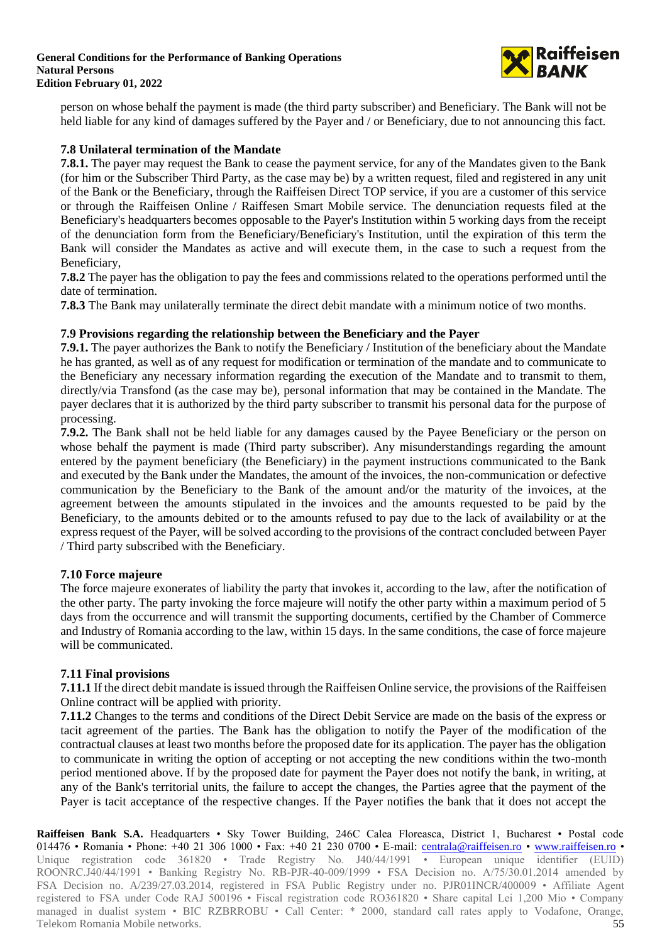

person on whose behalf the payment is made (the third party subscriber) and Beneficiary. The Bank will not be held liable for any kind of damages suffered by the Payer and / or Beneficiary, due to not announcing this fact.

### **7.8 Unilateral termination of the Mandate**

**7.8.1.** The payer may request the Bank to cease the payment service, for any of the Mandates given to the Bank (for him or the Subscriber Third Party, as the case may be) by a written request, filed and registered in any unit of the Bank or the Beneficiary, through the Raiffeisen Direct TOP service, if you are a customer of this service or through the Raiffeisen Online / Raiffesen Smart Mobile service. The denunciation requests filed at the Beneficiary's headquarters becomes opposable to the Payer's Institution within 5 working days from the receipt of the denunciation form from the Beneficiary/Beneficiary's Institution, until the expiration of this term the Bank will consider the Mandates as active and will execute them, in the case to such a request from the Beneficiary,

**7.8.2** The payer has the obligation to pay the fees and commissions related to the operations performed until the date of termination.

**7.8.3** The Bank may unilaterally terminate the direct debit mandate with a minimum notice of two months.

### **7.9 Provisions regarding the relationship between the Beneficiary and the Payer**

**7.9.1.** The payer authorizes the Bank to notify the Beneficiary / Institution of the beneficiary about the Mandate he has granted, as well as of any request for modification or termination of the mandate and to communicate to the Beneficiary any necessary information regarding the execution of the Mandate and to transmit to them, directly/via Transfond (as the case may be), personal information that may be contained in the Mandate. The payer declares that it is authorized by the third party subscriber to transmit his personal data for the purpose of processing.

**7.9.2.** The Bank shall not be held liable for any damages caused by the Payee Beneficiary or the person on whose behalf the payment is made (Third party subscriber). Any misunderstandings regarding the amount entered by the payment beneficiary (the Beneficiary) in the payment instructions communicated to the Bank and executed by the Bank under the Mandates, the amount of the invoices, the non-communication or defective communication by the Beneficiary to the Bank of the amount and/or the maturity of the invoices, at the agreement between the amounts stipulated in the invoices and the amounts requested to be paid by the Beneficiary, to the amounts debited or to the amounts refused to pay due to the lack of availability or at the express request of the Payer, will be solved according to the provisions of the contract concluded between Payer / Third party subscribed with the Beneficiary.

### **7.10 Force majeure**

The force majeure exonerates of liability the party that invokes it, according to the law, after the notification of the other party. The party invoking the force majeure will notify the other party within a maximum period of 5 days from the occurrence and will transmit the supporting documents, certified by the Chamber of Commerce and Industry of Romania according to the law, within 15 days. In the same conditions, the case of force majeure will be communicated.

## **7.11 Final provisions**

**7.11.1** If the direct debit mandate is issued through the Raiffeisen Online service, the provisions of the Raiffeisen Online contract will be applied with priority.

**7.11.2** Changes to the terms and conditions of the Direct Debit Service are made on the basis of the express or tacit agreement of the parties. The Bank has the obligation to notify the Payer of the modification of the contractual clauses at least two months before the proposed date for its application. The payer has the obligation to communicate in writing the option of accepting or not accepting the new conditions within the two-month period mentioned above. If by the proposed date for payment the Payer does not notify the bank, in writing, at any of the Bank's territorial units, the failure to accept the changes, the Parties agree that the payment of the Payer is tacit acceptance of the respective changes. If the Payer notifies the bank that it does not accept the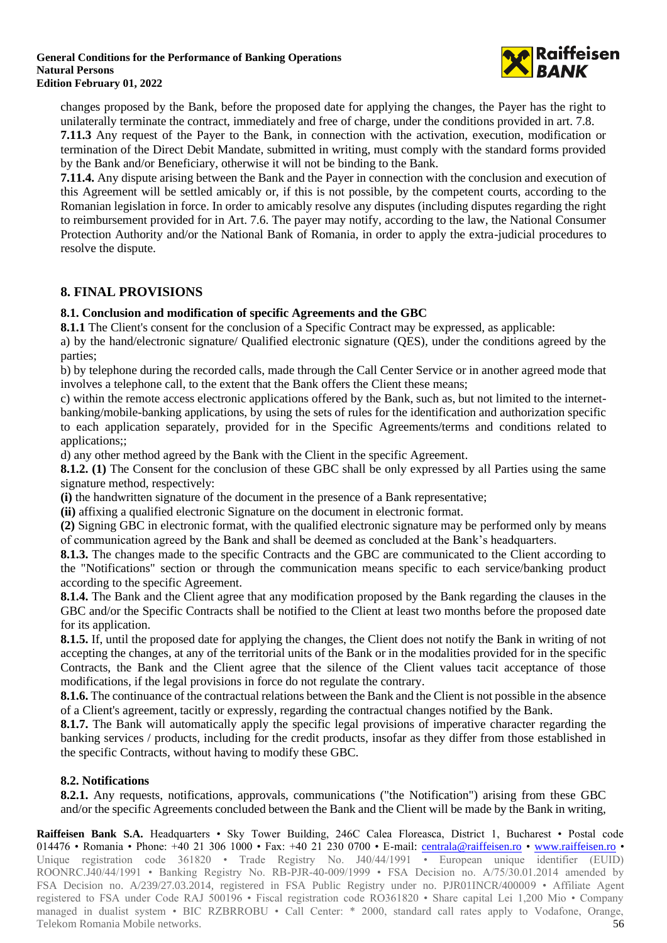

changes proposed by the Bank, before the proposed date for applying the changes, the Payer has the right to unilaterally terminate the contract, immediately and free of charge, under the conditions provided in art. 7.8.

**7.11.3** Any request of the Payer to the Bank, in connection with the activation, execution, modification or termination of the Direct Debit Mandate, submitted in writing, must comply with the standard forms provided by the Bank and/or Beneficiary, otherwise it will not be binding to the Bank.

**7.11.4.** Any dispute arising between the Bank and the Payer in connection with the conclusion and execution of this Agreement will be settled amicably or, if this is not possible, by the competent courts, according to the Romanian legislation in force. In order to amicably resolve any disputes (including disputes regarding the right to reimbursement provided for in Art. 7.6. The payer may notify, according to the law, the National Consumer Protection Authority and/or the National Bank of Romania, in order to apply the extra-judicial procedures to resolve the dispute.

# **8. FINAL PROVISIONS**

## **8.1. Conclusion and modification of specific Agreements and the GBC**

**8.1.1** The Client's consent for the conclusion of a Specific Contract may be expressed, as applicable:

a) by the hand/electronic signature/ Qualified electronic signature (QES), under the conditions agreed by the parties;

b) by telephone during the recorded calls, made through the Call Center Service or in another agreed mode that involves a telephone call, to the extent that the Bank offers the Client these means;

c) within the remote access electronic applications offered by the Bank, such as, but not limited to the internetbanking/mobile-banking applications, by using the sets of rules for the identification and authorization specific to each application separately, provided for in the Specific Agreements/terms and conditions related to applications;;

d) any other method agreed by the Bank with the Client in the specific Agreement.

**8.1.2. (1)** The Consent for the conclusion of these GBC shall be only expressed by all Parties using the same signature method, respectively:

**(i)** the handwritten signature of the document in the presence of a Bank representative;

**(ii)** affixing a qualified electronic Signature on the document in electronic format.

**(2)** Signing GBC in electronic format, with the qualified electronic signature may be performed only by means of communication agreed by the Bank and shall be deemed as concluded at the Bank's headquarters.

**8.1.3.** The changes made to the specific Contracts and the GBC are communicated to the Client according to the "Notifications" section or through the communication means specific to each service/banking product according to the specific Agreement.

**8.1.4.** The Bank and the Client agree that any modification proposed by the Bank regarding the clauses in the GBC and/or the Specific Contracts shall be notified to the Client at least two months before the proposed date for its application.

**8.1.5.** If, until the proposed date for applying the changes, the Client does not notify the Bank in writing of not accepting the changes, at any of the territorial units of the Bank or in the modalities provided for in the specific Contracts, the Bank and the Client agree that the silence of the Client values tacit acceptance of those modifications, if the legal provisions in force do not regulate the contrary.

**8.1.6.** The continuance of the contractual relations between the Bank and the Client is not possible in the absence of a Client's agreement, tacitly or expressly, regarding the contractual changes notified by the Bank.

**8.1.7.** The Bank will automatically apply the specific legal provisions of imperative character regarding the banking services / products, including for the credit products, insofar as they differ from those established in the specific Contracts, without having to modify these GBC.

## **8.2. Notifications**

**8.2.1.** Any requests, notifications, approvals, communications ("the Notification") arising from these GBC and/or the specific Agreements concluded between the Bank and the Client will be made by the Bank in writing,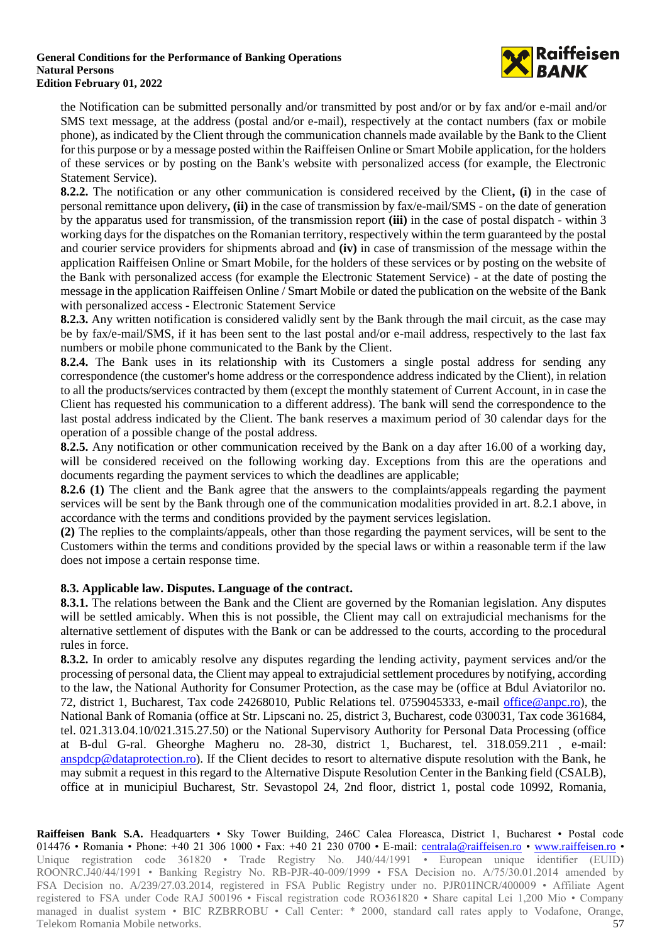

the Notification can be submitted personally and/or transmitted by post and/or or by fax and/or e-mail and/or SMS text message, at the address (postal and/or e-mail), respectively at the contact numbers (fax or mobile phone), as indicated by the Client through the communication channels made available by the Bank to the Client for this purpose or by a message posted within the Raiffeisen Online or Smart Mobile application, for the holders of these services or by posting on the Bank's website with personalized access (for example, the Electronic Statement Service).

**8.2.2.** The notification or any other communication is considered received by the Client**, (i)** in the case of personal remittance upon delivery**, (ii)** in the case of transmission by fax/e-mail/SMS - on the date of generation by the apparatus used for transmission, of the transmission report **(iii)** in the case of postal dispatch - within 3 working days for the dispatches on the Romanian territory, respectively within the term guaranteed by the postal and courier service providers for shipments abroad and **(iv)** in case of transmission of the message within the application Raiffeisen Online or Smart Mobile, for the holders of these services or by posting on the website of the Bank with personalized access (for example the Electronic Statement Service) - at the date of posting the message in the application Raiffeisen Online / Smart Mobile or dated the publication on the website of the Bank with personalized access - Electronic Statement Service

**8.2.3.** Any written notification is considered validly sent by the Bank through the mail circuit, as the case may be by fax/e-mail/SMS, if it has been sent to the last postal and/or e-mail address, respectively to the last fax numbers or mobile phone communicated to the Bank by the Client.

**8.2.4.** The Bank uses in its relationship with its Customers a single postal address for sending any correspondence (the customer's home address or the correspondence address indicated by the Client), in relation to all the products/services contracted by them (except the monthly statement of Current Account, in in case the Client has requested his communication to a different address). The bank will send the correspondence to the last postal address indicated by the Client. The bank reserves a maximum period of 30 calendar days for the operation of a possible change of the postal address.

**8.2.5.** Any notification or other communication received by the Bank on a day after 16.00 of a working day, will be considered received on the following working day. Exceptions from this are the operations and documents regarding the payment services to which the deadlines are applicable;

**8.2.6 (1)** The client and the Bank agree that the answers to the complaints/appeals regarding the payment services will be sent by the Bank through one of the communication modalities provided in art. 8.2.1 above, in accordance with the terms and conditions provided by the payment services legislation.

**(2)** The replies to the complaints/appeals, other than those regarding the payment services, will be sent to the Customers within the terms and conditions provided by the special laws or within a reasonable term if the law does not impose a certain response time.

## **8.3. Applicable law. Disputes. Language of the contract.**

**8.3.1.** The relations between the Bank and the Client are governed by the Romanian legislation. Any disputes will be settled amicably. When this is not possible, the Client may call on extrajudicial mechanisms for the alternative settlement of disputes with the Bank or can be addressed to the courts, according to the procedural rules in force.

**8.3.2.** In order to amicably resolve any disputes regarding the lending activity, payment services and/or the processing of personal data, the Client may appeal to extrajudicial settlement procedures by notifying, according to the law, the National Authority for Consumer Protection, as the case may be (office at Bdul Aviatorilor no. 72, district 1, Bucharest, Tax code 24268010, Public Relations tel. 0759045333, e-mail [office@anpc.ro\)](mailto:office@anpc.ro), the National Bank of Romania (office at Str. Lipscani no. 25, district 3, Bucharest, code 030031, Tax code 361684, tel. 021.313.04.10/021.315.27.50) or the National Supervisory Authority for Personal Data Processing (office at B-dul G-ral. Gheorghe Magheru no. 28-30, district 1, Bucharest, tel. 318.059.211 , e-mail: [anspdcp@dataprotection.ro\)](mailto:anspdcp@dataprotection.ro). If the Client decides to resort to alternative dispute resolution with the Bank, he may submit a request in this regard to the Alternative Dispute Resolution Center in the Banking field (CSALB), office at in municipiul Bucharest, Str. Sevastopol 24, 2nd floor, district 1, postal code 10992, Romania,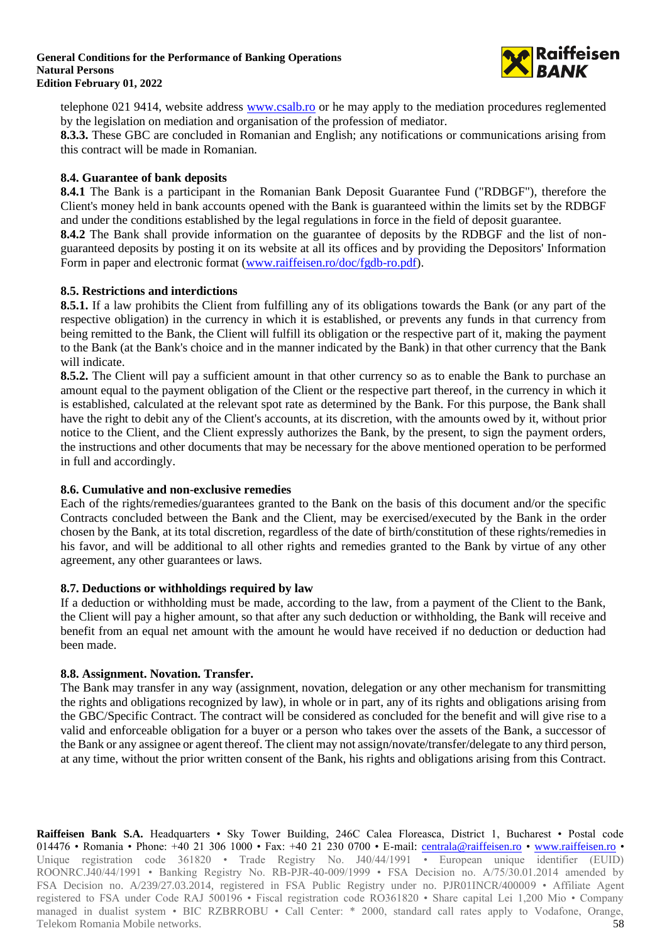

telephone 021 9414, website address [www.csalb.ro](http://www.csalb.ro/) or he may apply to the mediation procedures reglemented by the legislation on mediation and organisation of the profession of mediator.

**8.3.3.** These GBC are concluded in Romanian and English; any notifications or communications arising from this contract will be made in Romanian.

### **8.4. Guarantee of bank deposits**

**8.4.1** The Bank is a participant in the Romanian Bank Deposit Guarantee Fund ("RDBGF"), therefore the Client's money held in bank accounts opened with the Bank is guaranteed within the limits set by the RDBGF and under the conditions established by the legal regulations in force in the field of deposit guarantee.

**8.4.2** The Bank shall provide information on the guarantee of deposits by the RDBGF and the list of nonguaranteed deposits by posting it on its website at all its offices and by providing the Depositors' Information Form in paper and electronic format [\(www.raiffeisen.ro/doc/fgdb-ro.pdf\)](http://www.raiffeisen.ro/doc/fgdb-ro.pdf).

### **8.5. Restrictions and interdictions**

**8.5.1.** If a law prohibits the Client from fulfilling any of its obligations towards the Bank (or any part of the respective obligation) in the currency in which it is established, or prevents any funds in that currency from being remitted to the Bank, the Client will fulfill its obligation or the respective part of it, making the payment to the Bank (at the Bank's choice and in the manner indicated by the Bank) in that other currency that the Bank will indicate.

**8.5.2.** The Client will pay a sufficient amount in that other currency so as to enable the Bank to purchase an amount equal to the payment obligation of the Client or the respective part thereof, in the currency in which it is established, calculated at the relevant spot rate as determined by the Bank. For this purpose, the Bank shall have the right to debit any of the Client's accounts, at its discretion, with the amounts owed by it, without prior notice to the Client, and the Client expressly authorizes the Bank, by the present, to sign the payment orders, the instructions and other documents that may be necessary for the above mentioned operation to be performed in full and accordingly.

### **8.6. Cumulative and non-exclusive remedies**

Each of the rights/remedies/guarantees granted to the Bank on the basis of this document and/or the specific Contracts concluded between the Bank and the Client, may be exercised/executed by the Bank in the order chosen by the Bank, at its total discretion, regardless of the date of birth/constitution of these rights/remedies in his favor, and will be additional to all other rights and remedies granted to the Bank by virtue of any other agreement, any other guarantees or laws.

### **8.7. Deductions or withholdings required by law**

If a deduction or withholding must be made, according to the law, from a payment of the Client to the Bank, the Client will pay a higher amount, so that after any such deduction or withholding, the Bank will receive and benefit from an equal net amount with the amount he would have received if no deduction or deduction had been made.

### **8.8. Assignment. Novation. Transfer.**

The Bank may transfer in any way (assignment, novation, delegation or any other mechanism for transmitting the rights and obligations recognized by law), in whole or in part, any of its rights and obligations arising from the GBC/Specific Contract. The contract will be considered as concluded for the benefit and will give rise to a valid and enforceable obligation for a buyer or a person who takes over the assets of the Bank, a successor of the Bank or any assignee or agent thereof. The client may not assign/novate/transfer/delegate to any third person, at any time, without the prior written consent of the Bank, his rights and obligations arising from this Contract.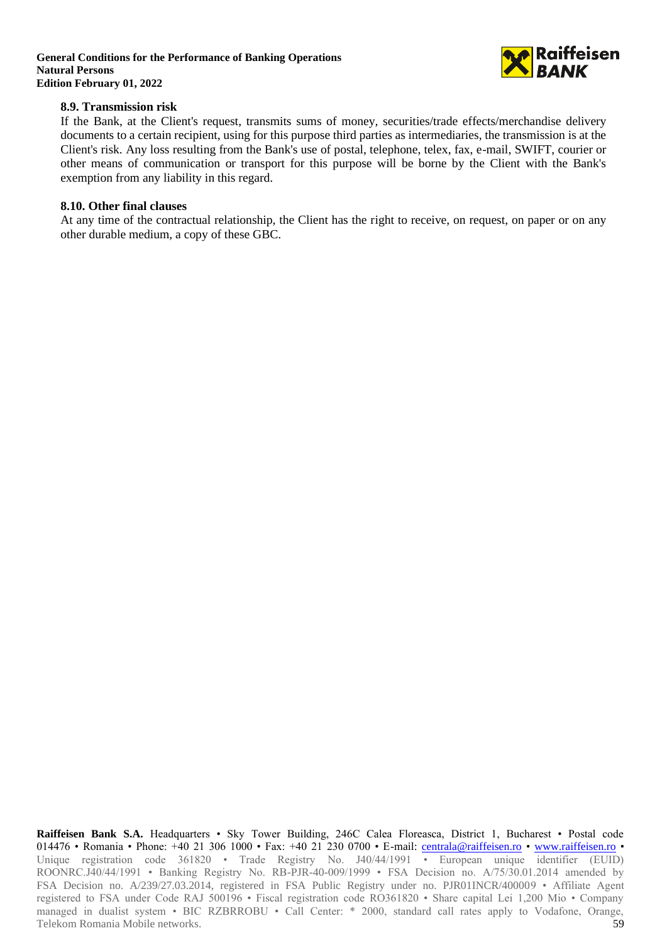

### **8.9. Transmission risk**

If the Bank, at the Client's request, transmits sums of money, securities/trade effects/merchandise delivery documents to a certain recipient, using for this purpose third parties as intermediaries, the transmission is at the Client's risk. Any loss resulting from the Bank's use of postal, telephone, telex, fax, e-mail, SWIFT, courier or other means of communication or transport for this purpose will be borne by the Client with the Bank's exemption from any liability in this regard.

### **8.10. Other final clauses**

At any time of the contractual relationship, the Client has the right to receive, on request, on paper or on any other durable medium, a copy of these GBC.